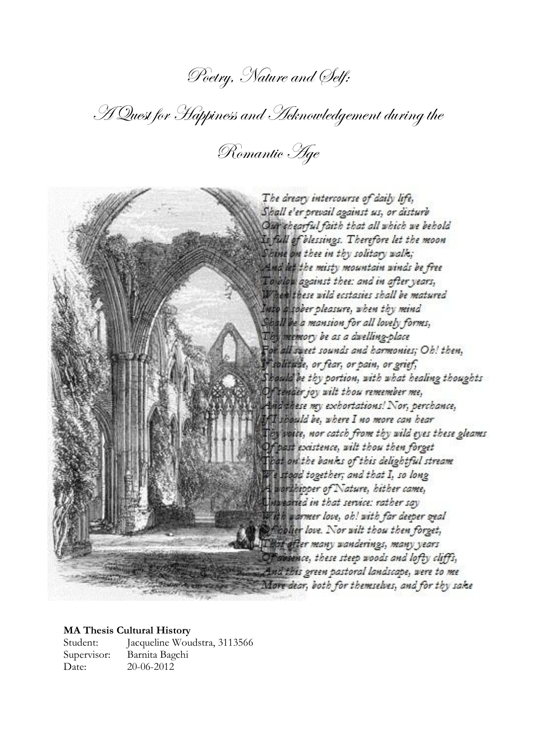# Poetry, Nature and Self:

A Quest for Happiness and Acknowledgement during the

Romantic Age



### **MA Thesis Cultural History**

Student: Jacqueline Woudstra, 3113566 Supervisor: Barnita Bagchi Date: 20-06-2012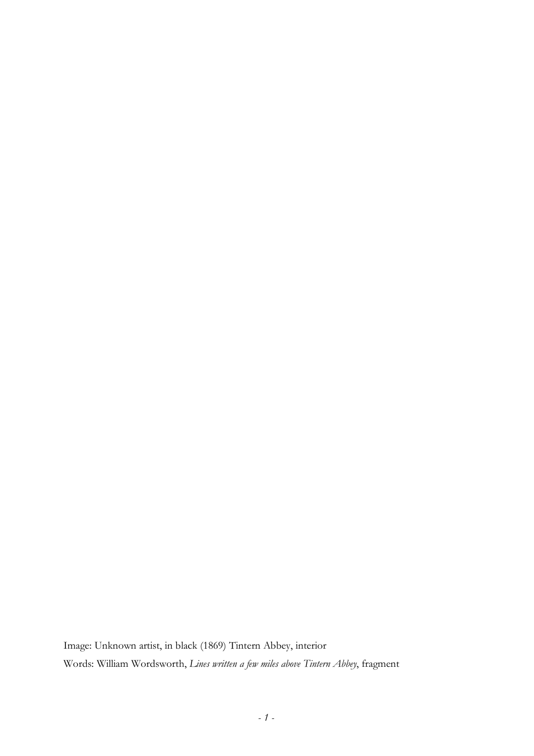Image: Unknown artist, in black (1869) Tintern Abbey, interior Words: William Wordsworth, *Lines written a few miles above Tintern Abbey*, fragment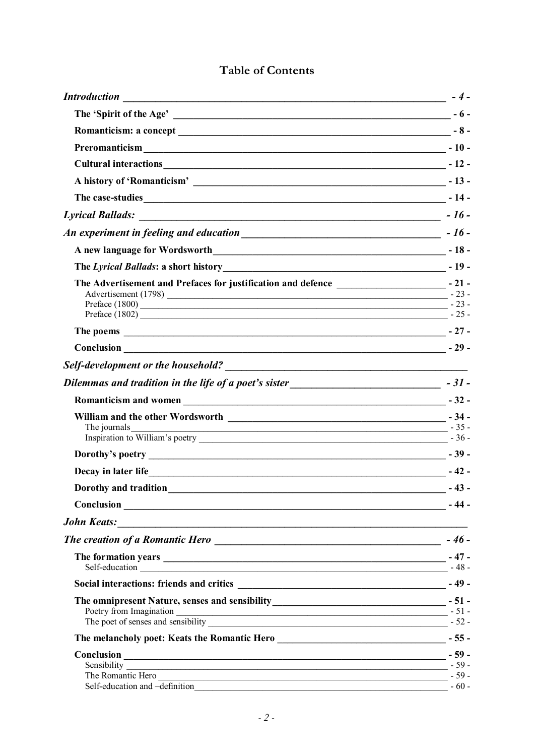| <b>Introduction</b><br><u> 1989 - Jan James Sand, amerikan besteman dan besteman besteman dalam besteman besteman besteman dalam bestema</u> | $-4-$  |
|----------------------------------------------------------------------------------------------------------------------------------------------|--------|
|                                                                                                                                              |        |
|                                                                                                                                              |        |
| Preromanticism $\qquad \qquad -10$ -                                                                                                         |        |
| Cultural interactions $\frac{1}{2}$ - 12 -                                                                                                   |        |
|                                                                                                                                              |        |
|                                                                                                                                              |        |
|                                                                                                                                              |        |
|                                                                                                                                              |        |
|                                                                                                                                              |        |
|                                                                                                                                              |        |
| The Advertisement and Prefaces for justification and defence _________________________- - 21 -<br>Preface $(1802)$ $-25$ -                   |        |
|                                                                                                                                              |        |
| $Conclusion$ $-29$ -                                                                                                                         |        |
|                                                                                                                                              |        |
| Dilemmas and tradition in the life of a poet's sister<br><u>Dilemmas and tradition in the life of a poet's sister</u>                        |        |
|                                                                                                                                              |        |
| The journals<br>$-35-$                                                                                                                       |        |
|                                                                                                                                              |        |
|                                                                                                                                              |        |
| Dorothy and tradition 143 -                                                                                                                  |        |
|                                                                                                                                              | - 44 - |
| <b>John Keats:</b><br><u> 1989 - Johann Stoff, Amerikaansk politiker († 1908)</u>                                                            |        |
|                                                                                                                                              |        |
| The formation years $\frac{1}{2}$ -47 -<br>$\text{Self-education}$ $-48 -$                                                                   |        |
|                                                                                                                                              |        |
|                                                                                                                                              |        |
| The melancholy poet: Keats the Romantic Hero ___________________________________- - 55 -                                                     |        |
| Self-education and -definition                                                                                                               | $-60-$ |

## Table of Contents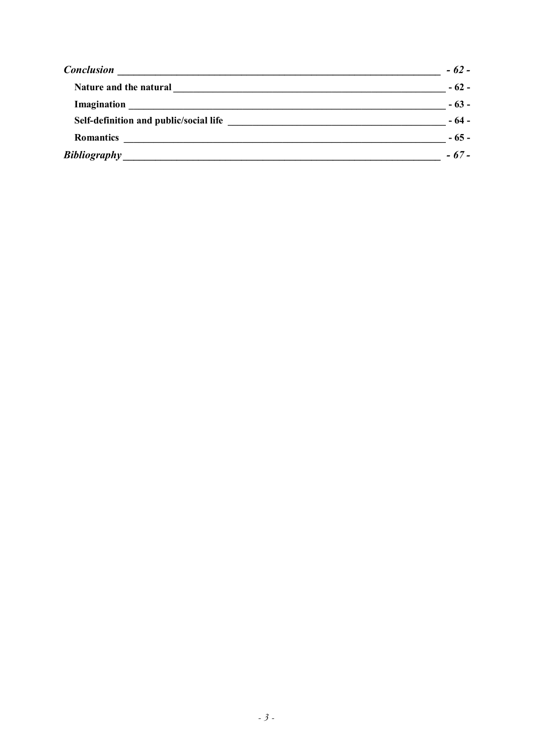| <b>Conclusion</b>                      | $-62-$ |
|----------------------------------------|--------|
| Nature and the natural                 | $-62-$ |
|                                        | $-63-$ |
| Self-definition and public/social life | $-64-$ |
| <b>Romantics</b>                       | $-65-$ |
| <b>Bibliography</b>                    | $-67-$ |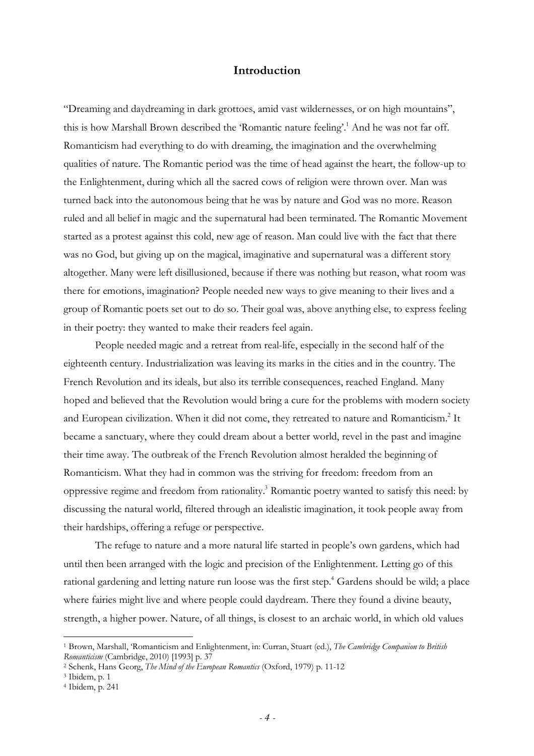## **Introduction**

"Dreaming and daydreaming in dark grottoes, amid vast wildernesses, or on high mountains", this is how Marshall Brown described the 'Romantic nature feeling'.<sup>1</sup> And he was not far off. Romanticism had everything to do with dreaming, the imagination and the overwhelming qualities of nature. The Romantic period was the time of head against the heart, the follow-up to the Enlightenment, during which all the sacred cows of religion were thrown over. Man was turned back into the autonomous being that he was by nature and God was no more. Reason ruled and all belief in magic and the supernatural had been terminated. The Romantic Movement started as a protest against this cold, new age of reason. Man could live with the fact that there was no God, but giving up on the magical, imaginative and supernatural was a different story altogether. Many were left disillusioned, because if there was nothing but reason, what room was there for emotions, imagination? People needed new ways to give meaning to their lives and a group of Romantic poets set out to do so. Their goal was, above anything else, to express feeling in their poetry: they wanted to make their readers feel again.

People needed magic and a retreat from real-life, especially in the second half of the eighteenth century. Industrialization was leaving its marks in the cities and in the country. The French Revolution and its ideals, but also its terrible consequences, reached England. Many hoped and believed that the Revolution would bring a cure for the problems with modern society and European civilization. When it did not come, they retreated to nature and Romanticism.<sup>2</sup> It became a sanctuary, where they could dream about a better world, revel in the past and imagine their time away. The outbreak of the French Revolution almost heralded the beginning of Romanticism. What they had in common was the striving for freedom: freedom from an oppressive regime and freedom from rationality.<sup>3</sup> Romantic poetry wanted to satisfy this need: by discussing the natural world, filtered through an idealistic imagination, it took people away from their hardships, offering a refuge or perspective.

The refuge to nature and a more natural life started in people's own gardens, which had until then been arranged with the logic and precision of the Enlightenment. Letting go of this rational gardening and letting nature run loose was the first step.<sup>4</sup> Gardens should be wild; a place where fairies might live and where people could daydream. There they found a divine beauty, strength, a higher power. Nature, of all things, is closest to an archaic world, in which old values

<sup>1</sup> Brown, Marshall, 'Romanticism and Enlightenment, in: Curran, Stuart (ed.), *The Cambridge Companion to British Romanticism* (Cambridge, 2010) [1993] p. 37

<sup>2</sup> Schenk, Hans Georg, *The Mind of the European Romantics* (Oxford, 1979) p. 11-12

<sup>3</sup> Ibidem, p. 1

<sup>4</sup> Ibidem, p. 241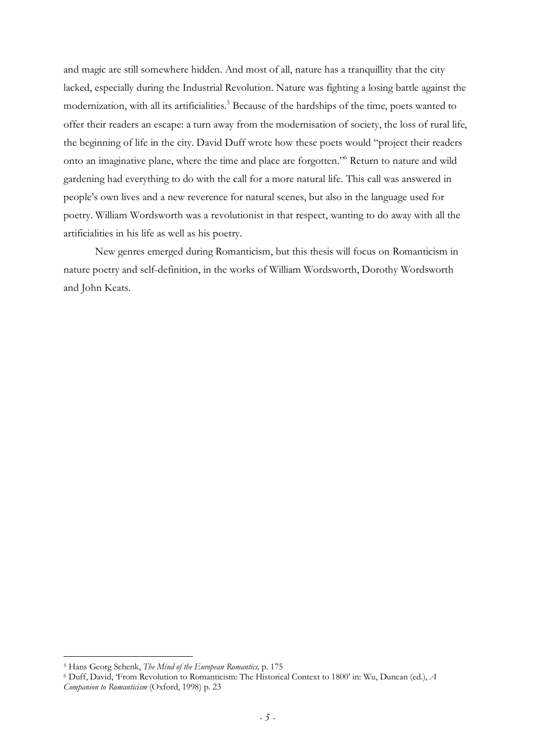and magic are still somewhere hidden. And most of all, nature has a tranquillity that the city lacked, especially during the Industrial Revolution. Nature was fighting a losing battle against the modernization, with all its artificialities.<sup>5</sup> Because of the hardships of the time, poets wanted to offer their readers an escape: a turn away from the modernisation of society, the loss of rural life, the beginning of life in the city. David Duff wrote how these poets would "project their readers onto an imaginative plane, where the time and place are forgotten."<sup>6</sup> Return to nature and wild gardening had everything to do with the call for a more natural life. This call was answered in people's own lives and a new reverence for natural scenes, but also in the language used for poetry. William Wordsworth was a revolutionist in that respect, wanting to do away with all the artificialities in his life as well as his poetry.

New genres emerged during Romanticism, but this thesis will focus on Romanticism in nature poetry and self-definition, in the works of William Wordsworth, Dorothy Wordsworth and John Keats.

<sup>5</sup> Hans Georg Schenk, *The Mind of the European Romantics,* p. 175

<sup>6</sup> Duff, David, 'From Revolution to Romanticism: The Historical Context to 1800' in: Wu, Duncan (ed.), *A* 

*Companion to Romanticism* (Oxford, 1998) p. 23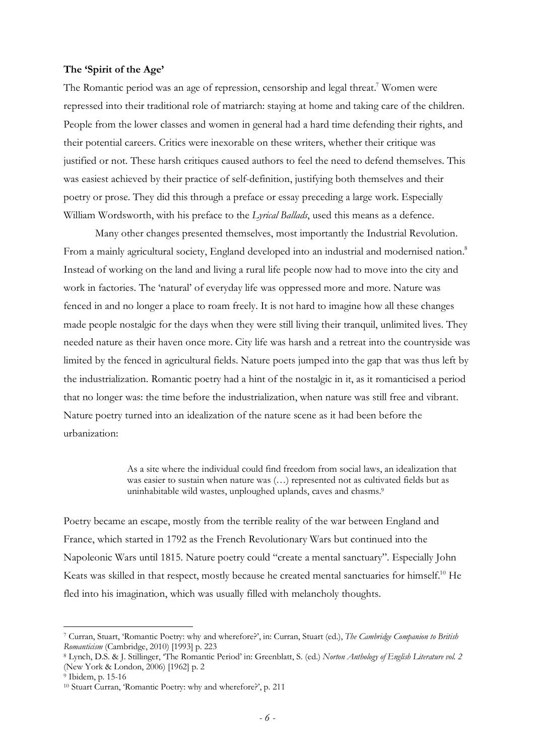## **The 'Spirit of the Age'**

The Romantic period was an age of repression, censorship and legal threat.<sup>7</sup> Women were repressed into their traditional role of matriarch: staying at home and taking care of the children. People from the lower classes and women in general had a hard time defending their rights, and their potential careers. Critics were inexorable on these writers, whether their critique was justified or not. These harsh critiques caused authors to feel the need to defend themselves. This was easiest achieved by their practice of self-definition, justifying both themselves and their poetry or prose. They did this through a preface or essay preceding a large work. Especially William Wordsworth, with his preface to the *Lyrical Ballads*, used this means as a defence.

Many other changes presented themselves, most importantly the Industrial Revolution. From a mainly agricultural society, England developed into an industrial and modernised nation.<sup>8</sup> Instead of working on the land and living a rural life people now had to move into the city and work in factories. The 'natural' of everyday life was oppressed more and more. Nature was fenced in and no longer a place to roam freely. It is not hard to imagine how all these changes made people nostalgic for the days when they were still living their tranquil, unlimited lives. They needed nature as their haven once more. City life was harsh and a retreat into the countryside was limited by the fenced in agricultural fields. Nature poets jumped into the gap that was thus left by the industrialization. Romantic poetry had a hint of the nostalgic in it, as it romanticised a period that no longer was: the time before the industrialization, when nature was still free and vibrant. Nature poetry turned into an idealization of the nature scene as it had been before the urbanization:

> As a site where the individual could find freedom from social laws, an idealization that was easier to sustain when nature was (…) represented not as cultivated fields but as uninhabitable wild wastes, unploughed uplands, caves and chasms.<sup>9</sup>

Poetry became an escape, mostly from the terrible reality of the war between England and France, which started in 1792 as the French Revolutionary Wars but continued into the Napoleonic Wars until 1815. Nature poetry could "create a mental sanctuary". Especially John Keats was skilled in that respect, mostly because he created mental sanctuaries for himself.<sup>10</sup> He fled into his imagination, which was usually filled with melancholy thoughts.

<sup>7</sup> Curran, Stuart, 'Romantic Poetry: why and wherefore?', in: Curran, Stuart (ed.), *The Cambridge Companion to British Romanticism* (Cambridge, 2010) [1993] p. 223

<sup>8</sup> Lynch, D.S. & J. Stillinger, 'The Romantic Period' in: Greenblatt, S. (ed.) *Norton Anthology of English Literature vol. 2* (New York & London, 2006) [1962] p. 2

<sup>9</sup> Ibidem, p. 15-16

<sup>10</sup> Stuart Curran, 'Romantic Poetry: why and wherefore?', p. 211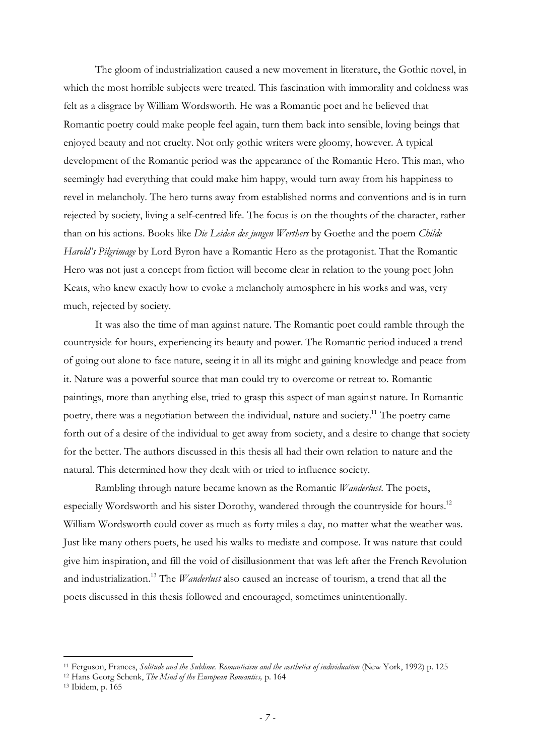The gloom of industrialization caused a new movement in literature, the Gothic novel, in which the most horrible subjects were treated. This fascination with immorality and coldness was felt as a disgrace by William Wordsworth. He was a Romantic poet and he believed that Romantic poetry could make people feel again, turn them back into sensible, loving beings that enjoyed beauty and not cruelty. Not only gothic writers were gloomy, however. A typical development of the Romantic period was the appearance of the Romantic Hero. This man, who seemingly had everything that could make him happy, would turn away from his happiness to revel in melancholy. The hero turns away from established norms and conventions and is in turn rejected by society, living a self-centred life. The focus is on the thoughts of the character, rather than on his actions. Books like *Die Leiden des jungen Werthers* by Goethe and the poem *Childe Harold's Pilgrimage* by Lord Byron have a Romantic Hero as the protagonist. That the Romantic Hero was not just a concept from fiction will become clear in relation to the young poet John Keats, who knew exactly how to evoke a melancholy atmosphere in his works and was, very much, rejected by society.

It was also the time of man against nature. The Romantic poet could ramble through the countryside for hours, experiencing its beauty and power. The Romantic period induced a trend of going out alone to face nature, seeing it in all its might and gaining knowledge and peace from it. Nature was a powerful source that man could try to overcome or retreat to. Romantic paintings, more than anything else, tried to grasp this aspect of man against nature. In Romantic poetry, there was a negotiation between the individual, nature and society.<sup>11</sup> The poetry came forth out of a desire of the individual to get away from society, and a desire to change that society for the better. The authors discussed in this thesis all had their own relation to nature and the natural. This determined how they dealt with or tried to influence society.

Rambling through nature became known as the Romantic *Wanderlust*. The poets, especially Wordsworth and his sister Dorothy, wandered through the countryside for hours.<sup>12</sup> William Wordsworth could cover as much as forty miles a day, no matter what the weather was. Just like many others poets, he used his walks to mediate and compose. It was nature that could give him inspiration, and fill the void of disillusionment that was left after the French Revolution and industrialization.<sup>13</sup> The *Wanderlust* also caused an increase of tourism, a trend that all the poets discussed in this thesis followed and encouraged, sometimes unintentionally.

<sup>11</sup> Ferguson, Frances, *Solitude and the Sublime. Romanticism and the aesthetics of individuation* (New York, 1992) p. 125

<sup>12</sup> Hans Georg Schenk, *The Mind of the European Romantics,* p. 164

<sup>13</sup> Ibidem, p. 165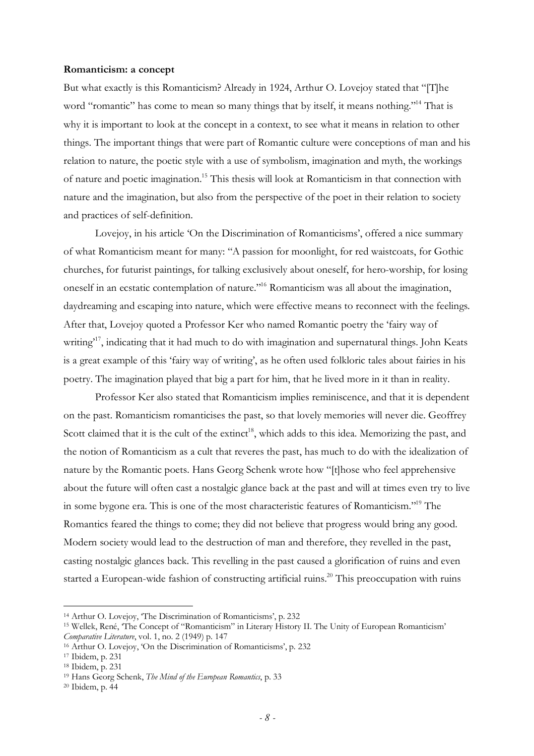#### **Romanticism: a concept**

But what exactly is this Romanticism? Already in 1924, Arthur O. Lovejoy stated that "[T]he word "romantic" has come to mean so many things that by itself, it means nothing."<sup>14</sup> That is why it is important to look at the concept in a context, to see what it means in relation to other things. The important things that were part of Romantic culture were conceptions of man and his relation to nature, the poetic style with a use of symbolism, imagination and myth, the workings of nature and poetic imagination.<sup>15</sup> This thesis will look at Romanticism in that connection with nature and the imagination, but also from the perspective of the poet in their relation to society and practices of self-definition.

Lovejoy, in his article 'On the Discrimination of Romanticisms', offered a nice summary of what Romanticism meant for many: "A passion for moonlight, for red waistcoats, for Gothic churches, for futurist paintings, for talking exclusively about oneself, for hero-worship, for losing oneself in an ecstatic contemplation of nature."<sup>16</sup> Romanticism was all about the imagination, daydreaming and escaping into nature, which were effective means to reconnect with the feelings. After that, Lovejoy quoted a Professor Ker who named Romantic poetry the 'fairy way of writing<sup>17</sup>, indicating that it had much to do with imagination and supernatural things. John Keats is a great example of this 'fairy way of writing', as he often used folkloric tales about fairies in his poetry. The imagination played that big a part for him, that he lived more in it than in reality.

Professor Ker also stated that Romanticism implies reminiscence, and that it is dependent on the past. Romanticism romanticises the past, so that lovely memories will never die. Geoffrey Scott claimed that it is the cult of the extinct<sup>18</sup>, which adds to this idea. Memorizing the past, and the notion of Romanticism as a cult that reveres the past, has much to do with the idealization of nature by the Romantic poets. Hans Georg Schenk wrote how "[t]hose who feel apprehensive about the future will often cast a nostalgic glance back at the past and will at times even try to live in some bygone era. This is one of the most characteristic features of Romanticism."<sup>19</sup> The Romantics feared the things to come; they did not believe that progress would bring any good. Modern society would lead to the destruction of man and therefore, they revelled in the past, casting nostalgic glances back. This revelling in the past caused a glorification of ruins and even started a European-wide fashion of constructing artificial ruins.<sup>20</sup> This preoccupation with ruins

<sup>14</sup> Arthur O. Lovejoy, 'The Discrimination of Romanticisms', p. 232

<sup>15</sup> Wellek, René, 'The Concept of "Romanticism" in Literary History II. The Unity of European Romanticism' *Comparative Literature*, vol. 1, no. 2 (1949) p. 147

<sup>16</sup> Arthur O. Lovejoy, 'On the Discrimination of Romanticisms', p. 232

<sup>17</sup> Ibidem, p. 231

<sup>18</sup> Ibidem, p. 231

<sup>19</sup> Hans Georg Schenk, *The Mind of the European Romantics*, p. 33

<sup>20</sup> Ibidem, p. 44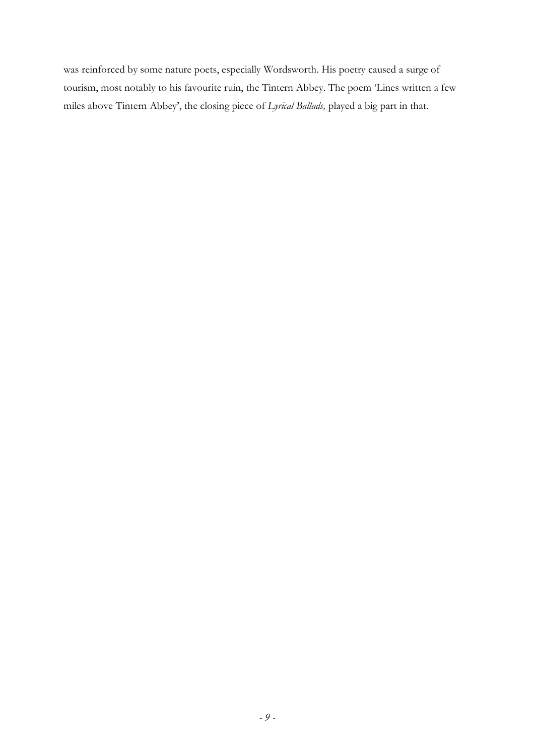was reinforced by some nature poets, especially Wordsworth. His poetry caused a surge of tourism, most notably to his favourite ruin, the Tintern Abbey. The poem 'Lines written a few miles above Tintern Abbey', the closing piece of *Lyrical Ballads,* played a big part in that.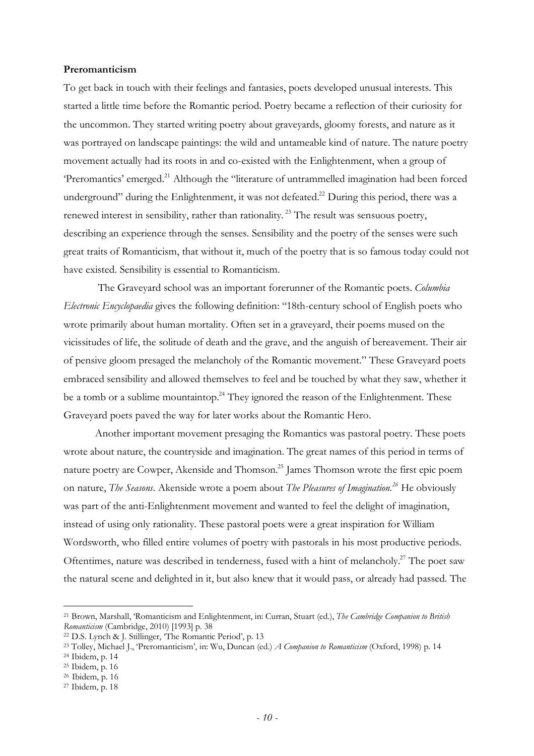## **Preromanticism**

To get back in touch with their feelings and fantasies, poets developed unusual interests. This started a little time before the Romantic period. Poetry became a reflection of their curiosity for the uncommon. They started writing poetry about graveyards, gloomy forests, and nature as it was portrayed on landscape paintings: the wild and untameable kind of nature. The nature poetry movement actually had its roots in and co-existed with the Enlightenment, when a group of 'Preromantics' emerged.<sup>21</sup> Although the "literature of untrammelled imagination had been forced underground" during the Enlightenment, it was not defeated.<sup>22</sup> During this period, there was a renewed interest in sensibility, rather than rationality.<sup>23</sup> The result was sensuous poetry, describing an experience through the senses. Sensibility and the poetry of the senses were such great traits of Romanticism, that without it, much of the poetry that is so famous today could not have existed. Sensibility is essential to Romanticism.

 The Graveyard school was an important forerunner of the Romantic poets. *Columbia Electronic Encyclopaedia* gives the following definition: "18th-century school of English poets who wrote primarily about human mortality. Often set in a graveyard, their poems mused on the vicissitudes of life, the solitude of death and the grave, and the anguish of bereavement. Their air of pensive gloom presaged the melancholy of the Romantic movement." These Graveyard poets embraced sensibility and allowed themselves to feel and be touched by what they saw, whether it be a tomb or a sublime mountaintop.<sup>24</sup> They ignored the reason of the Enlightenment. These Graveyard poets paved the way for later works about the Romantic Hero.

Another important movement presaging the Romantics was pastoral poetry. These poets wrote about nature, the countryside and imagination. The great names of this period in terms of nature poetry are Cowper, Akenside and Thomson.<sup>25</sup> James Thomson wrote the first epic poem on nature, *The Seasons*. Akenside wrote a poem about *The Pleasures of Imagination.<sup>26</sup>* He obviously was part of the anti-Enlightenment movement and wanted to feel the delight of imagination, instead of using only rationality. These pastoral poets were a great inspiration for William Wordsworth, who filled entire volumes of poetry with pastorals in his most productive periods. Oftentimes, nature was described in tenderness, fused with a hint of melancholy.<sup>27</sup> The poet saw the natural scene and delighted in it, but also knew that it would pass, or already had passed. The

<sup>21</sup> Brown, Marshall, 'Romanticism and Enlightenment, in: Curran, Stuart (ed.), *The Cambridge Companion to British Romanticism* (Cambridge, 2010) [1993] p. 38

<sup>22</sup> D.S. Lynch & J. Stillinger, 'The Romantic Period', p. 13

<sup>23</sup> Tolley, Michael J., 'Preromanticism', in: Wu, Duncan (ed.) *A Companion to Romanticism* (Oxford, 1998) p. 14

<sup>24</sup> Ibidem, p. 14

<sup>25</sup> Ibidem, p. 16

<sup>26</sup> Ibidem, p. 16

<sup>27</sup> Ibidem, p. 18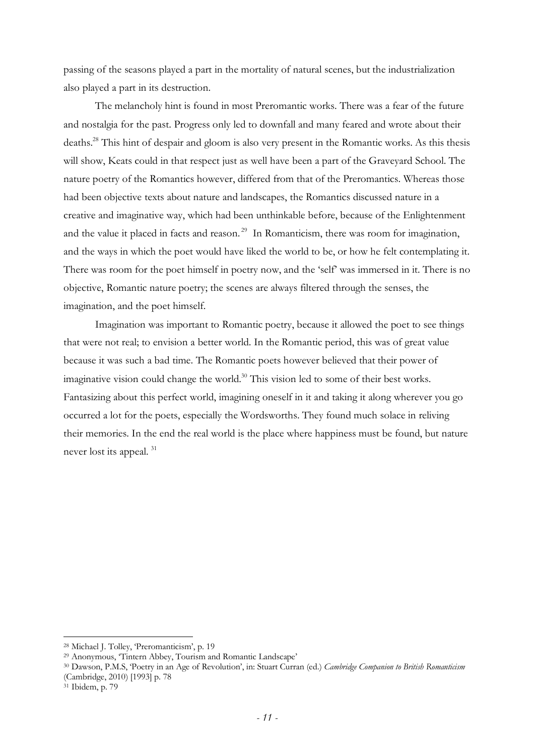passing of the seasons played a part in the mortality of natural scenes, but the industrialization also played a part in its destruction.

The melancholy hint is found in most Preromantic works. There was a fear of the future and nostalgia for the past. Progress only led to downfall and many feared and wrote about their deaths.<sup>28</sup> This hint of despair and gloom is also very present in the Romantic works. As this thesis will show, Keats could in that respect just as well have been a part of the Graveyard School. The nature poetry of the Romantics however, differed from that of the Preromantics. Whereas those had been objective texts about nature and landscapes, the Romantics discussed nature in a creative and imaginative way, which had been unthinkable before, because of the Enlightenment and the value it placed in facts and reason.<sup>29</sup> In Romanticism, there was room for imagination, and the ways in which the poet would have liked the world to be, or how he felt contemplating it. There was room for the poet himself in poetry now, and the 'self' was immersed in it. There is no objective, Romantic nature poetry; the scenes are always filtered through the senses, the imagination, and the poet himself.

Imagination was important to Romantic poetry, because it allowed the poet to see things that were not real; to envision a better world. In the Romantic period, this was of great value because it was such a bad time. The Romantic poets however believed that their power of imaginative vision could change the world.<sup>30</sup> This vision led to some of their best works. Fantasizing about this perfect world, imagining oneself in it and taking it along wherever you go occurred a lot for the poets, especially the Wordsworths. They found much solace in reliving their memories. In the end the real world is the place where happiness must be found, but nature never lost its appeal. <sup>31</sup>

<sup>28</sup> Michael J. Tolley, 'Preromanticism', p. 19

<sup>29</sup> Anonymous, 'Tintern Abbey, Tourism and Romantic Landscape'

<sup>30</sup> Dawson, P.M.S, 'Poetry in an Age of Revolution', in: Stuart Curran (ed.) *Cambridge Companion to British Romanticism* (Cambridge, 2010) [1993] p. 78

<sup>31</sup> Ibidem, p. 79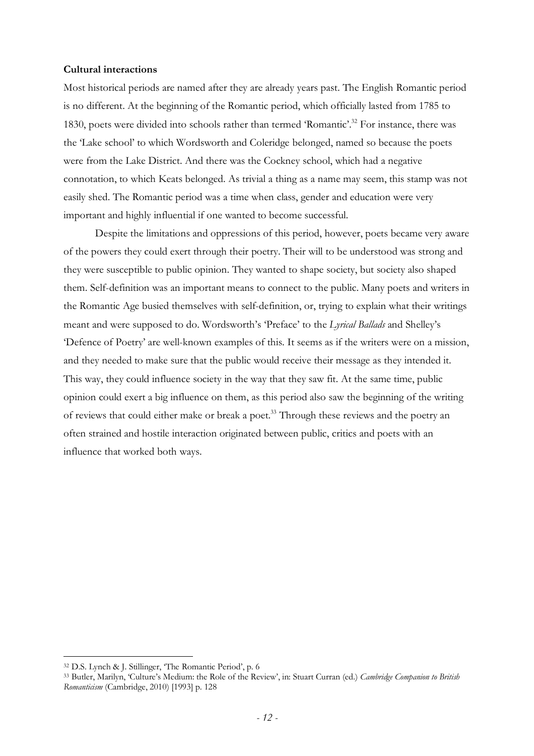## **Cultural interactions**

Most historical periods are named after they are already years past. The English Romantic period is no different. At the beginning of the Romantic period, which officially lasted from 1785 to 1830, poets were divided into schools rather than termed 'Romantic'.<sup>32</sup> For instance, there was the 'Lake school' to which Wordsworth and Coleridge belonged, named so because the poets were from the Lake District. And there was the Cockney school, which had a negative connotation, to which Keats belonged. As trivial a thing as a name may seem, this stamp was not easily shed. The Romantic period was a time when class, gender and education were very important and highly influential if one wanted to become successful.

Despite the limitations and oppressions of this period, however, poets became very aware of the powers they could exert through their poetry. Their will to be understood was strong and they were susceptible to public opinion. They wanted to shape society, but society also shaped them. Self-definition was an important means to connect to the public. Many poets and writers in the Romantic Age busied themselves with self-definition, or, trying to explain what their writings meant and were supposed to do. Wordsworth's 'Preface' to the *Lyrical Ballads* and Shelley's 'Defence of Poetry' are well-known examples of this. It seems as if the writers were on a mission, and they needed to make sure that the public would receive their message as they intended it. This way, they could influence society in the way that they saw fit. At the same time, public opinion could exert a big influence on them, as this period also saw the beginning of the writing of reviews that could either make or break a poet. <sup>33</sup> Through these reviews and the poetry an often strained and hostile interaction originated between public, critics and poets with an influence that worked both ways.

<sup>32</sup> D.S. Lynch & J. Stillinger, 'The Romantic Period', p. 6

<sup>33</sup> Butler, Marilyn, 'Culture's Medium: the Role of the Review', in: Stuart Curran (ed.) *Cambridge Companion to British Romanticism* (Cambridge, 2010) [1993] p. 128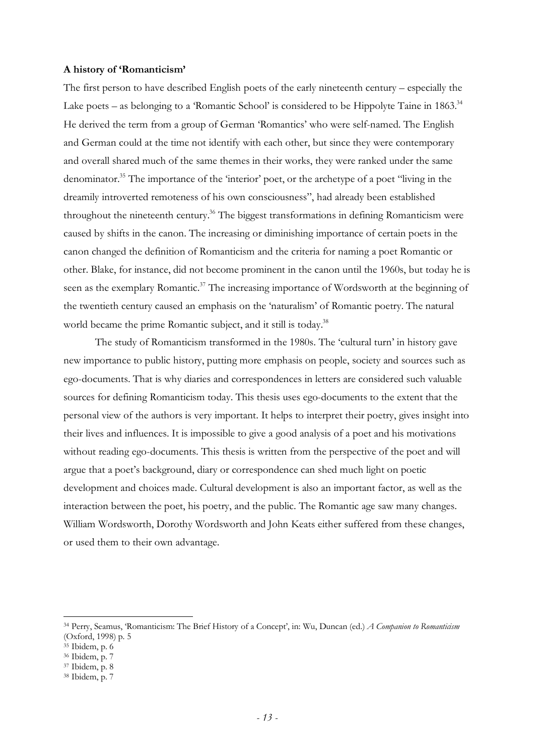### **A history of 'Romanticism'**

The first person to have described English poets of the early nineteenth century – especially the Lake poets – as belonging to a 'Romantic School' is considered to be Hippolyte Taine in  $1863$ <sup>34</sup> He derived the term from a group of German 'Romantics' who were self-named. The English and German could at the time not identify with each other, but since they were contemporary and overall shared much of the same themes in their works, they were ranked under the same denominator.<sup>35</sup> The importance of the 'interior' poet, or the archetype of a poet "living in the dreamily introverted remoteness of his own consciousness", had already been established throughout the nineteenth century.<sup>36</sup> The biggest transformations in defining Romanticism were caused by shifts in the canon. The increasing or diminishing importance of certain poets in the canon changed the definition of Romanticism and the criteria for naming a poet Romantic or other. Blake, for instance, did not become prominent in the canon until the 1960s, but today he is seen as the exemplary Romantic.<sup>37</sup> The increasing importance of Wordsworth at the beginning of the twentieth century caused an emphasis on the 'naturalism' of Romantic poetry. The natural world became the prime Romantic subject, and it still is today.<sup>38</sup>

The study of Romanticism transformed in the 1980s. The 'cultural turn' in history gave new importance to public history, putting more emphasis on people, society and sources such as ego-documents. That is why diaries and correspondences in letters are considered such valuable sources for defining Romanticism today. This thesis uses ego-documents to the extent that the personal view of the authors is very important. It helps to interpret their poetry, gives insight into their lives and influences. It is impossible to give a good analysis of a poet and his motivations without reading ego-documents. This thesis is written from the perspective of the poet and will argue that a poet's background, diary or correspondence can shed much light on poetic development and choices made. Cultural development is also an important factor, as well as the interaction between the poet, his poetry, and the public. The Romantic age saw many changes. William Wordsworth, Dorothy Wordsworth and John Keats either suffered from these changes, or used them to their own advantage.

<sup>34</sup> Perry, Seamus, 'Romanticism: The Brief History of a Concept', in: Wu, Duncan (ed.) *A Companion to Romanticism*  (Oxford, 1998) p. 5

<sup>35</sup> Ibidem, p. 6

<sup>36</sup> Ibidem, p. 7

<sup>37</sup> Ibidem, p. 8

<sup>38</sup> Ibidem, p. 7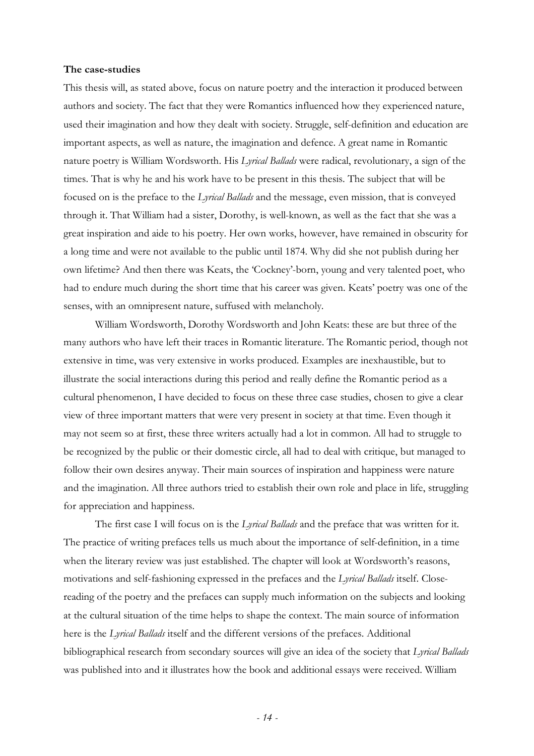#### **The case-studies**

This thesis will, as stated above, focus on nature poetry and the interaction it produced between authors and society. The fact that they were Romantics influenced how they experienced nature, used their imagination and how they dealt with society. Struggle, self-definition and education are important aspects, as well as nature, the imagination and defence. A great name in Romantic nature poetry is William Wordsworth. His *Lyrical Ballads* were radical, revolutionary, a sign of the times. That is why he and his work have to be present in this thesis. The subject that will be focused on is the preface to the *Lyrical Ballads* and the message, even mission, that is conveyed through it. That William had a sister, Dorothy, is well-known, as well as the fact that she was a great inspiration and aide to his poetry. Her own works, however, have remained in obscurity for a long time and were not available to the public until 1874. Why did she not publish during her own lifetime? And then there was Keats, the 'Cockney'-born, young and very talented poet, who had to endure much during the short time that his career was given. Keats' poetry was one of the senses, with an omnipresent nature, suffused with melancholy.

William Wordsworth, Dorothy Wordsworth and John Keats: these are but three of the many authors who have left their traces in Romantic literature. The Romantic period, though not extensive in time, was very extensive in works produced. Examples are inexhaustible, but to illustrate the social interactions during this period and really define the Romantic period as a cultural phenomenon, I have decided to focus on these three case studies, chosen to give a clear view of three important matters that were very present in society at that time. Even though it may not seem so at first, these three writers actually had a lot in common. All had to struggle to be recognized by the public or their domestic circle, all had to deal with critique, but managed to follow their own desires anyway. Their main sources of inspiration and happiness were nature and the imagination. All three authors tried to establish their own role and place in life, struggling for appreciation and happiness.

The first case I will focus on is the *Lyrical Ballads* and the preface that was written for it. The practice of writing prefaces tells us much about the importance of self-definition, in a time when the literary review was just established. The chapter will look at Wordsworth's reasons, motivations and self-fashioning expressed in the prefaces and the *Lyrical Ballads* itself. Closereading of the poetry and the prefaces can supply much information on the subjects and looking at the cultural situation of the time helps to shape the context. The main source of information here is the *Lyrical Ballads* itself and the different versions of the prefaces. Additional bibliographical research from secondary sources will give an idea of the society that *Lyrical Ballads* was published into and it illustrates how the book and additional essays were received. William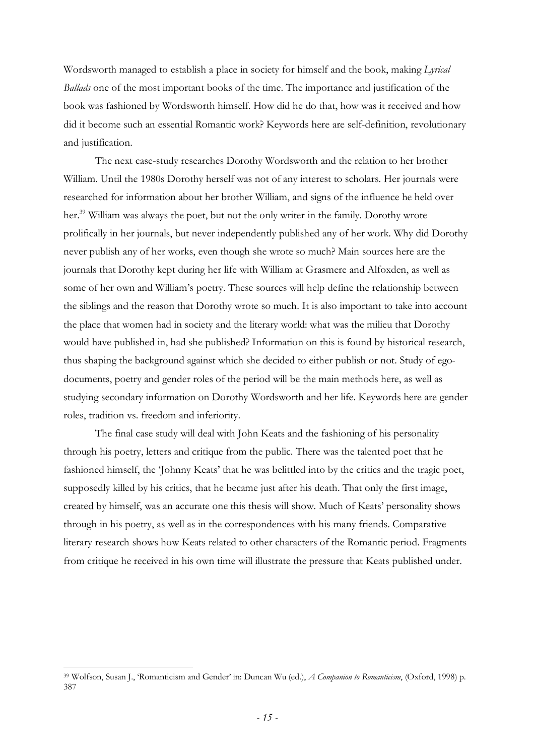Wordsworth managed to establish a place in society for himself and the book, making *Lyrical Ballads* one of the most important books of the time. The importance and justification of the book was fashioned by Wordsworth himself. How did he do that, how was it received and how did it become such an essential Romantic work? Keywords here are self-definition, revolutionary and justification.

The next case-study researches Dorothy Wordsworth and the relation to her brother William. Until the 1980s Dorothy herself was not of any interest to scholars. Her journals were researched for information about her brother William, and signs of the influence he held over her.<sup>39</sup> William was always the poet, but not the only writer in the family. Dorothy wrote prolifically in her journals, but never independently published any of her work. Why did Dorothy never publish any of her works, even though she wrote so much? Main sources here are the journals that Dorothy kept during her life with William at Grasmere and Alfoxden, as well as some of her own and William's poetry. These sources will help define the relationship between the siblings and the reason that Dorothy wrote so much. It is also important to take into account the place that women had in society and the literary world: what was the milieu that Dorothy would have published in, had she published? Information on this is found by historical research, thus shaping the background against which she decided to either publish or not. Study of egodocuments, poetry and gender roles of the period will be the main methods here, as well as studying secondary information on Dorothy Wordsworth and her life. Keywords here are gender roles, tradition vs. freedom and inferiority.

The final case study will deal with John Keats and the fashioning of his personality through his poetry, letters and critique from the public. There was the talented poet that he fashioned himself, the 'Johnny Keats' that he was belittled into by the critics and the tragic poet, supposedly killed by his critics, that he became just after his death. That only the first image, created by himself, was an accurate one this thesis will show. Much of Keats' personality shows through in his poetry, as well as in the correspondences with his many friends. Comparative literary research shows how Keats related to other characters of the Romantic period. Fragments from critique he received in his own time will illustrate the pressure that Keats published under.

<sup>39</sup> Wolfson, Susan J., 'Romanticism and Gender' in: Duncan Wu (ed.), *A Companion to Romanticism*, (Oxford, 1998) p. 387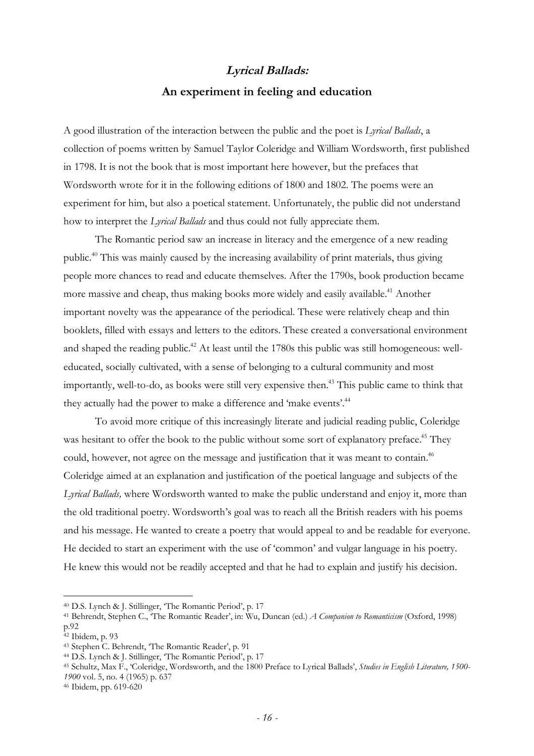## *Lyrical Ballads:*  **An experiment in feeling and education**

A good illustration of the interaction between the public and the poet is *Lyrical Ballads*, a collection of poems written by Samuel Taylor Coleridge and William Wordsworth, first published in 1798. It is not the book that is most important here however, but the prefaces that Wordsworth wrote for it in the following editions of 1800 and 1802. The poems were an experiment for him, but also a poetical statement. Unfortunately, the public did not understand how to interpret the *Lyrical Ballads* and thus could not fully appreciate them.

The Romantic period saw an increase in literacy and the emergence of a new reading public.<sup>40</sup> This was mainly caused by the increasing availability of print materials, thus giving people more chances to read and educate themselves. After the 1790s, book production became more massive and cheap, thus making books more widely and easily available.<sup>41</sup> Another important novelty was the appearance of the periodical. These were relatively cheap and thin booklets, filled with essays and letters to the editors. These created a conversational environment and shaped the reading public.<sup>42</sup> At least until the 1780s this public was still homogeneous: welleducated, socially cultivated, with a sense of belonging to a cultural community and most importantly, well-to-do, as books were still very expensive then.<sup>43</sup> This public came to think that they actually had the power to make a difference and 'make events'.<sup>44</sup>

To avoid more critique of this increasingly literate and judicial reading public, Coleridge was hesitant to offer the book to the public without some sort of explanatory preface.<sup>45</sup> They could, however, not agree on the message and justification that it was meant to contain.<sup>46</sup> Coleridge aimed at an explanation and justification of the poetical language and subjects of the *Lyrical Ballads,* where Wordsworth wanted to make the public understand and enjoy it, more than the old traditional poetry. Wordsworth's goal was to reach all the British readers with his poems and his message. He wanted to create a poetry that would appeal to and be readable for everyone. He decided to start an experiment with the use of 'common' and vulgar language in his poetry. He knew this would not be readily accepted and that he had to explain and justify his decision.

<sup>40</sup> D.S. Lynch & J. Stillinger, 'The Romantic Period', p. 17

<sup>41</sup> Behrendt, Stephen C., 'The Romantic Reader', in: Wu, Duncan (ed.) *A Companion to Romanticism* (Oxford, 1998) p.92

<sup>42</sup> Ibidem, p. 93

<sup>43</sup> Stephen C. Behrendt, 'The Romantic Reader', p. 91

<sup>44</sup> D.S. Lynch & J. Stillinger, 'The Romantic Period', p. 17

<sup>45</sup> Schultz, Max F., 'Coleridge, Wordsworth, and the 1800 Preface to Lyrical Ballads', *Studies in English Literature, 1500- 1900* vol. 5, no. 4 (1965) p. 637

<sup>46</sup> Ibidem, pp. 619-620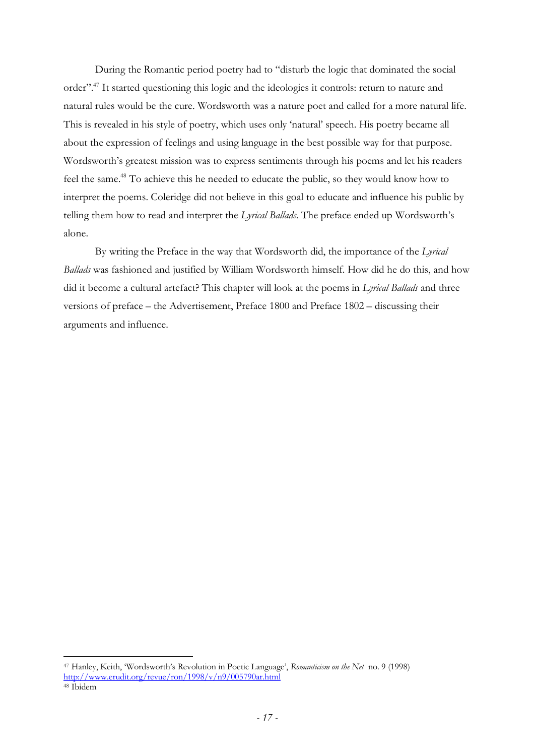During the Romantic period poetry had to "disturb the logic that dominated the social order".<sup>47</sup> It started questioning this logic and the ideologies it controls: return to nature and natural rules would be the cure. Wordsworth was a nature poet and called for a more natural life. This is revealed in his style of poetry, which uses only 'natural' speech. His poetry became all about the expression of feelings and using language in the best possible way for that purpose. Wordsworth's greatest mission was to express sentiments through his poems and let his readers feel the same.<sup>48</sup> To achieve this he needed to educate the public, so they would know how to interpret the poems. Coleridge did not believe in this goal to educate and influence his public by telling them how to read and interpret the *Lyrical Ballads*. The preface ended up Wordsworth's alone.

By writing the Preface in the way that Wordsworth did, the importance of the *Lyrical Ballads* was fashioned and justified by William Wordsworth himself. How did he do this, and how did it become a cultural artefact? This chapter will look at the poems in *Lyrical Ballads* and three versions of preface – the Advertisement, Preface 1800 and Preface 1802 – discussing their arguments and influence.

<sup>47</sup> Hanley, Keith, 'Wordsworth's Revolution in Poetic Language', *Romanticism on the Net* no. 9 (1998) http://www.erudit.org/revue/ron/1998/v/n9/005790ar.html

<sup>48</sup> Ibidem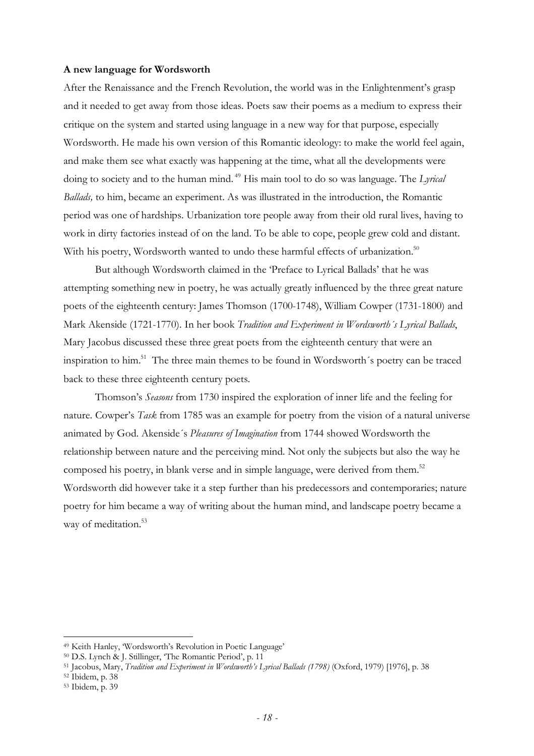#### **A new language for Wordsworth**

After the Renaissance and the French Revolution, the world was in the Enlightenment's grasp and it needed to get away from those ideas. Poets saw their poems as a medium to express their critique on the system and started using language in a new way for that purpose, especially Wordsworth. He made his own version of this Romantic ideology: to make the world feel again, and make them see what exactly was happening at the time, what all the developments were doing to society and to the human mind. <sup>49</sup> His main tool to do so was language. The *Lyrical Ballads,* to him, became an experiment. As was illustrated in the introduction, the Romantic period was one of hardships. Urbanization tore people away from their old rural lives, having to work in dirty factories instead of on the land. To be able to cope, people grew cold and distant. With his poetry, Wordsworth wanted to undo these harmful effects of urbanization.<sup>50</sup>

But although Wordsworth claimed in the 'Preface to Lyrical Ballads' that he was attempting something new in poetry, he was actually greatly influenced by the three great nature poets of the eighteenth century: James Thomson (1700-1748), William Cowper (1731-1800) and Mark Akenside (1721-1770). In her book *Tradition and Experiment in Wordsworth´s Lyrical Ballads*, Mary Jacobus discussed these three great poets from the eighteenth century that were an inspiration to him.<sup>51</sup> The three main themes to be found in Wordsworth´s poetry can be traced back to these three eighteenth century poets.

Thomson's *Seasons* from 1730 inspired the exploration of inner life and the feeling for nature. Cowper's *Task* from 1785 was an example for poetry from the vision of a natural universe animated by God. Akenside´s *Pleasures of Imagination* from 1744 showed Wordsworth the relationship between nature and the perceiving mind. Not only the subjects but also the way he composed his poetry, in blank verse and in simple language, were derived from them.<sup>52</sup> Wordsworth did however take it a step further than his predecessors and contemporaries; nature poetry for him became a way of writing about the human mind, and landscape poetry became a way of meditation.<sup>53</sup>

<sup>49</sup> Keith Hanley, 'Wordsworth's Revolution in Poetic Language'

<sup>50</sup> D.S. Lynch & J. Stillinger, 'The Romantic Period', p. 11

<sup>&</sup>lt;sup>51</sup> Jacobus, Mary, *Tradition and Experiment in Wordsworth's Lyrical Ballads (1798)* (Oxford, 1979) [1976], p. 38

<sup>52</sup> Ibidem, p. 38

<sup>53</sup> Ibidem, p. 39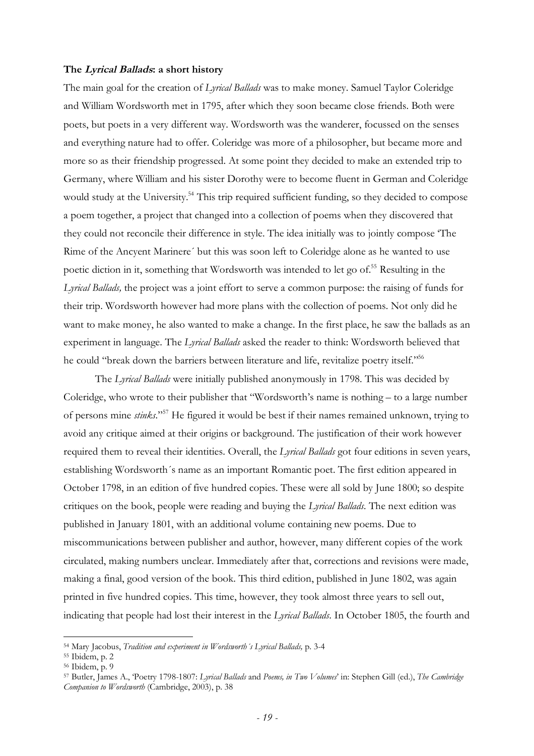#### **The** *Lyrical Ballads***: a short history**

The main goal for the creation of *Lyrical Ballads* was to make money. Samuel Taylor Coleridge and William Wordsworth met in 1795, after which they soon became close friends. Both were poets, but poets in a very different way. Wordsworth was the wanderer, focussed on the senses and everything nature had to offer. Coleridge was more of a philosopher, but became more and more so as their friendship progressed. At some point they decided to make an extended trip to Germany, where William and his sister Dorothy were to become fluent in German and Coleridge would study at the University.<sup>54</sup> This trip required sufficient funding, so they decided to compose a poem together, a project that changed into a collection of poems when they discovered that they could not reconcile their difference in style. The idea initially was to jointly compose 'The Rime of the Ancyent Marinere´ but this was soon left to Coleridge alone as he wanted to use poetic diction in it, something that Wordsworth was intended to let go of. <sup>55</sup> Resulting in the *Lyrical Ballads,* the project was a joint effort to serve a common purpose: the raising of funds for their trip. Wordsworth however had more plans with the collection of poems. Not only did he want to make money, he also wanted to make a change. In the first place, he saw the ballads as an experiment in language. The *Lyrical Ballads* asked the reader to think: Wordsworth believed that he could "break down the barriers between literature and life, revitalize poetry itself."<sup>56</sup>

The *Lyrical Ballads* were initially published anonymously in 1798. This was decided by Coleridge, who wrote to their publisher that "Wordsworth's name is nothing – to a large number of persons mine *stinks*."<sup>57</sup> He figured it would be best if their names remained unknown, trying to avoid any critique aimed at their origins or background. The justification of their work however required them to reveal their identities. Overall, the *Lyrical Ballads* got four editions in seven years, establishing Wordsworth´s name as an important Romantic poet. The first edition appeared in October 1798, in an edition of five hundred copies. These were all sold by June 1800; so despite critiques on the book, people were reading and buying the *Lyrical Ballads.* The next edition was published in January 1801, with an additional volume containing new poems. Due to miscommunications between publisher and author, however, many different copies of the work circulated, making numbers unclear. Immediately after that, corrections and revisions were made, making a final, good version of the book. This third edition, published in June 1802, was again printed in five hundred copies. This time, however, they took almost three years to sell out, indicating that people had lost their interest in the *Lyrical Ballads*. In October 1805, the fourth and

<sup>54</sup> Mary Jacobus, *Tradition and experiment in Wordsworth´s Lyrical Ballads,* p. 3-4

<sup>55</sup> Ibidem, p. 2

<sup>56</sup> Ibidem, p. 9

<sup>57</sup> Butler, James A., 'Poetry 1798-1807: *Lyrical Ballads* and *Poems, in Two Volumes*' in: Stephen Gill (ed.), *The Cambridge Companion to Wordsworth* (Cambridge, 2003), p. 38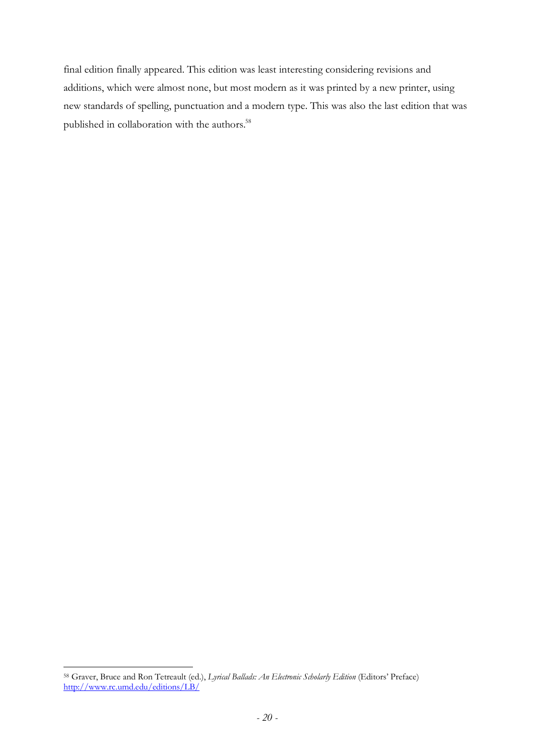final edition finally appeared. This edition was least interesting considering revisions and additions, which were almost none, but most modern as it was printed by a new printer, using new standards of spelling, punctuation and a modern type. This was also the last edition that was published in collaboration with the authors.<sup>58</sup>

 $\overline{a}$ <sup>58</sup> Graver, Bruce and Ron Tetreault (ed.), *Lyrical Ballads: An Electronic Scholarly Edition* (Editors' Preface) http://www.rc.umd.edu/editions/LB/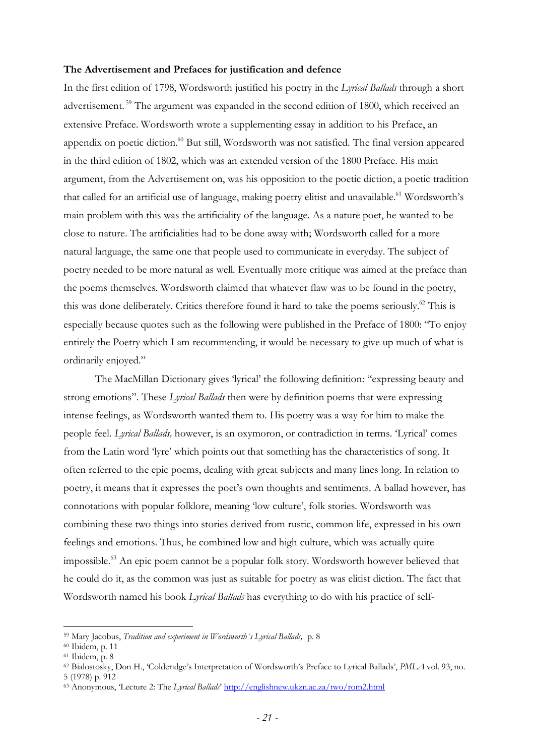#### **The Advertisement and Prefaces for justification and defence**

In the first edition of 1798, Wordsworth justified his poetry in the *Lyrical Ballads* through a short advertisement.<sup>59</sup> The argument was expanded in the second edition of 1800, which received an extensive Preface. Wordsworth wrote a supplementing essay in addition to his Preface, an appendix on poetic diction.<sup>60</sup> But still, Wordsworth was not satisfied. The final version appeared in the third edition of 1802, which was an extended version of the 1800 Preface. His main argument, from the Advertisement on, was his opposition to the poetic diction, a poetic tradition that called for an artificial use of language, making poetry elitist and unavailable.<sup>61</sup> Wordsworth's main problem with this was the artificiality of the language. As a nature poet, he wanted to be close to nature. The artificialities had to be done away with; Wordsworth called for a more natural language, the same one that people used to communicate in everyday. The subject of poetry needed to be more natural as well. Eventually more critique was aimed at the preface than the poems themselves. Wordsworth claimed that whatever flaw was to be found in the poetry, this was done deliberately. Critics therefore found it hard to take the poems seriously.<sup>62</sup> This is especially because quotes such as the following were published in the Preface of 1800: "To enjoy entirely the Poetry which I am recommending, it would be necessary to give up much of what is ordinarily enjoyed."

The MacMillan Dictionary gives 'lyrical' the following definition: "expressing beauty and strong emotions". These *Lyrical Ballads* then were by definition poems that were expressing intense feelings, as Wordsworth wanted them to. His poetry was a way for him to make the people feel. *Lyrical Ballads,* however, is an oxymoron, or contradiction in terms. 'Lyrical' comes from the Latin word 'lyre' which points out that something has the characteristics of song. It often referred to the epic poems, dealing with great subjects and many lines long. In relation to poetry, it means that it expresses the poet's own thoughts and sentiments. A ballad however, has connotations with popular folklore, meaning 'low culture', folk stories. Wordsworth was combining these two things into stories derived from rustic, common life, expressed in his own feelings and emotions. Thus, he combined low and high culture, which was actually quite impossible.<sup>63</sup> An epic poem cannot be a popular folk story. Wordsworth however believed that he could do it, as the common was just as suitable for poetry as was elitist diction. The fact that Wordsworth named his book *Lyrical Ballads* has everything to do with his practice of self-

<sup>59</sup> Mary Jacobus, *Tradition and experiment in Wordsworth´s Lyrical Ballads,* p. 8

<sup>60</sup> Ibidem, p. 11

<sup>61</sup> Ibidem, p. 8

<sup>62</sup> Bialostosky, Don H., 'Colderidge's Interpretation of Wordsworth's Preface to Lyrical Ballads', *PMLA* vol. 93, no.

<sup>5 (1978)</sup> p. 912

<sup>63</sup> Anonymous, 'Lecture 2: The *Lyrical Ballads*' http://englishnew.ukzn.ac.za/two/rom2.html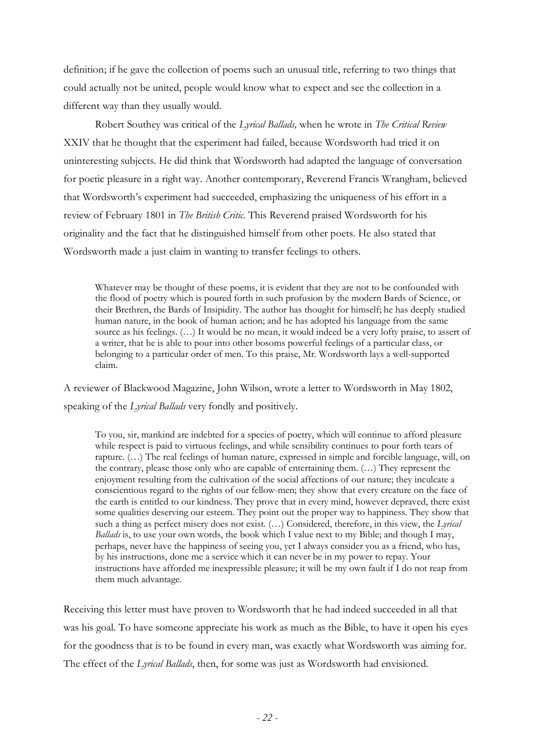definition; if he gave the collection of poems such an unusual title, referring to two things that could actually not be united, people would know what to expect and see the collection in a different way than they usually would.

Robert Southey was critical of the *Lyrical Ballads,* when he wrote in *The Critical Review*  XXIV that he thought that the experiment had failed, because Wordsworth had tried it on uninteresting subjects. He did think that Wordsworth had adapted the language of conversation for poetic pleasure in a right way. Another contemporary, Reverend Francis Wrangham, believed that Wordsworth's experiment had succeeded, emphasizing the uniqueness of his effort in a review of February 1801 in *The British Critic.* This Reverend praised Wordsworth for his originality and the fact that he distinguished himself from other poets. He also stated that Wordsworth made a just claim in wanting to transfer feelings to others.

Whatever may be thought of these poems, it is evident that they are not to be confounded with the flood of poetry which is poured forth in such profusion by the modern Bards of Science, or their Brethren, the Bards of Insipidity. The author has thought for himself; he has deeply studied human nature, in the book of human action; and he has adopted his language from the same source as his feelings. (…) It would be no mean, it would indeed be a very lofty praise, to assert of a writer, that he is able to pour into other bosoms powerful feelings of a particular class, or belonging to a particular order of men. To this praise, Mr. Wordsworth lays a well-supported claim.

A reviewer of Blackwood Magazine, John Wilson, wrote a letter to Wordsworth in May 1802, speaking of the *Lyrical Ballads* very fondly and positively.

To you, sir, mankind are indebted for a species of poetry, which will continue to afford pleasure while respect is paid to virtuous feelings, and while sensibility continues to pour forth tears of rapture. (…) The real feelings of human nature, expressed in simple and forcible language, will, on the contrary, please those only who are capable of entertaining them. (…) They represent the enjoyment resulting from the cultivation of the social affections of our nature; they inculcate a conscientious regard to the rights of our fellow-men; they show that every creature on the face of the earth is entitled to our kindness. They prove that in every mind, however depraved, there exist some qualities deserving our esteem. They point out the proper way to happiness. They show that such a thing as perfect misery does not exist. (…) Considered, therefore, in this view, the *Lyrical Ballads* is, to use your own words, the book which I value next to my Bible; and though I may, perhaps, never have the happiness of seeing you, yet I always consider you as a friend, who has, by his instructions, done me a service which it can never be in my power to repay. Your instructions have afforded me inexpressible pleasure; it will be my own fault if I do not reap from them much advantage.

Receiving this letter must have proven to Wordsworth that he had indeed succeeded in all that was his goal. To have someone appreciate his work as much as the Bible, to have it open his eyes for the goodness that is to be found in every man, was exactly what Wordsworth was aiming for. The effect of the *Lyrical Ballads*, then, for some was just as Wordsworth had envisioned.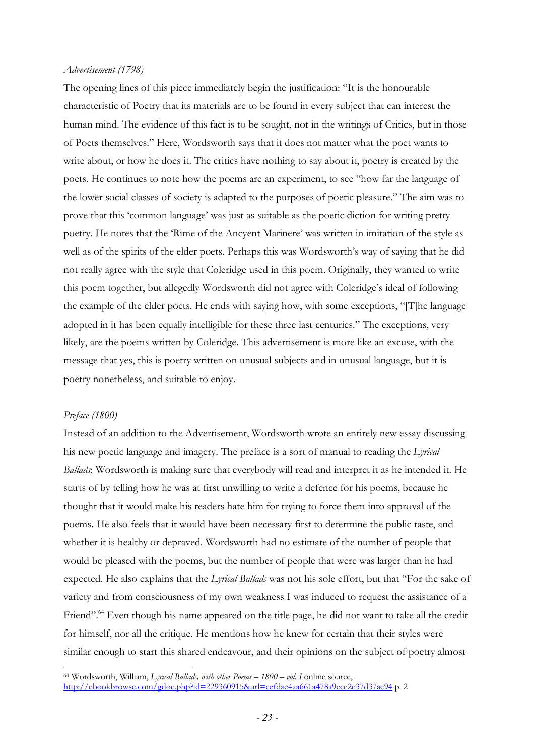#### *Advertisement (1798)*

The opening lines of this piece immediately begin the justification: "It is the honourable characteristic of Poetry that its materials are to be found in every subject that can interest the human mind. The evidence of this fact is to be sought, not in the writings of Critics, but in those of Poets themselves." Here, Wordsworth says that it does not matter what the poet wants to write about, or how he does it. The critics have nothing to say about it, poetry is created by the poets. He continues to note how the poems are an experiment, to see "how far the language of the lower social classes of society is adapted to the purposes of poetic pleasure." The aim was to prove that this 'common language' was just as suitable as the poetic diction for writing pretty poetry. He notes that the 'Rime of the Ancyent Marinere' was written in imitation of the style as well as of the spirits of the elder poets. Perhaps this was Wordsworth's way of saying that he did not really agree with the style that Coleridge used in this poem. Originally, they wanted to write this poem together, but allegedly Wordsworth did not agree with Coleridge's ideal of following the example of the elder poets. He ends with saying how, with some exceptions, "[T]he language adopted in it has been equally intelligible for these three last centuries." The exceptions, very likely, are the poems written by Coleridge. This advertisement is more like an excuse, with the message that yes, this is poetry written on unusual subjects and in unusual language, but it is poetry nonetheless, and suitable to enjoy.

#### *Preface (1800)*

 $\overline{a}$ 

Instead of an addition to the Advertisement, Wordsworth wrote an entirely new essay discussing his new poetic language and imagery. The preface is a sort of manual to reading the *Lyrical Ballads*: Wordsworth is making sure that everybody will read and interpret it as he intended it. He starts of by telling how he was at first unwilling to write a defence for his poems, because he thought that it would make his readers hate him for trying to force them into approval of the poems. He also feels that it would have been necessary first to determine the public taste, and whether it is healthy or depraved. Wordsworth had no estimate of the number of people that would be pleased with the poems, but the number of people that were was larger than he had expected. He also explains that the *Lyrical Ballads* was not his sole effort, but that "For the sake of variety and from consciousness of my own weakness I was induced to request the assistance of a Friend".<sup>64</sup> Even though his name appeared on the title page, he did not want to take all the credit for himself, nor all the critique. He mentions how he knew for certain that their styles were similar enough to start this shared endeavour, and their opinions on the subject of poetry almost

<sup>64</sup> Wordsworth, William, *Lyrical Ballads, with other Poems – 1800 – vol. I* online source, http://ebookbrowse.com/gdoc.php?id=229360915&url=cefdae4aa661a478a9ece2e37d37ac94 p. 2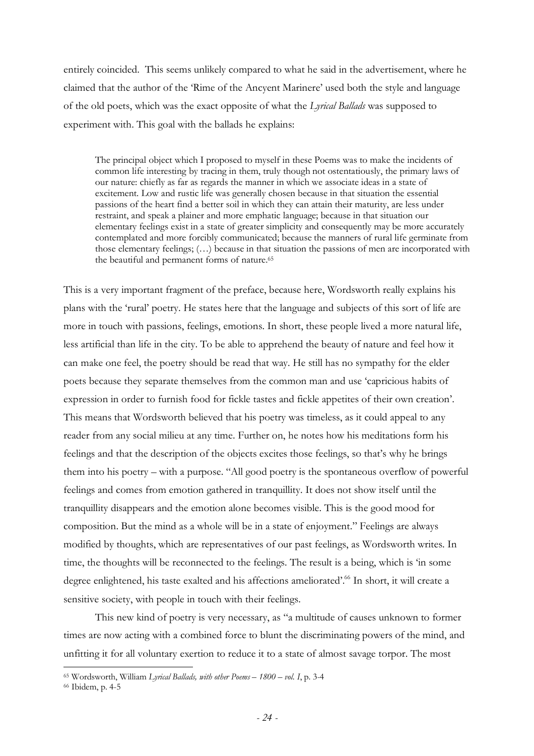entirely coincided. This seems unlikely compared to what he said in the advertisement, where he claimed that the author of the 'Rime of the Ancyent Marinere' used both the style and language of the old poets, which was the exact opposite of what the *Lyrical Ballads* was supposed to experiment with. This goal with the ballads he explains:

The principal object which I proposed to myself in these Poems was to make the incidents of common life interesting by tracing in them, truly though not ostentatiously, the primary laws of our nature: chiefly as far as regards the manner in which we associate ideas in a state of excitement. Low and rustic life was generally chosen because in that situation the essential passions of the heart find a better soil in which they can attain their maturity, are less under restraint, and speak a plainer and more emphatic language; because in that situation our elementary feelings exist in a state of greater simplicity and consequently may be more accurately contemplated and more forcibly communicated; because the manners of rural life germinate from those elementary feelings; (…) because in that situation the passions of men are incorporated with the beautiful and permanent forms of nature.<sup>65</sup>

This is a very important fragment of the preface, because here, Wordsworth really explains his plans with the 'rural' poetry. He states here that the language and subjects of this sort of life are more in touch with passions, feelings, emotions. In short, these people lived a more natural life, less artificial than life in the city. To be able to apprehend the beauty of nature and feel how it can make one feel, the poetry should be read that way. He still has no sympathy for the elder poets because they separate themselves from the common man and use 'capricious habits of expression in order to furnish food for fickle tastes and fickle appetites of their own creation'. This means that Wordsworth believed that his poetry was timeless, as it could appeal to any reader from any social milieu at any time. Further on, he notes how his meditations form his feelings and that the description of the objects excites those feelings, so that's why he brings them into his poetry – with a purpose. "All good poetry is the spontaneous overflow of powerful feelings and comes from emotion gathered in tranquillity. It does not show itself until the tranquillity disappears and the emotion alone becomes visible. This is the good mood for composition. But the mind as a whole will be in a state of enjoyment." Feelings are always modified by thoughts, which are representatives of our past feelings, as Wordsworth writes. In time, the thoughts will be reconnected to the feelings. The result is a being, which is 'in some degree enlightened, his taste exalted and his affections ameliorated'.<sup>66</sup> In short, it will create a sensitive society, with people in touch with their feelings.

This new kind of poetry is very necessary, as "a multitude of causes unknown to former times are now acting with a combined force to blunt the discriminating powers of the mind, and unfitting it for all voluntary exertion to reduce it to a state of almost savage torpor. The most

<sup>65</sup> Wordsworth, William *Lyrical Ballads, with other Poems – 1800 – vol. I*, p. 3-4

<sup>66</sup> Ibidem, p. 4-5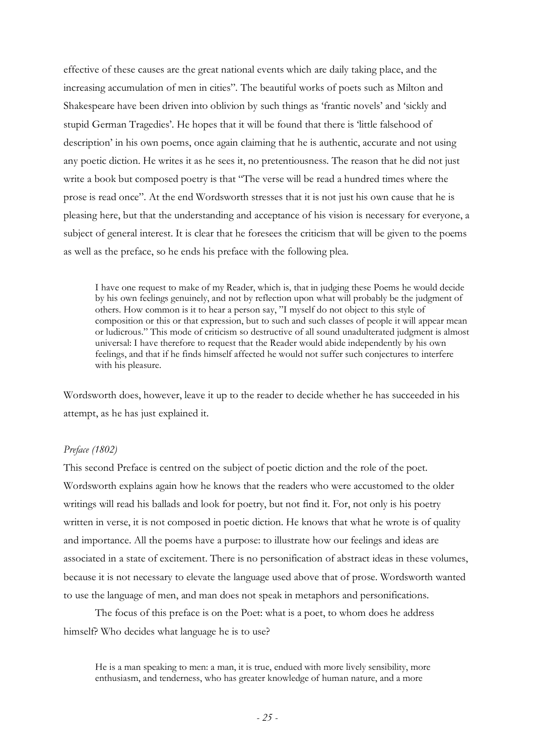effective of these causes are the great national events which are daily taking place, and the increasing accumulation of men in cities". The beautiful works of poets such as Milton and Shakespeare have been driven into oblivion by such things as 'frantic novels' and 'sickly and stupid German Tragedies'. He hopes that it will be found that there is 'little falsehood of description' in his own poems, once again claiming that he is authentic, accurate and not using any poetic diction. He writes it as he sees it, no pretentiousness. The reason that he did not just write a book but composed poetry is that "The verse will be read a hundred times where the prose is read once". At the end Wordsworth stresses that it is not just his own cause that he is pleasing here, but that the understanding and acceptance of his vision is necessary for everyone, a subject of general interest. It is clear that he foresees the criticism that will be given to the poems as well as the preface, so he ends his preface with the following plea.

I have one request to make of my Reader, which is, that in judging these Poems he would decide by his own feelings genuinely, and not by reflection upon what will probably be the judgment of others. How common is it to hear a person say, "I myself do not object to this style of composition or this or that expression, but to such and such classes of people it will appear mean or ludicrous." This mode of criticism so destructive of all sound unadulterated judgment is almost universal: I have therefore to request that the Reader would abide independently by his own feelings, and that if he finds himself affected he would not suffer such conjectures to interfere with his pleasure.

Wordsworth does, however, leave it up to the reader to decide whether he has succeeded in his attempt, as he has just explained it.

## *Preface (1802)*

This second Preface is centred on the subject of poetic diction and the role of the poet. Wordsworth explains again how he knows that the readers who were accustomed to the older writings will read his ballads and look for poetry, but not find it. For, not only is his poetry written in verse, it is not composed in poetic diction. He knows that what he wrote is of quality and importance. All the poems have a purpose: to illustrate how our feelings and ideas are associated in a state of excitement. There is no personification of abstract ideas in these volumes, because it is not necessary to elevate the language used above that of prose. Wordsworth wanted to use the language of men, and man does not speak in metaphors and personifications.

The focus of this preface is on the Poet: what is a poet, to whom does he address himself? Who decides what language he is to use?

He is a man speaking to men: a man, it is true, endued with more lively sensibility, more enthusiasm, and tenderness, who has greater knowledge of human nature, and a more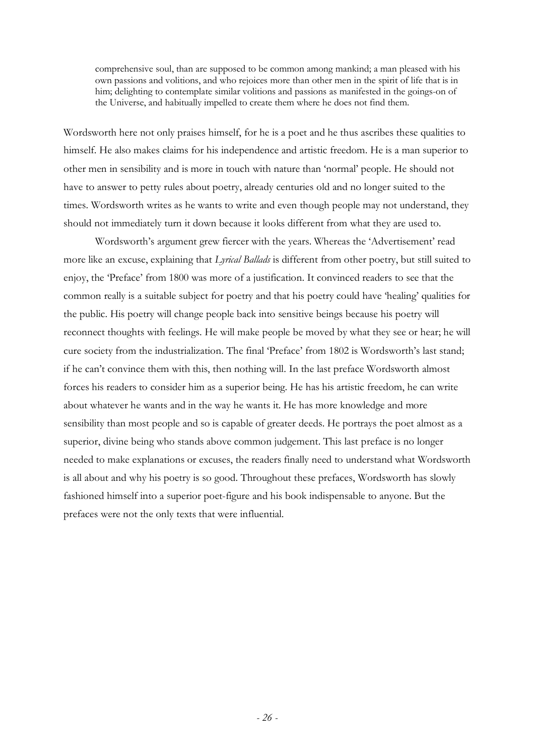comprehensive soul, than are supposed to be common among mankind; a man pleased with his own passions and volitions, and who rejoices more than other men in the spirit of life that is in him; delighting to contemplate similar volitions and passions as manifested in the goings-on of the Universe, and habitually impelled to create them where he does not find them.

Wordsworth here not only praises himself, for he is a poet and he thus ascribes these qualities to himself. He also makes claims for his independence and artistic freedom. He is a man superior to other men in sensibility and is more in touch with nature than 'normal' people. He should not have to answer to petty rules about poetry, already centuries old and no longer suited to the times. Wordsworth writes as he wants to write and even though people may not understand, they should not immediately turn it down because it looks different from what they are used to.

Wordsworth's argument grew fiercer with the years. Whereas the 'Advertisement' read more like an excuse, explaining that *Lyrical Ballads* is different from other poetry, but still suited to enjoy, the 'Preface' from 1800 was more of a justification. It convinced readers to see that the common really is a suitable subject for poetry and that his poetry could have 'healing' qualities for the public. His poetry will change people back into sensitive beings because his poetry will reconnect thoughts with feelings. He will make people be moved by what they see or hear; he will cure society from the industrialization. The final 'Preface' from 1802 is Wordsworth's last stand; if he can't convince them with this, then nothing will. In the last preface Wordsworth almost forces his readers to consider him as a superior being. He has his artistic freedom, he can write about whatever he wants and in the way he wants it. He has more knowledge and more sensibility than most people and so is capable of greater deeds. He portrays the poet almost as a superior, divine being who stands above common judgement. This last preface is no longer needed to make explanations or excuses, the readers finally need to understand what Wordsworth is all about and why his poetry is so good. Throughout these prefaces, Wordsworth has slowly fashioned himself into a superior poet-figure and his book indispensable to anyone. But the prefaces were not the only texts that were influential.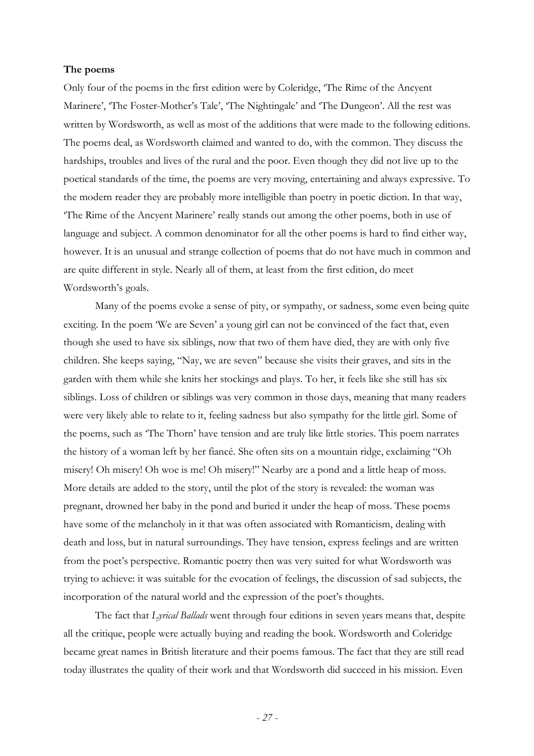#### **The poems**

Only four of the poems in the first edition were by Coleridge, 'The Rime of the Ancyent Marinere', 'The Foster-Mother's Tale', 'The Nightingale' and 'The Dungeon'. All the rest was written by Wordsworth, as well as most of the additions that were made to the following editions. The poems deal, as Wordsworth claimed and wanted to do, with the common. They discuss the hardships, troubles and lives of the rural and the poor. Even though they did not live up to the poetical standards of the time, the poems are very moving, entertaining and always expressive. To the modern reader they are probably more intelligible than poetry in poetic diction. In that way, 'The Rime of the Ancyent Marinere' really stands out among the other poems, both in use of language and subject. A common denominator for all the other poems is hard to find either way, however. It is an unusual and strange collection of poems that do not have much in common and are quite different in style. Nearly all of them, at least from the first edition, do meet Wordsworth's goals.

Many of the poems evoke a sense of pity, or sympathy, or sadness, some even being quite exciting. In the poem 'We are Seven' a young girl can not be convinced of the fact that, even though she used to have six siblings, now that two of them have died, they are with only five children. She keeps saying, "Nay, we are seven" because she visits their graves, and sits in the garden with them while she knits her stockings and plays. To her, it feels like she still has six siblings. Loss of children or siblings was very common in those days, meaning that many readers were very likely able to relate to it, feeling sadness but also sympathy for the little girl. Some of the poems, such as 'The Thorn' have tension and are truly like little stories. This poem narrates the history of a woman left by her fiancé. She often sits on a mountain ridge, exclaiming "Oh misery! Oh misery! Oh woe is me! Oh misery!" Nearby are a pond and a little heap of moss. More details are added to the story, until the plot of the story is revealed: the woman was pregnant, drowned her baby in the pond and buried it under the heap of moss. These poems have some of the melancholy in it that was often associated with Romanticism, dealing with death and loss, but in natural surroundings. They have tension, express feelings and are written from the poet's perspective. Romantic poetry then was very suited for what Wordsworth was trying to achieve: it was suitable for the evocation of feelings, the discussion of sad subjects, the incorporation of the natural world and the expression of the poet's thoughts.

The fact that *Lyrical Ballads* went through four editions in seven years means that, despite all the critique, people were actually buying and reading the book. Wordsworth and Coleridge became great names in British literature and their poems famous. The fact that they are still read today illustrates the quality of their work and that Wordsworth did succeed in his mission. Even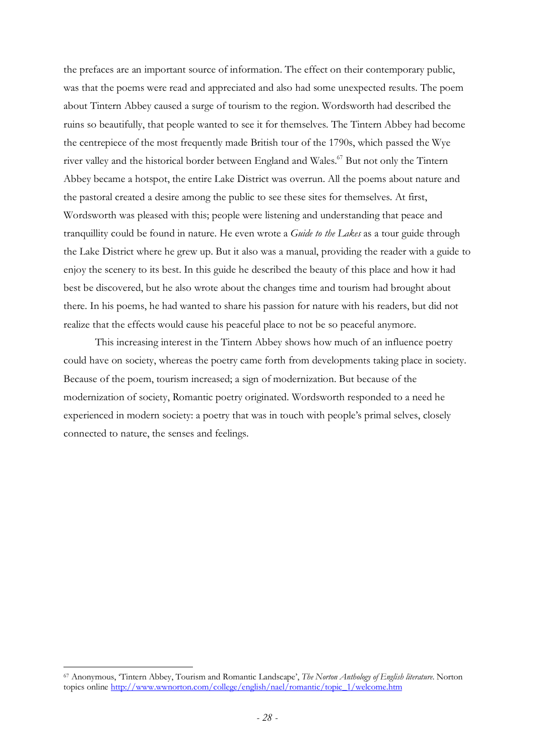the prefaces are an important source of information. The effect on their contemporary public, was that the poems were read and appreciated and also had some unexpected results. The poem about Tintern Abbey caused a surge of tourism to the region. Wordsworth had described the ruins so beautifully, that people wanted to see it for themselves. The Tintern Abbey had become the centrepiece of the most frequently made British tour of the 1790s, which passed the Wye river valley and the historical border between England and Wales.<sup>67</sup> But not only the Tintern Abbey became a hotspot, the entire Lake District was overrun. All the poems about nature and the pastoral created a desire among the public to see these sites for themselves. At first, Wordsworth was pleased with this; people were listening and understanding that peace and tranquillity could be found in nature. He even wrote a *Guide to the Lakes* as a tour guide through the Lake District where he grew up. But it also was a manual, providing the reader with a guide to enjoy the scenery to its best. In this guide he described the beauty of this place and how it had best be discovered, but he also wrote about the changes time and tourism had brought about there. In his poems, he had wanted to share his passion for nature with his readers, but did not realize that the effects would cause his peaceful place to not be so peaceful anymore.

This increasing interest in the Tintern Abbey shows how much of an influence poetry could have on society, whereas the poetry came forth from developments taking place in society. Because of the poem, tourism increased; a sign of modernization. But because of the modernization of society, Romantic poetry originated. Wordsworth responded to a need he experienced in modern society: a poetry that was in touch with people's primal selves, closely connected to nature, the senses and feelings.

<sup>67</sup> Anonymous, 'Tintern Abbey, Tourism and Romantic Landscape', *The Norton Anthology of English literature*. Norton topics online http://www.wwnorton.com/college/english/nael/romantic/topic\_1/welcome.htm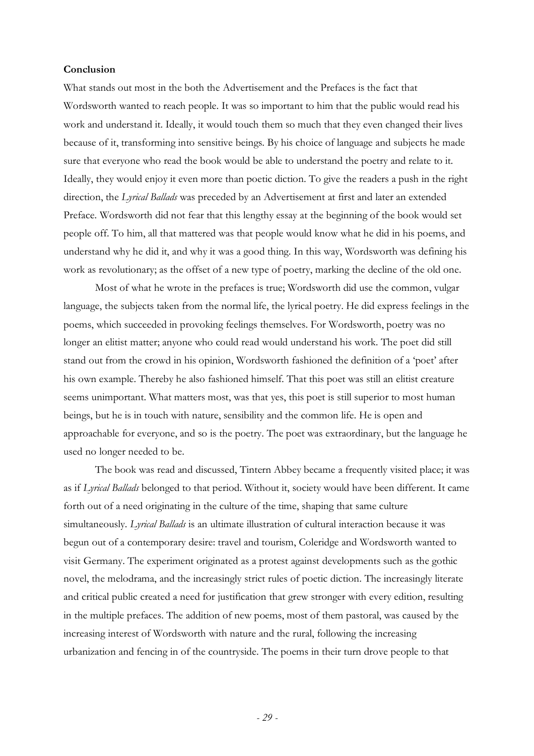## **Conclusion**

What stands out most in the both the Advertisement and the Prefaces is the fact that Wordsworth wanted to reach people. It was so important to him that the public would read his work and understand it. Ideally, it would touch them so much that they even changed their lives because of it, transforming into sensitive beings. By his choice of language and subjects he made sure that everyone who read the book would be able to understand the poetry and relate to it. Ideally, they would enjoy it even more than poetic diction. To give the readers a push in the right direction, the *Lyrical Ballads* was preceded by an Advertisement at first and later an extended Preface. Wordsworth did not fear that this lengthy essay at the beginning of the book would set people off. To him, all that mattered was that people would know what he did in his poems, and understand why he did it, and why it was a good thing. In this way, Wordsworth was defining his work as revolutionary; as the offset of a new type of poetry, marking the decline of the old one.

Most of what he wrote in the prefaces is true; Wordsworth did use the common, vulgar language, the subjects taken from the normal life, the lyrical poetry. He did express feelings in the poems, which succeeded in provoking feelings themselves. For Wordsworth, poetry was no longer an elitist matter; anyone who could read would understand his work. The poet did still stand out from the crowd in his opinion, Wordsworth fashioned the definition of a 'poet' after his own example. Thereby he also fashioned himself. That this poet was still an elitist creature seems unimportant. What matters most, was that yes, this poet is still superior to most human beings, but he is in touch with nature, sensibility and the common life. He is open and approachable for everyone, and so is the poetry. The poet was extraordinary, but the language he used no longer needed to be.

The book was read and discussed, Tintern Abbey became a frequently visited place; it was as if *Lyrical Ballads* belonged to that period. Without it, society would have been different. It came forth out of a need originating in the culture of the time, shaping that same culture simultaneously. *Lyrical Ballads* is an ultimate illustration of cultural interaction because it was begun out of a contemporary desire: travel and tourism, Coleridge and Wordsworth wanted to visit Germany. The experiment originated as a protest against developments such as the gothic novel, the melodrama, and the increasingly strict rules of poetic diction. The increasingly literate and critical public created a need for justification that grew stronger with every edition, resulting in the multiple prefaces. The addition of new poems, most of them pastoral, was caused by the increasing interest of Wordsworth with nature and the rural, following the increasing urbanization and fencing in of the countryside. The poems in their turn drove people to that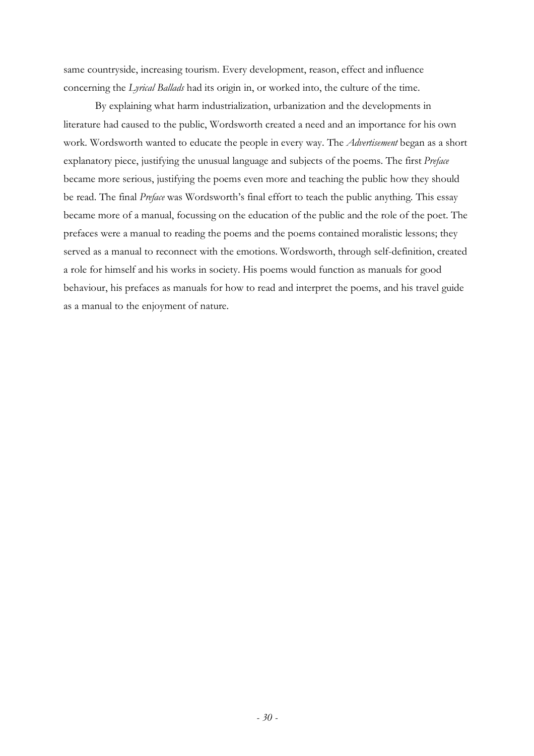same countryside, increasing tourism. Every development, reason, effect and influence concerning the *Lyrical Ballads* had its origin in, or worked into, the culture of the time.

By explaining what harm industrialization, urbanization and the developments in literature had caused to the public, Wordsworth created a need and an importance for his own work. Wordsworth wanted to educate the people in every way. The *Advertisement* began as a short explanatory piece, justifying the unusual language and subjects of the poems. The first *Preface*  became more serious, justifying the poems even more and teaching the public how they should be read. The final *Preface* was Wordsworth's final effort to teach the public anything. This essay became more of a manual, focussing on the education of the public and the role of the poet. The prefaces were a manual to reading the poems and the poems contained moralistic lessons; they served as a manual to reconnect with the emotions. Wordsworth, through self-definition, created a role for himself and his works in society. His poems would function as manuals for good behaviour, his prefaces as manuals for how to read and interpret the poems, and his travel guide as a manual to the enjoyment of nature.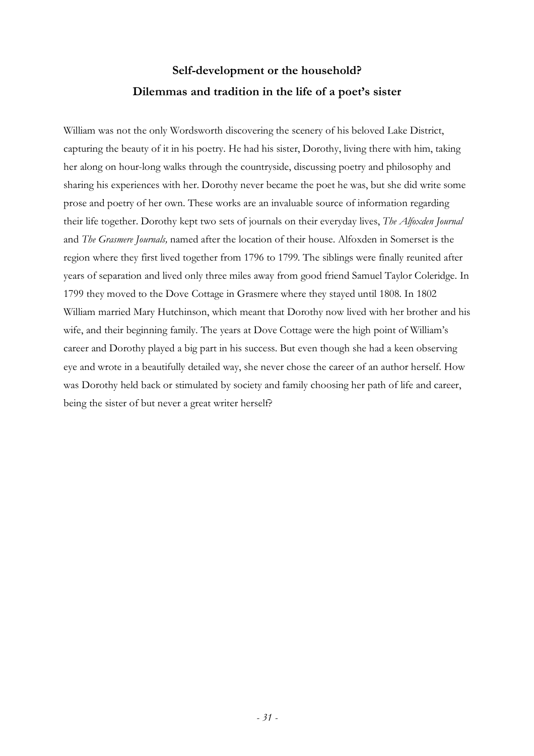## **Self-development or the household? Dilemmas and tradition in the life of a poet's sister**

William was not the only Wordsworth discovering the scenery of his beloved Lake District, capturing the beauty of it in his poetry. He had his sister, Dorothy, living there with him, taking her along on hour-long walks through the countryside, discussing poetry and philosophy and sharing his experiences with her. Dorothy never became the poet he was, but she did write some prose and poetry of her own. These works are an invaluable source of information regarding their life together. Dorothy kept two sets of journals on their everyday lives, *The Alfoxden Journal*  and *The Grasmere Journals,* named after the location of their house. Alfoxden in Somerset is the region where they first lived together from 1796 to 1799. The siblings were finally reunited after years of separation and lived only three miles away from good friend Samuel Taylor Coleridge. In 1799 they moved to the Dove Cottage in Grasmere where they stayed until 1808. In 1802 William married Mary Hutchinson, which meant that Dorothy now lived with her brother and his wife, and their beginning family. The years at Dove Cottage were the high point of William's career and Dorothy played a big part in his success. But even though she had a keen observing eye and wrote in a beautifully detailed way, she never chose the career of an author herself. How was Dorothy held back or stimulated by society and family choosing her path of life and career, being the sister of but never a great writer herself?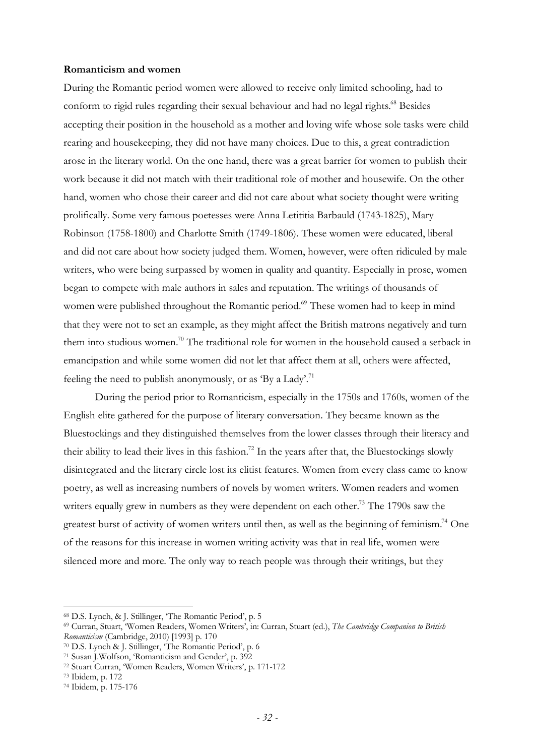## **Romanticism and women**

During the Romantic period women were allowed to receive only limited schooling, had to conform to rigid rules regarding their sexual behaviour and had no legal rights.<sup>68</sup> Besides accepting their position in the household as a mother and loving wife whose sole tasks were child rearing and housekeeping, they did not have many choices. Due to this, a great contradiction arose in the literary world. On the one hand, there was a great barrier for women to publish their work because it did not match with their traditional role of mother and housewife. On the other hand, women who chose their career and did not care about what society thought were writing prolifically. Some very famous poetesses were Anna Letititia Barbauld (1743-1825), Mary Robinson (1758-1800) and Charlotte Smith (1749-1806). These women were educated, liberal and did not care about how society judged them. Women, however, were often ridiculed by male writers, who were being surpassed by women in quality and quantity. Especially in prose, women began to compete with male authors in sales and reputation. The writings of thousands of women were published throughout the Romantic period.<sup>69</sup> These women had to keep in mind that they were not to set an example, as they might affect the British matrons negatively and turn them into studious women.<sup>70</sup> The traditional role for women in the household caused a setback in emancipation and while some women did not let that affect them at all, others were affected, feeling the need to publish anonymously, or as 'By a Lady'.<sup>71</sup>

During the period prior to Romanticism, especially in the 1750s and 1760s, women of the English elite gathered for the purpose of literary conversation. They became known as the Bluestockings and they distinguished themselves from the lower classes through their literacy and their ability to lead their lives in this fashion.<sup>72</sup> In the years after that, the Bluestockings slowly disintegrated and the literary circle lost its elitist features. Women from every class came to know poetry, as well as increasing numbers of novels by women writers. Women readers and women writers equally grew in numbers as they were dependent on each other.<sup>73</sup> The 1790s saw the greatest burst of activity of women writers until then, as well as the beginning of feminism.<sup>74</sup> One of the reasons for this increase in women writing activity was that in real life, women were silenced more and more. The only way to reach people was through their writings, but they

<sup>68</sup> D.S. Lynch, & J. Stillinger, 'The Romantic Period', p. 5

<sup>69</sup> Curran, Stuart, 'Women Readers, Women Writers', in: Curran, Stuart (ed.), *The Cambridge Companion to British Romanticism* (Cambridge, 2010) [1993] p. 170

<sup>70</sup> D.S. Lynch & J. Stillinger, 'The Romantic Period', p. 6

<sup>71</sup> Susan J.Wolfson, 'Romanticism and Gender', p. 392

<sup>72</sup> Stuart Curran, 'Women Readers, Women Writers', p. 171-172

<sup>73</sup> Ibidem, p. 172

<sup>74</sup> Ibidem, p. 175-176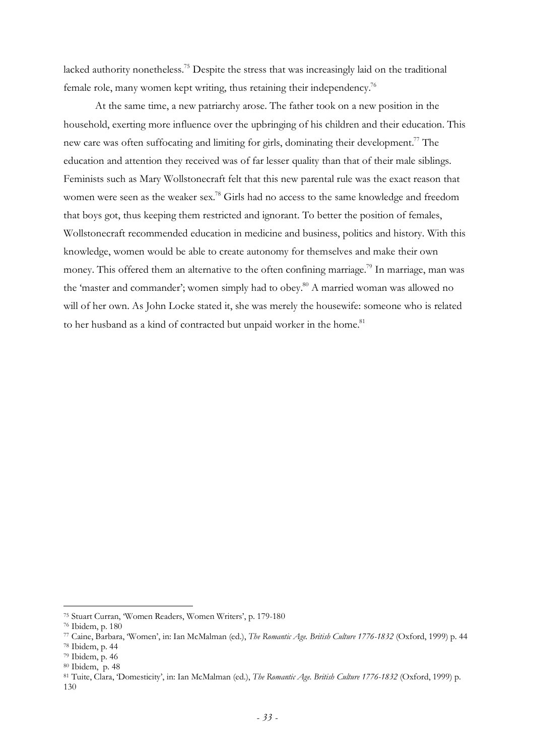lacked authority nonetheless.<sup>75</sup> Despite the stress that was increasingly laid on the traditional female role, many women kept writing, thus retaining their independency.<sup>76</sup>

At the same time, a new patriarchy arose. The father took on a new position in the household, exerting more influence over the upbringing of his children and their education. This new care was often suffocating and limiting for girls, dominating their development.<sup>77</sup> The education and attention they received was of far lesser quality than that of their male siblings. Feminists such as Mary Wollstonecraft felt that this new parental rule was the exact reason that women were seen as the weaker sex.<sup>78</sup> Girls had no access to the same knowledge and freedom that boys got, thus keeping them restricted and ignorant. To better the position of females, Wollstonecraft recommended education in medicine and business, politics and history. With this knowledge, women would be able to create autonomy for themselves and make their own money. This offered them an alternative to the often confining marriage.<sup>79</sup> In marriage, man was the 'master and commander'; women simply had to obey.<sup>80</sup> A married woman was allowed no will of her own. As John Locke stated it, she was merely the housewife: someone who is related to her husband as a kind of contracted but unpaid worker in the home.<sup>81</sup>

<sup>75</sup> Stuart Curran, 'Women Readers, Women Writers', p. 179-180

<sup>76</sup> Ibidem, p. 180

<sup>77</sup> Caine, Barbara, 'Women', in: Ian McMalman (ed.), *The Romantic Age. British Culture 1776-1832* (Oxford, 1999) p. 44

<sup>78</sup> Ibidem, p. 44

<sup>79</sup> Ibidem, p. 46

<sup>80</sup> Ibidem, p. 48

<sup>81</sup> Tuite, Clara, 'Domesticity', in: Ian McMalman (ed.), *The Romantic Age. British Culture 1776-1832* (Oxford, 1999) p. 130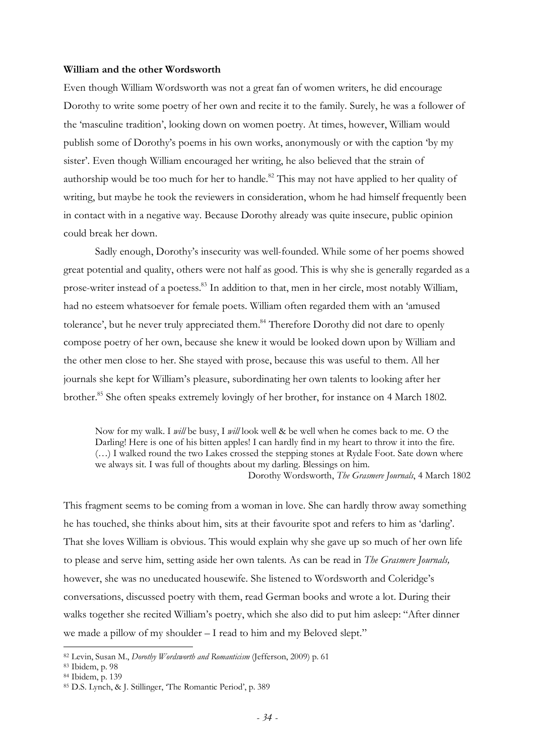#### **William and the other Wordsworth**

Even though William Wordsworth was not a great fan of women writers, he did encourage Dorothy to write some poetry of her own and recite it to the family. Surely, he was a follower of the 'masculine tradition', looking down on women poetry. At times, however, William would publish some of Dorothy's poems in his own works, anonymously or with the caption 'by my sister'. Even though William encouraged her writing, he also believed that the strain of authorship would be too much for her to handle.<sup>82</sup> This may not have applied to her quality of writing, but maybe he took the reviewers in consideration, whom he had himself frequently been in contact with in a negative way. Because Dorothy already was quite insecure, public opinion could break her down.

Sadly enough, Dorothy's insecurity was well-founded. While some of her poems showed great potential and quality, others were not half as good. This is why she is generally regarded as a prose-writer instead of a poetess.<sup>83</sup> In addition to that, men in her circle, most notably William, had no esteem whatsoever for female poets. William often regarded them with an 'amused tolerance', but he never truly appreciated them.<sup>84</sup> Therefore Dorothy did not dare to openly compose poetry of her own, because she knew it would be looked down upon by William and the other men close to her. She stayed with prose, because this was useful to them. All her journals she kept for William's pleasure, subordinating her own talents to looking after her brother.<sup>85</sup> She often speaks extremely lovingly of her brother, for instance on 4 March 1802.

Now for my walk. I *will* be busy, I *will* look well & be well when he comes back to me. O the Darling! Here is one of his bitten apples! I can hardly find in my heart to throw it into the fire. (…) I walked round the two Lakes crossed the stepping stones at Rydale Foot. Sate down where we always sit. I was full of thoughts about my darling. Blessings on him. Dorothy Wordsworth, *The Grasmere Journals*, 4 March 1802

This fragment seems to be coming from a woman in love. She can hardly throw away something he has touched, she thinks about him, sits at their favourite spot and refers to him as 'darling'. That she loves William is obvious. This would explain why she gave up so much of her own life to please and serve him, setting aside her own talents. As can be read in *The Grasmere Journals,*  however, she was no uneducated housewife. She listened to Wordsworth and Coleridge's conversations, discussed poetry with them, read German books and wrote a lot. During their walks together she recited William's poetry, which she also did to put him asleep: "After dinner we made a pillow of my shoulder – I read to him and my Beloved slept."

<sup>82</sup> Levin, Susan M., *Dorothy Wordsworth and Romanticism* (Jefferson, 2009) p. 61

<sup>83</sup> Ibidem, p. 98

<sup>84</sup> Ibidem, p. 139

<sup>85</sup> D.S. Lynch, & J. Stillinger, 'The Romantic Period', p. 389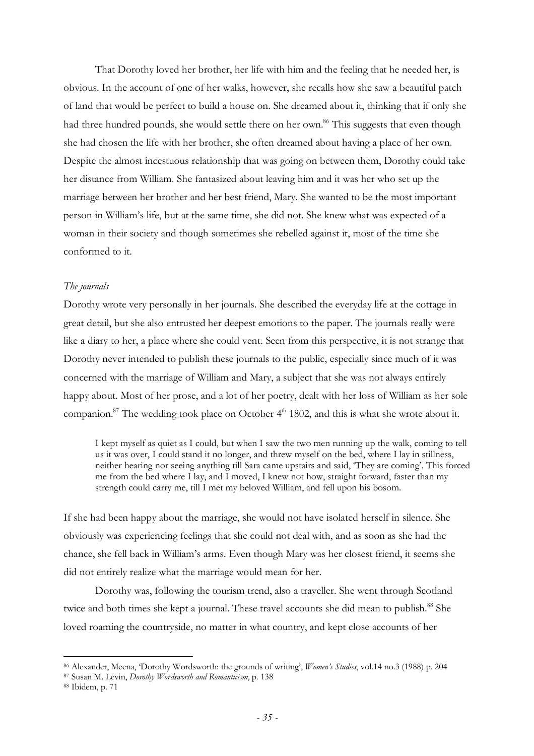That Dorothy loved her brother, her life with him and the feeling that he needed her, is obvious. In the account of one of her walks, however, she recalls how she saw a beautiful patch of land that would be perfect to build a house on. She dreamed about it, thinking that if only she had three hundred pounds, she would settle there on her own.<sup>86</sup> This suggests that even though she had chosen the life with her brother, she often dreamed about having a place of her own. Despite the almost incestuous relationship that was going on between them, Dorothy could take her distance from William. She fantasized about leaving him and it was her who set up the marriage between her brother and her best friend, Mary. She wanted to be the most important person in William's life, but at the same time, she did not. She knew what was expected of a woman in their society and though sometimes she rebelled against it, most of the time she conformed to it.

### *The journals*

Dorothy wrote very personally in her journals. She described the everyday life at the cottage in great detail, but she also entrusted her deepest emotions to the paper. The journals really were like a diary to her, a place where she could vent. Seen from this perspective, it is not strange that Dorothy never intended to publish these journals to the public, especially since much of it was concerned with the marriage of William and Mary, a subject that she was not always entirely happy about. Most of her prose, and a lot of her poetry, dealt with her loss of William as her sole companion.<sup>87</sup> The wedding took place on October  $4<sup>th</sup>$  1802, and this is what she wrote about it.

I kept myself as quiet as I could, but when I saw the two men running up the walk, coming to tell us it was over, I could stand it no longer, and threw myself on the bed, where I lay in stillness, neither hearing nor seeing anything till Sara came upstairs and said, 'They are coming'. This forced me from the bed where I lay, and I moved, I knew not how, straight forward, faster than my strength could carry me, till I met my beloved William, and fell upon his bosom.

If she had been happy about the marriage, she would not have isolated herself in silence. She obviously was experiencing feelings that she could not deal with, and as soon as she had the chance, she fell back in William's arms. Even though Mary was her closest friend, it seems she did not entirely realize what the marriage would mean for her.

Dorothy was, following the tourism trend, also a traveller. She went through Scotland twice and both times she kept a journal. These travel accounts she did mean to publish.<sup>88</sup> She loved roaming the countryside, no matter in what country, and kept close accounts of her

<sup>86</sup> Alexander, Meena, 'Dorothy Wordsworth: the grounds of writing', *Women's Studies*, vol.14 no.3 (1988) p. 204

<sup>87</sup> Susan M. Levin, *Dorothy Wordsworth and Romanticism*, p. 138

<sup>88</sup> Ibidem, p. 71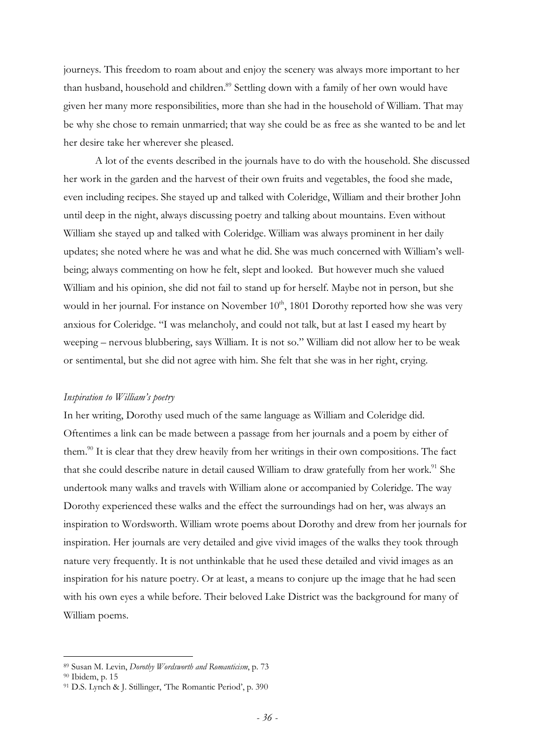journeys. This freedom to roam about and enjoy the scenery was always more important to her than husband, household and children.<sup>89</sup> Settling down with a family of her own would have given her many more responsibilities, more than she had in the household of William. That may be why she chose to remain unmarried; that way she could be as free as she wanted to be and let her desire take her wherever she pleased.

A lot of the events described in the journals have to do with the household. She discussed her work in the garden and the harvest of their own fruits and vegetables, the food she made, even including recipes. She stayed up and talked with Coleridge, William and their brother John until deep in the night, always discussing poetry and talking about mountains. Even without William she stayed up and talked with Coleridge. William was always prominent in her daily updates; she noted where he was and what he did. She was much concerned with William's wellbeing; always commenting on how he felt, slept and looked. But however much she valued William and his opinion, she did not fail to stand up for herself. Maybe not in person, but she would in her journal. For instance on November  $10<sup>th</sup>$ , 1801 Dorothy reported how she was very anxious for Coleridge. "I was melancholy, and could not talk, but at last I eased my heart by weeping – nervous blubbering, says William. It is not so." William did not allow her to be weak or sentimental, but she did not agree with him. She felt that she was in her right, crying.

## *Inspiration to William's poetry*

In her writing, Dorothy used much of the same language as William and Coleridge did. Oftentimes a link can be made between a passage from her journals and a poem by either of them.<sup>90</sup> It is clear that they drew heavily from her writings in their own compositions. The fact that she could describe nature in detail caused William to draw gratefully from her work.<sup>91</sup> She undertook many walks and travels with William alone or accompanied by Coleridge. The way Dorothy experienced these walks and the effect the surroundings had on her, was always an inspiration to Wordsworth. William wrote poems about Dorothy and drew from her journals for inspiration. Her journals are very detailed and give vivid images of the walks they took through nature very frequently. It is not unthinkable that he used these detailed and vivid images as an inspiration for his nature poetry. Or at least, a means to conjure up the image that he had seen with his own eyes a while before. Their beloved Lake District was the background for many of William poems.

<sup>89</sup> Susan M. Levin, *Dorothy Wordsworth and Romanticism*, p. 73

<sup>90</sup> Ibidem, p. 15

<sup>91</sup> D.S. Lynch & J. Stillinger, 'The Romantic Period', p. 390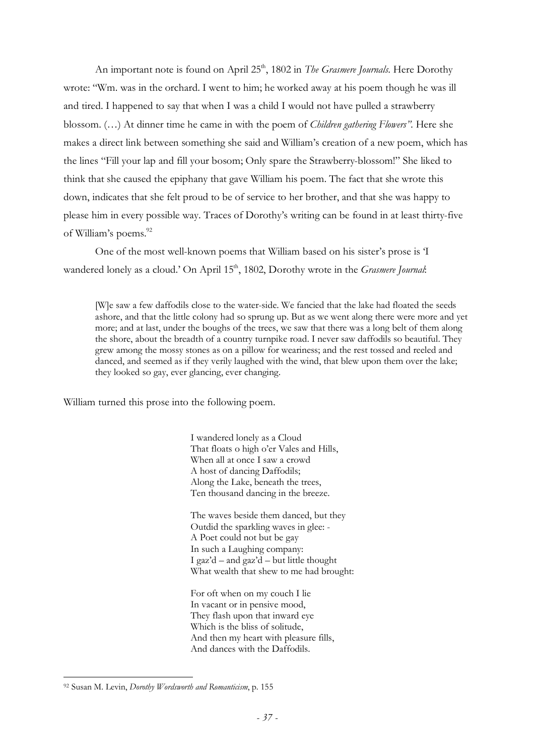An important note is found on April 25<sup>th</sup>, 1802 in *The Grasmere Journals*. Here Dorothy wrote: "Wm. was in the orchard. I went to him; he worked away at his poem though he was ill and tired. I happened to say that when I was a child I would not have pulled a strawberry blossom. (…) At dinner time he came in with the poem of *Children gathering Flowers".* Here she makes a direct link between something she said and William's creation of a new poem, which has the lines "Fill your lap and fill your bosom; Only spare the Strawberry-blossom!" She liked to think that she caused the epiphany that gave William his poem. The fact that she wrote this down, indicates that she felt proud to be of service to her brother, and that she was happy to please him in every possible way. Traces of Dorothy's writing can be found in at least thirty-five of William's poems.<sup>92</sup>

One of the most well-known poems that William based on his sister's prose is 'I wandered lonely as a cloud.' On April 15<sup>th</sup>, 1802, Dorothy wrote in the *Grasmere Journal*:

[W]e saw a few daffodils close to the water-side. We fancied that the lake had floated the seeds ashore, and that the little colony had so sprung up. But as we went along there were more and yet more; and at last, under the boughs of the trees, we saw that there was a long belt of them along the shore, about the breadth of a country turnpike road. I never saw daffodils so beautiful. They grew among the mossy stones as on a pillow for weariness; and the rest tossed and reeled and danced, and seemed as if they verily laughed with the wind, that blew upon them over the lake; they looked so gay, ever glancing, ever changing.

William turned this prose into the following poem.

I wandered lonely as a Cloud That floats o high o'er Vales and Hills, When all at once I saw a crowd A host of dancing Daffodils; Along the Lake, beneath the trees, Ten thousand dancing in the breeze.

The waves beside them danced, but they Outdid the sparkling waves in glee: - A Poet could not but be gay In such a Laughing company: I gaz'd – and gaz'd – but little thought What wealth that shew to me had brought:

For oft when on my couch I lie In vacant or in pensive mood, They flash upon that inward eye Which is the bliss of solitude, And then my heart with pleasure fills, And dances with the Daffodils.

<sup>92</sup> Susan M. Levin, *Dorothy Wordsworth and Romanticism*, p. 155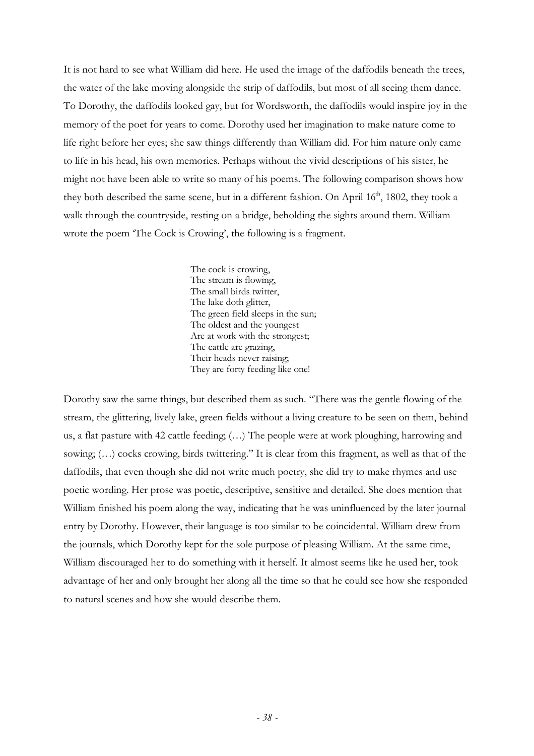It is not hard to see what William did here. He used the image of the daffodils beneath the trees, the water of the lake moving alongside the strip of daffodils, but most of all seeing them dance. To Dorothy, the daffodils looked gay, but for Wordsworth, the daffodils would inspire joy in the memory of the poet for years to come. Dorothy used her imagination to make nature come to life right before her eyes; she saw things differently than William did. For him nature only came to life in his head, his own memories. Perhaps without the vivid descriptions of his sister, he might not have been able to write so many of his poems. The following comparison shows how they both described the same scene, but in a different fashion. On April  $16<sup>th</sup>$ , 1802, they took a walk through the countryside, resting on a bridge, beholding the sights around them. William wrote the poem 'The Cock is Crowing', the following is a fragment.

> The cock is crowing, The stream is flowing, The small birds twitter, The lake doth glitter, The green field sleeps in the sun; The oldest and the youngest Are at work with the strongest; The cattle are grazing, Their heads never raising; They are forty feeding like one!

Dorothy saw the same things, but described them as such. "There was the gentle flowing of the stream, the glittering, lively lake, green fields without a living creature to be seen on them, behind us, a flat pasture with 42 cattle feeding; (…) The people were at work ploughing, harrowing and sowing; (…) cocks crowing, birds twittering." It is clear from this fragment, as well as that of the daffodils, that even though she did not write much poetry, she did try to make rhymes and use poetic wording. Her prose was poetic, descriptive, sensitive and detailed. She does mention that William finished his poem along the way, indicating that he was uninfluenced by the later journal entry by Dorothy. However, their language is too similar to be coincidental. William drew from the journals, which Dorothy kept for the sole purpose of pleasing William. At the same time, William discouraged her to do something with it herself. It almost seems like he used her, took advantage of her and only brought her along all the time so that he could see how she responded to natural scenes and how she would describe them.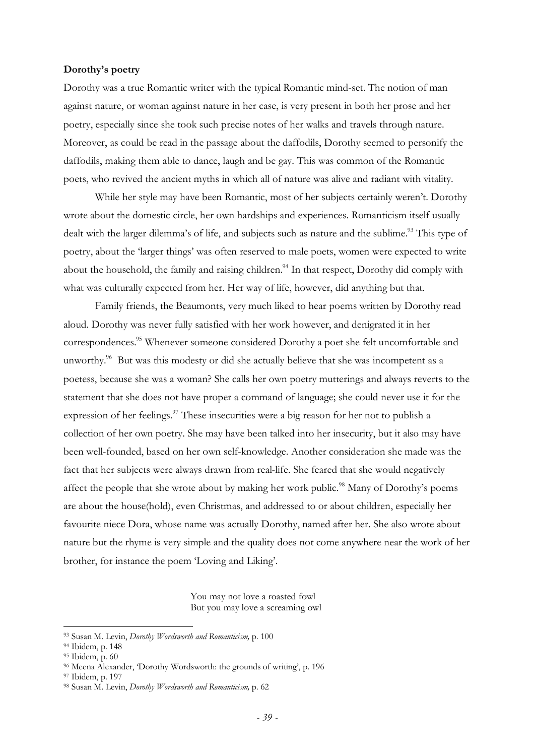#### **Dorothy's poetry**

Dorothy was a true Romantic writer with the typical Romantic mind-set. The notion of man against nature, or woman against nature in her case, is very present in both her prose and her poetry, especially since she took such precise notes of her walks and travels through nature. Moreover, as could be read in the passage about the daffodils, Dorothy seemed to personify the daffodils, making them able to dance, laugh and be gay. This was common of the Romantic poets, who revived the ancient myths in which all of nature was alive and radiant with vitality.

While her style may have been Romantic, most of her subjects certainly weren't. Dorothy wrote about the domestic circle, her own hardships and experiences. Romanticism itself usually dealt with the larger dilemma's of life, and subjects such as nature and the sublime.<sup>93</sup> This type of poetry, about the 'larger things' was often reserved to male poets, women were expected to write about the household, the family and raising children.<sup>94</sup> In that respect, Dorothy did comply with what was culturally expected from her. Her way of life, however, did anything but that.

Family friends, the Beaumonts, very much liked to hear poems written by Dorothy read aloud. Dorothy was never fully satisfied with her work however, and denigrated it in her correspondences.<sup>95</sup> Whenever someone considered Dorothy a poet she felt uncomfortable and unworthy.<sup>96</sup> But was this modesty or did she actually believe that she was incompetent as a poetess, because she was a woman? She calls her own poetry mutterings and always reverts to the statement that she does not have proper a command of language; she could never use it for the expression of her feelings.<sup>97</sup> These insecurities were a big reason for her not to publish a collection of her own poetry. She may have been talked into her insecurity, but it also may have been well-founded, based on her own self-knowledge. Another consideration she made was the fact that her subjects were always drawn from real-life. She feared that she would negatively affect the people that she wrote about by making her work public.<sup>98</sup> Many of Dorothy's poems are about the house(hold), even Christmas, and addressed to or about children, especially her favourite niece Dora, whose name was actually Dorothy, named after her. She also wrote about nature but the rhyme is very simple and the quality does not come anywhere near the work of her brother, for instance the poem 'Loving and Liking'.

> You may not love a roasted fowl But you may love a screaming owl

<sup>93</sup> Susan M. Levin, *Dorothy Wordsworth and Romanticism,* p. 100

<sup>94</sup> Ibidem, p. 148

<sup>95</sup> Ibidem, p. 60

<sup>96</sup> Meena Alexander, 'Dorothy Wordsworth: the grounds of writing', p. 196

<sup>97</sup> Ibidem, p. 197

<sup>98</sup> Susan M. Levin, *Dorothy Wordsworth and Romanticism,* p. 62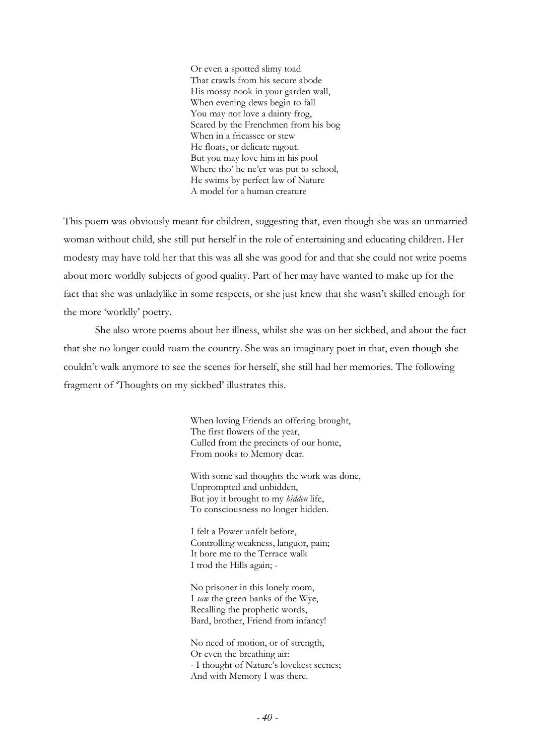Or even a spotted slimy toad That crawls from his secure abode His mossy nook in your garden wall, When evening dews begin to fall You may not love a dainty frog, Scared by the Frenchmen from his bog When in a fricassee or stew He floats, or delicate ragout. But you may love him in his pool Where tho' he ne'er was put to school, He swims by perfect law of Nature A model for a human creature

This poem was obviously meant for children, suggesting that, even though she was an unmarried woman without child, she still put herself in the role of entertaining and educating children. Her modesty may have told her that this was all she was good for and that she could not write poems about more worldly subjects of good quality. Part of her may have wanted to make up for the fact that she was unladylike in some respects, or she just knew that she wasn't skilled enough for the more 'worldly' poetry.

She also wrote poems about her illness, whilst she was on her sickbed, and about the fact that she no longer could roam the country. She was an imaginary poet in that, even though she couldn't walk anymore to see the scenes for herself, she still had her memories. The following fragment of 'Thoughts on my sickbed' illustrates this.

> When loving Friends an offering brought, The first flowers of the year, Culled from the precincts of our home, From nooks to Memory dear.

With some sad thoughts the work was done, Unprompted and unbidden, But joy it brought to my *hidden* life, To consciousness no longer hidden.

I felt a Power unfelt before, Controlling weakness, languor, pain; It bore me to the Terrace walk I trod the Hills again; -

No prisoner in this lonely room, I *saw* the green banks of the Wye, Recalling the prophetic words, Bard, brother, Friend from infancy!

No need of motion, or of strength, Or even the breathing air: - I thought of Nature's loveliest scenes; And with Memory I was there.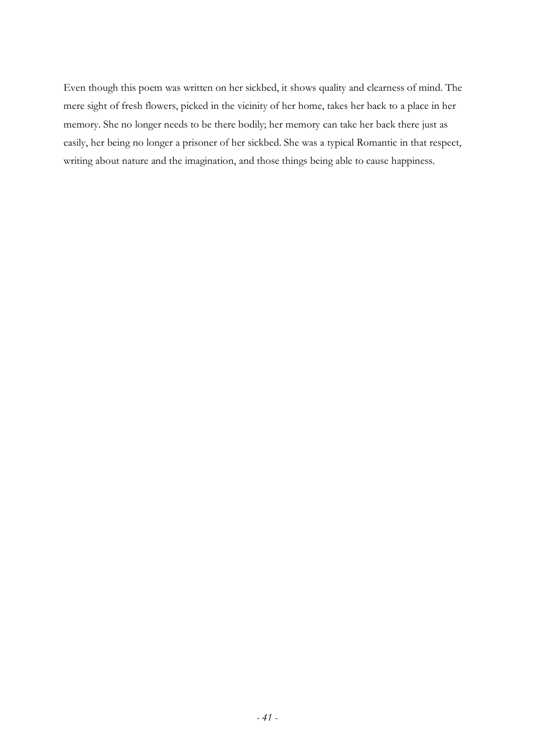Even though this poem was written on her sickbed, it shows quality and clearness of mind. The mere sight of fresh flowers, picked in the vicinity of her home, takes her back to a place in her memory. She no longer needs to be there bodily; her memory can take her back there just as easily, her being no longer a prisoner of her sickbed. She was a typical Romantic in that respect, writing about nature and the imagination, and those things being able to cause happiness.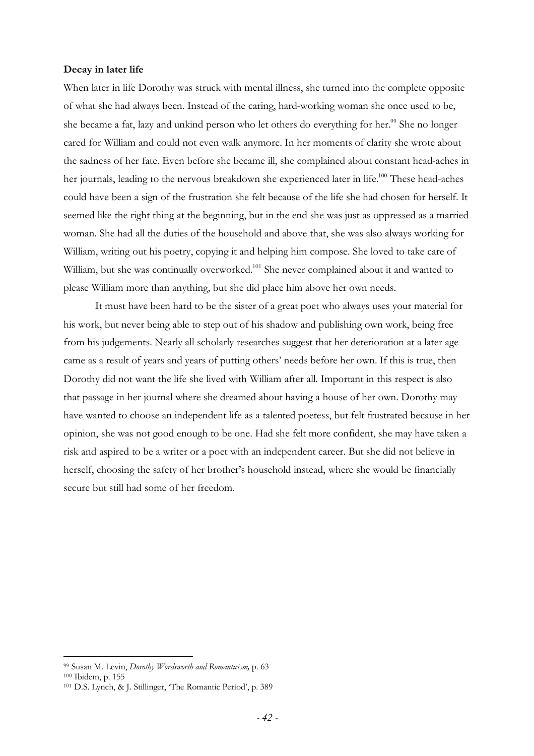#### **Decay in later life**

When later in life Dorothy was struck with mental illness, she turned into the complete opposite of what she had always been. Instead of the caring, hard-working woman she once used to be, she became a fat, lazy and unkind person who let others do everything for her.<sup>99</sup> She no longer cared for William and could not even walk anymore. In her moments of clarity she wrote about the sadness of her fate. Even before she became ill, she complained about constant head-aches in her journals, leading to the nervous breakdown she experienced later in life.<sup>100</sup> These head-aches could have been a sign of the frustration she felt because of the life she had chosen for herself. It seemed like the right thing at the beginning, but in the end she was just as oppressed as a married woman. She had all the duties of the household and above that, she was also always working for William, writing out his poetry, copying it and helping him compose. She loved to take care of William, but she was continually overworked.<sup>101</sup> She never complained about it and wanted to please William more than anything, but she did place him above her own needs.

It must have been hard to be the sister of a great poet who always uses your material for his work, but never being able to step out of his shadow and publishing own work, being free from his judgements. Nearly all scholarly researches suggest that her deterioration at a later age came as a result of years and years of putting others' needs before her own. If this is true, then Dorothy did not want the life she lived with William after all. Important in this respect is also that passage in her journal where she dreamed about having a house of her own. Dorothy may have wanted to choose an independent life as a talented poetess, but felt frustrated because in her opinion, she was not good enough to be one. Had she felt more confident, she may have taken a risk and aspired to be a writer or a poet with an independent career. But she did not believe in herself, choosing the safety of her brother's household instead, where she would be financially secure but still had some of her freedom.

<sup>99</sup> Susan M. Levin, *Dorothy Wordsworth and Romanticism,* p. 63 <sup>100</sup> Ibidem, p. 155

<sup>101</sup> D.S. Lynch, & J. Stillinger, 'The Romantic Period', p. 389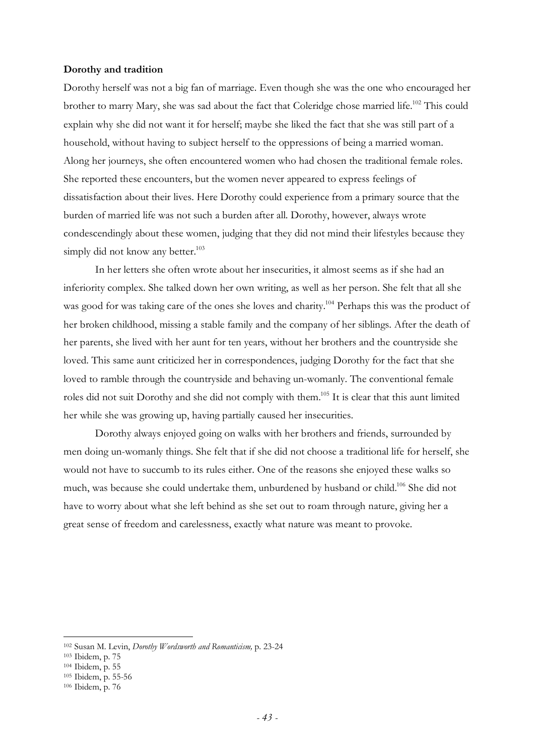#### **Dorothy and tradition**

Dorothy herself was not a big fan of marriage. Even though she was the one who encouraged her brother to marry Mary, she was sad about the fact that Coleridge chose married life.<sup>102</sup> This could explain why she did not want it for herself; maybe she liked the fact that she was still part of a household, without having to subject herself to the oppressions of being a married woman. Along her journeys, she often encountered women who had chosen the traditional female roles. She reported these encounters, but the women never appeared to express feelings of dissatisfaction about their lives. Here Dorothy could experience from a primary source that the burden of married life was not such a burden after all. Dorothy, however, always wrote condescendingly about these women, judging that they did not mind their lifestyles because they simply did not know any better. $103$ 

In her letters she often wrote about her insecurities, it almost seems as if she had an inferiority complex. She talked down her own writing, as well as her person. She felt that all she was good for was taking care of the ones she loves and charity.<sup>104</sup> Perhaps this was the product of her broken childhood, missing a stable family and the company of her siblings. After the death of her parents, she lived with her aunt for ten years, without her brothers and the countryside she loved. This same aunt criticized her in correspondences, judging Dorothy for the fact that she loved to ramble through the countryside and behaving un-womanly. The conventional female roles did not suit Dorothy and she did not comply with them.<sup>105</sup> It is clear that this aunt limited her while she was growing up, having partially caused her insecurities.

Dorothy always enjoyed going on walks with her brothers and friends, surrounded by men doing un-womanly things. She felt that if she did not choose a traditional life for herself, she would not have to succumb to its rules either. One of the reasons she enjoyed these walks so much, was because she could undertake them, unburdened by husband or child.<sup>106</sup> She did not have to worry about what she left behind as she set out to roam through nature, giving her a great sense of freedom and carelessness, exactly what nature was meant to provoke.

<sup>102</sup> Susan M. Levin, *Dorothy Wordsworth and Romanticism,* p. 23-24

<sup>103</sup> Ibidem, p. 75

<sup>104</sup> Ibidem, p. 55

<sup>105</sup> Ibidem, p. 55-56

<sup>106</sup> Ibidem, p. 76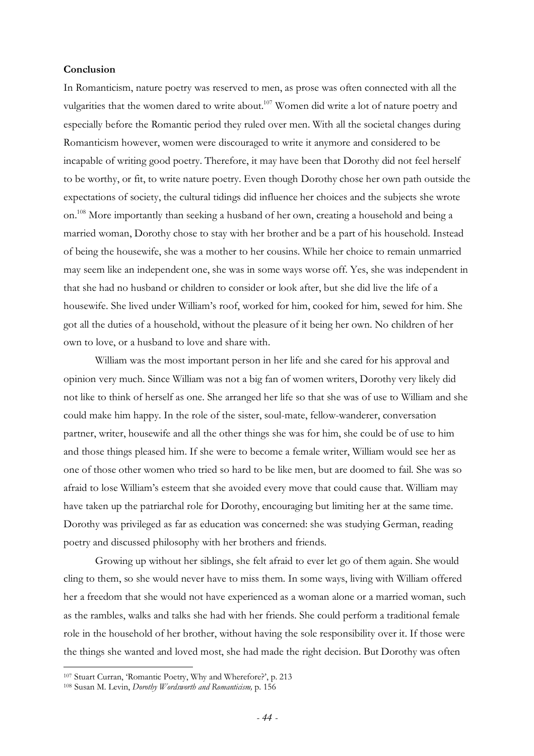## **Conclusion**

In Romanticism, nature poetry was reserved to men, as prose was often connected with all the vulgarities that the women dared to write about.<sup>107</sup> Women did write a lot of nature poetry and especially before the Romantic period they ruled over men. With all the societal changes during Romanticism however, women were discouraged to write it anymore and considered to be incapable of writing good poetry. Therefore, it may have been that Dorothy did not feel herself to be worthy, or fit, to write nature poetry. Even though Dorothy chose her own path outside the expectations of society, the cultural tidings did influence her choices and the subjects she wrote on.<sup>108</sup> More importantly than seeking a husband of her own, creating a household and being a married woman, Dorothy chose to stay with her brother and be a part of his household. Instead of being the housewife, she was a mother to her cousins. While her choice to remain unmarried may seem like an independent one, she was in some ways worse off. Yes, she was independent in that she had no husband or children to consider or look after, but she did live the life of a housewife. She lived under William's roof, worked for him, cooked for him, sewed for him. She got all the duties of a household, without the pleasure of it being her own. No children of her own to love, or a husband to love and share with.

William was the most important person in her life and she cared for his approval and opinion very much. Since William was not a big fan of women writers, Dorothy very likely did not like to think of herself as one. She arranged her life so that she was of use to William and she could make him happy. In the role of the sister, soul-mate, fellow-wanderer, conversation partner, writer, housewife and all the other things she was for him, she could be of use to him and those things pleased him. If she were to become a female writer, William would see her as one of those other women who tried so hard to be like men, but are doomed to fail. She was so afraid to lose William's esteem that she avoided every move that could cause that. William may have taken up the patriarchal role for Dorothy, encouraging but limiting her at the same time. Dorothy was privileged as far as education was concerned: she was studying German, reading poetry and discussed philosophy with her brothers and friends.

Growing up without her siblings, she felt afraid to ever let go of them again. She would cling to them, so she would never have to miss them. In some ways, living with William offered her a freedom that she would not have experienced as a woman alone or a married woman, such as the rambles, walks and talks she had with her friends. She could perform a traditional female role in the household of her brother, without having the sole responsibility over it. If those were the things she wanted and loved most, she had made the right decision. But Dorothy was often

<sup>107</sup> Stuart Curran, 'Romantic Poetry, Why and Wherefore?', p. 213

<sup>108</sup> Susan M. Levin, *Dorothy Wordsworth and Romanticism,* p. 156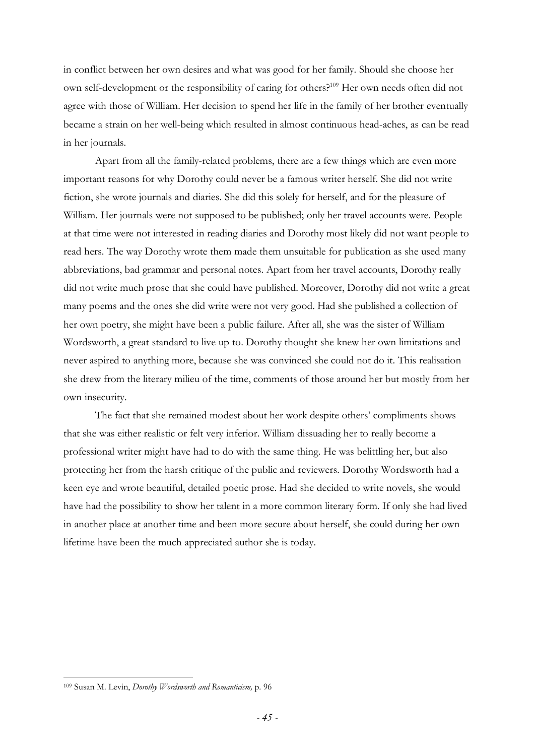in conflict between her own desires and what was good for her family. Should she choose her own self-development or the responsibility of caring for others?<sup>109</sup> Her own needs often did not agree with those of William. Her decision to spend her life in the family of her brother eventually became a strain on her well-being which resulted in almost continuous head-aches, as can be read in her journals.

Apart from all the family-related problems, there are a few things which are even more important reasons for why Dorothy could never be a famous writer herself. She did not write fiction, she wrote journals and diaries. She did this solely for herself, and for the pleasure of William. Her journals were not supposed to be published; only her travel accounts were. People at that time were not interested in reading diaries and Dorothy most likely did not want people to read hers. The way Dorothy wrote them made them unsuitable for publication as she used many abbreviations, bad grammar and personal notes. Apart from her travel accounts, Dorothy really did not write much prose that she could have published. Moreover, Dorothy did not write a great many poems and the ones she did write were not very good. Had she published a collection of her own poetry, she might have been a public failure. After all, she was the sister of William Wordsworth, a great standard to live up to. Dorothy thought she knew her own limitations and never aspired to anything more, because she was convinced she could not do it. This realisation she drew from the literary milieu of the time, comments of those around her but mostly from her own insecurity.

The fact that she remained modest about her work despite others' compliments shows that she was either realistic or felt very inferior. William dissuading her to really become a professional writer might have had to do with the same thing. He was belittling her, but also protecting her from the harsh critique of the public and reviewers. Dorothy Wordsworth had a keen eye and wrote beautiful, detailed poetic prose. Had she decided to write novels, she would have had the possibility to show her talent in a more common literary form. If only she had lived in another place at another time and been more secure about herself, she could during her own lifetime have been the much appreciated author she is today.

<sup>109</sup> Susan M. Levin, *Dorothy Wordsworth and Romanticism,* p. 96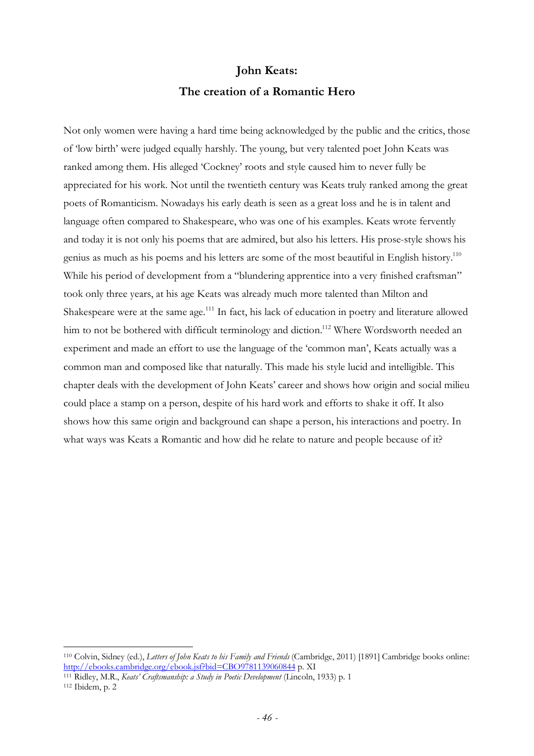## **John Keats: The creation of a Romantic Hero**

Not only women were having a hard time being acknowledged by the public and the critics, those of 'low birth' were judged equally harshly. The young, but very talented poet John Keats was ranked among them. His alleged 'Cockney' roots and style caused him to never fully be appreciated for his work. Not until the twentieth century was Keats truly ranked among the great poets of Romanticism. Nowadays his early death is seen as a great loss and he is in talent and language often compared to Shakespeare, who was one of his examples. Keats wrote fervently and today it is not only his poems that are admired, but also his letters. His prose-style shows his genius as much as his poems and his letters are some of the most beautiful in English history.<sup>110</sup> While his period of development from a "blundering apprentice into a very finished craftsman" took only three years, at his age Keats was already much more talented than Milton and Shakespeare were at the same age.<sup>111</sup> In fact, his lack of education in poetry and literature allowed him to not be bothered with difficult terminology and diction.<sup>112</sup> Where Wordsworth needed an experiment and made an effort to use the language of the 'common man', Keats actually was a common man and composed like that naturally. This made his style lucid and intelligible. This chapter deals with the development of John Keats' career and shows how origin and social milieu could place a stamp on a person, despite of his hard work and efforts to shake it off. It also shows how this same origin and background can shape a person, his interactions and poetry. In what ways was Keats a Romantic and how did he relate to nature and people because of it?

<sup>110</sup> Colvin, Sidney (ed.), *Letters of John Keats to his Family and Friends* (Cambridge, 2011) [1891] Cambridge books online: http://ebooks.cambridge.org/ebook.jsf?bid=CBO9781139060844 p. XI

<sup>111</sup> Ridley, M.R., *Keats' Craftsmanship: a Study in Poetic Development* (Lincoln, 1933) p. 1 112 Ibidem, p. 2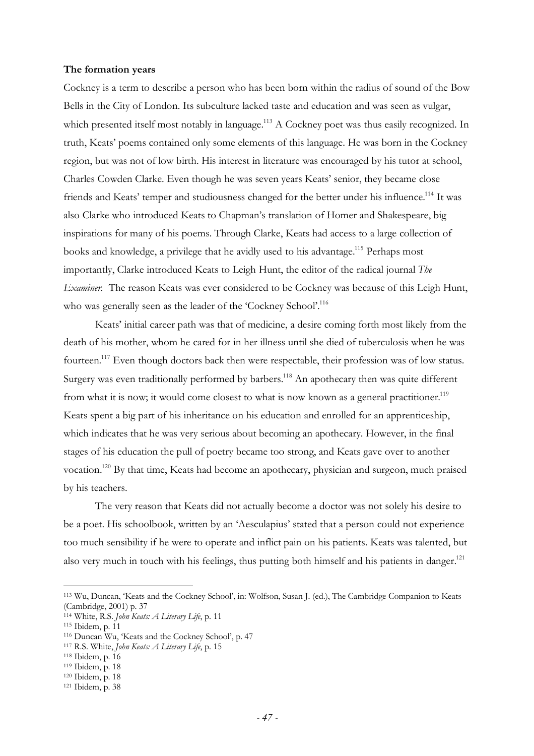#### **The formation years**

Cockney is a term to describe a person who has been born within the radius of sound of the Bow Bells in the City of London. Its subculture lacked taste and education and was seen as vulgar, which presented itself most notably in language.<sup>113</sup> A Cockney poet was thus easily recognized. In truth, Keats' poems contained only some elements of this language. He was born in the Cockney region, but was not of low birth. His interest in literature was encouraged by his tutor at school, Charles Cowden Clarke. Even though he was seven years Keats' senior, they became close friends and Keats' temper and studiousness changed for the better under his influence.<sup>114</sup> It was also Clarke who introduced Keats to Chapman's translation of Homer and Shakespeare, big inspirations for many of his poems. Through Clarke, Keats had access to a large collection of books and knowledge, a privilege that he avidly used to his advantage.<sup>115</sup> Perhaps most importantly, Clarke introduced Keats to Leigh Hunt, the editor of the radical journal *The Examiner.* The reason Keats was ever considered to be Cockney was because of this Leigh Hunt, who was generally seen as the leader of the 'Cockney School'.<sup>116</sup>

Keats' initial career path was that of medicine, a desire coming forth most likely from the death of his mother, whom he cared for in her illness until she died of tuberculosis when he was fourteen.<sup>117</sup> Even though doctors back then were respectable, their profession was of low status. Surgery was even traditionally performed by barbers.<sup>118</sup> An apothecary then was quite different from what it is now; it would come closest to what is now known as a general practitioner.<sup>119</sup> Keats spent a big part of his inheritance on his education and enrolled for an apprenticeship, which indicates that he was very serious about becoming an apothecary. However, in the final stages of his education the pull of poetry became too strong, and Keats gave over to another vocation.<sup>120</sup> By that time, Keats had become an apothecary, physician and surgeon, much praised by his teachers.

The very reason that Keats did not actually become a doctor was not solely his desire to be a poet. His schoolbook, written by an 'Aesculapius' stated that a person could not experience too much sensibility if he were to operate and inflict pain on his patients. Keats was talented, but also very much in touch with his feelings, thus putting both himself and his patients in danger.<sup>121</sup>

<sup>113</sup> Wu, Duncan, 'Keats and the Cockney School', in: Wolfson, Susan J. (ed.), The Cambridge Companion to Keats (Cambridge, 2001) p. 37

<sup>114</sup> White, R.S. *John Keats: A Literary Life*, p. 11

<sup>115</sup> Ibidem, p. 11

<sup>116</sup> Duncan Wu, 'Keats and the Cockney School', p. 47

<sup>117</sup> R.S. White, *John Keats: A Literary Life*, p. 15

<sup>118</sup> Ibidem, p. 16

<sup>119</sup> Ibidem, p. 18

<sup>120</sup> Ibidem, p. 18

<sup>121</sup> Ibidem, p. 38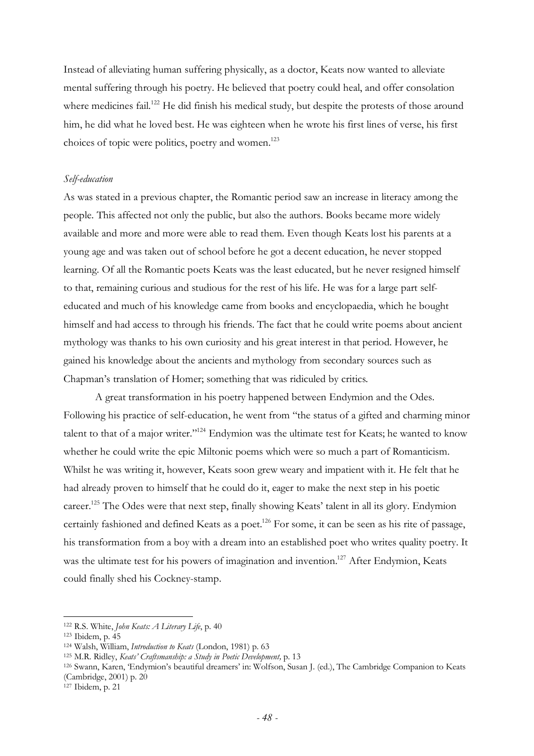Instead of alleviating human suffering physically, as a doctor, Keats now wanted to alleviate mental suffering through his poetry. He believed that poetry could heal, and offer consolation where medicines fail.<sup>122</sup> He did finish his medical study, but despite the protests of those around him, he did what he loved best. He was eighteen when he wrote his first lines of verse, his first choices of topic were politics, poetry and women.<sup>123</sup>

#### *Self-education*

As was stated in a previous chapter, the Romantic period saw an increase in literacy among the people. This affected not only the public, but also the authors. Books became more widely available and more and more were able to read them. Even though Keats lost his parents at a young age and was taken out of school before he got a decent education, he never stopped learning. Of all the Romantic poets Keats was the least educated, but he never resigned himself to that, remaining curious and studious for the rest of his life. He was for a large part selfeducated and much of his knowledge came from books and encyclopaedia, which he bought himself and had access to through his friends. The fact that he could write poems about ancient mythology was thanks to his own curiosity and his great interest in that period. However, he gained his knowledge about the ancients and mythology from secondary sources such as Chapman's translation of Homer; something that was ridiculed by critics.

A great transformation in his poetry happened between Endymion and the Odes. Following his practice of self-education, he went from "the status of a gifted and charming minor talent to that of a major writer."<sup>124</sup> Endymion was the ultimate test for Keats; he wanted to know whether he could write the epic Miltonic poems which were so much a part of Romanticism. Whilst he was writing it, however, Keats soon grew weary and impatient with it. He felt that he had already proven to himself that he could do it, eager to make the next step in his poetic career.<sup>125</sup> The Odes were that next step, finally showing Keats' talent in all its glory. Endymion certainly fashioned and defined Keats as a poet.<sup>126</sup> For some, it can be seen as his rite of passage, his transformation from a boy with a dream into an established poet who writes quality poetry. It was the ultimate test for his powers of imagination and invention.<sup>127</sup> After Endymion, Keats could finally shed his Cockney-stamp.

 $\overline{a}$ 

<sup>126</sup> Swann, Karen, 'Endymion's beautiful dreamers' in: Wolfson, Susan J. (ed.), The Cambridge Companion to Keats (Cambridge, 2001) p. 20

127 Ibidem, p. 21

<sup>122</sup> R.S. White, *John Keats: A Literary Life*, p. 40

<sup>123</sup> Ibidem, p. 45

<sup>124</sup> Walsh, William, *Introduction to Keats* (London, 1981) p. 63

<sup>125</sup> M.R. Ridley, *Keats' Craftsmanship: a Study in Poetic Development,* p. 13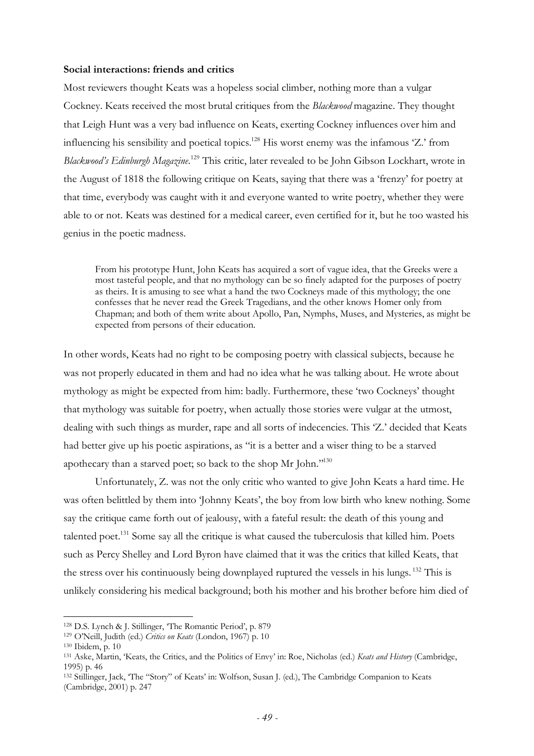#### **Social interactions: friends and critics**

Most reviewers thought Keats was a hopeless social climber, nothing more than a vulgar Cockney. Keats received the most brutal critiques from the *Blackwood* magazine. They thought that Leigh Hunt was a very bad influence on Keats, exerting Cockney influences over him and influencing his sensibility and poetical topics.<sup>128</sup> His worst enemy was the infamous 'Z.' from *Blackwood's Edinburgh Magazine*. <sup>129</sup> This critic, later revealed to be John Gibson Lockhart, wrote in the August of 1818 the following critique on Keats, saying that there was a 'frenzy' for poetry at that time, everybody was caught with it and everyone wanted to write poetry, whether they were able to or not. Keats was destined for a medical career, even certified for it, but he too wasted his genius in the poetic madness.

From his prototype Hunt, John Keats has acquired a sort of vague idea, that the Greeks were a most tasteful people, and that no mythology can be so finely adapted for the purposes of poetry as theirs. It is amusing to see what a hand the two Cockneys made of this mythology; the one confesses that he never read the Greek Tragedians, and the other knows Homer only from Chapman; and both of them write about Apollo, Pan, Nymphs, Muses, and Mysteries, as might be expected from persons of their education.

In other words, Keats had no right to be composing poetry with classical subjects, because he was not properly educated in them and had no idea what he was talking about. He wrote about mythology as might be expected from him: badly. Furthermore, these 'two Cockneys' thought that mythology was suitable for poetry, when actually those stories were vulgar at the utmost, dealing with such things as murder, rape and all sorts of indecencies. This 'Z.' decided that Keats had better give up his poetic aspirations, as "it is a better and a wiser thing to be a starved apothecary than a starved poet; so back to the shop Mr John."<sup>130</sup>

Unfortunately, Z. was not the only critic who wanted to give John Keats a hard time. He was often belittled by them into 'Johnny Keats', the boy from low birth who knew nothing. Some say the critique came forth out of jealousy, with a fateful result: the death of this young and talented poet.<sup>131</sup> Some say all the critique is what caused the tuberculosis that killed him. Poets such as Percy Shelley and Lord Byron have claimed that it was the critics that killed Keats, that the stress over his continuously being downplayed ruptured the vessels in his lungs. <sup>132</sup> This is unlikely considering his medical background; both his mother and his brother before him died of

<sup>128</sup> D.S. Lynch & J. Stillinger, 'The Romantic Period', p. 879

<sup>129</sup> O'Neill, Judith (ed.) *Critics on Keats* (London, 1967) p. 10

<sup>130</sup> Ibidem, p. 10

<sup>131</sup> Aske, Martin, 'Keats, the Critics, and the Politics of Envy' in: Roe, Nicholas (ed.) *Keats and History* (Cambridge, 1995) p. 46

<sup>132</sup> Stillinger, Jack, 'The "Story" of Keats' in: Wolfson, Susan J. (ed.), The Cambridge Companion to Keats (Cambridge, 2001) p. 247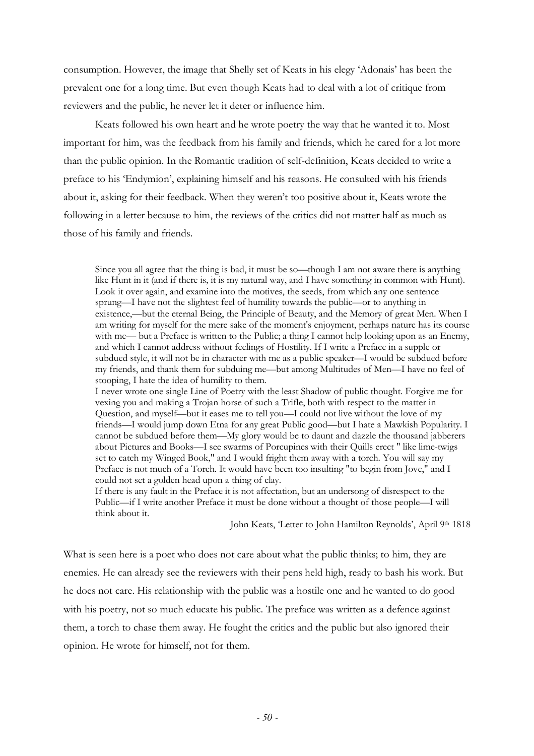consumption. However, the image that Shelly set of Keats in his elegy 'Adonais' has been the prevalent one for a long time. But even though Keats had to deal with a lot of critique from reviewers and the public, he never let it deter or influence him.

Keats followed his own heart and he wrote poetry the way that he wanted it to. Most important for him, was the feedback from his family and friends, which he cared for a lot more than the public opinion. In the Romantic tradition of self-definition, Keats decided to write a preface to his 'Endymion', explaining himself and his reasons. He consulted with his friends about it, asking for their feedback. When they weren't too positive about it, Keats wrote the following in a letter because to him, the reviews of the critics did not matter half as much as those of his family and friends.

Since you all agree that the thing is bad, it must be so—though I am not aware there is anything like Hunt in it (and if there is, it is my natural way, and I have something in common with Hunt). Look it over again, and examine into the motives, the seeds, from which any one sentence sprung—I have not the slightest feel of humility towards the public—or to anything in existence,—but the eternal Being, the Principle of Beauty, and the Memory of great Men. When I am writing for myself for the mere sake of the moment's enjoyment, perhaps nature has its course with me— but a Preface is written to the Public; a thing I cannot help looking upon as an Enemy, and which I cannot address without feelings of Hostility. If I write a Preface in a supple or subdued style, it will not be in character with me as a public speaker—I would be subdued before my friends, and thank them for subduing me—but among Multitudes of Men—I have no feel of stooping, I hate the idea of humility to them.

I never wrote one single Line of Poetry with the least Shadow of public thought. Forgive me for vexing you and making a Trojan horse of such a Trifle, both with respect to the matter in Question, and myself—but it eases me to tell you—I could not live without the love of my friends—I would jump down Etna for any great Public good—but I hate a Mawkish Popularity. I cannot be subdued before them—My glory would be to daunt and dazzle the thousand jabberers about Pictures and Books—I see swarms of Porcupines with their Quills erect " like lime-twigs set to catch my Winged Book," and I would fright them away with a torch. You will say my Preface is not much of a Torch. It would have been too insulting "to begin from Jove," and I could not set a golden head upon a thing of clay.

If there is any fault in the Preface it is not affectation, but an undersong of disrespect to the Public—if I write another Preface it must be done without a thought of those people—I will think about it.

John Keats, 'Letter to John Hamilton Reynolds', April 9th 1818

What is seen here is a poet who does not care about what the public thinks; to him, they are enemies. He can already see the reviewers with their pens held high, ready to bash his work. But he does not care. His relationship with the public was a hostile one and he wanted to do good with his poetry, not so much educate his public. The preface was written as a defence against them, a torch to chase them away. He fought the critics and the public but also ignored their opinion. He wrote for himself, not for them.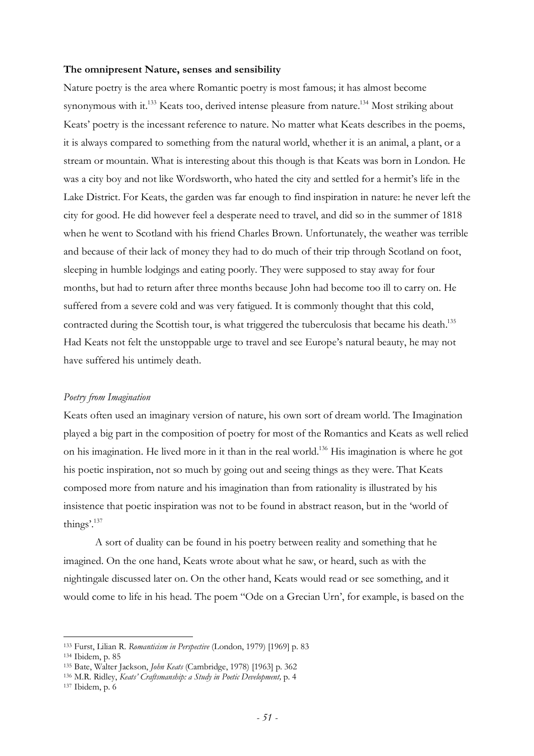#### **The omnipresent Nature, senses and sensibility**

Nature poetry is the area where Romantic poetry is most famous; it has almost become synonymous with it.<sup>133</sup> Keats too, derived intense pleasure from nature.<sup>134</sup> Most striking about Keats' poetry is the incessant reference to nature. No matter what Keats describes in the poems, it is always compared to something from the natural world, whether it is an animal, a plant, or a stream or mountain. What is interesting about this though is that Keats was born in London. He was a city boy and not like Wordsworth, who hated the city and settled for a hermit's life in the Lake District. For Keats, the garden was far enough to find inspiration in nature: he never left the city for good. He did however feel a desperate need to travel, and did so in the summer of 1818 when he went to Scotland with his friend Charles Brown. Unfortunately, the weather was terrible and because of their lack of money they had to do much of their trip through Scotland on foot, sleeping in humble lodgings and eating poorly. They were supposed to stay away for four months, but had to return after three months because John had become too ill to carry on. He suffered from a severe cold and was very fatigued. It is commonly thought that this cold, contracted during the Scottish tour, is what triggered the tuberculosis that became his death.<sup>135</sup> Had Keats not felt the unstoppable urge to travel and see Europe's natural beauty, he may not have suffered his untimely death.

#### *Poetry from Imagination*

Keats often used an imaginary version of nature, his own sort of dream world. The Imagination played a big part in the composition of poetry for most of the Romantics and Keats as well relied on his imagination. He lived more in it than in the real world.<sup>136</sup> His imagination is where he got his poetic inspiration, not so much by going out and seeing things as they were. That Keats composed more from nature and his imagination than from rationality is illustrated by his insistence that poetic inspiration was not to be found in abstract reason, but in the 'world of things'.<sup>137</sup>

A sort of duality can be found in his poetry between reality and something that he imagined. On the one hand, Keats wrote about what he saw, or heard, such as with the nightingale discussed later on. On the other hand, Keats would read or see something, and it would come to life in his head. The poem "Ode on a Grecian Urn', for example, is based on the

<sup>133</sup> Furst, Lilian R. *Romanticism in Perspective* (London, 1979) [1969] p. 83

<sup>134</sup> Ibidem, p. 85

<sup>135</sup> Bate, Walter Jackson, *John Keats* (Cambridge, 1978) [1963] p. 362

<sup>136</sup> M.R. Ridley, *Keats' Craftsmanship: a Study in Poetic Development,* p. 4

<sup>137</sup> Ibidem, p. 6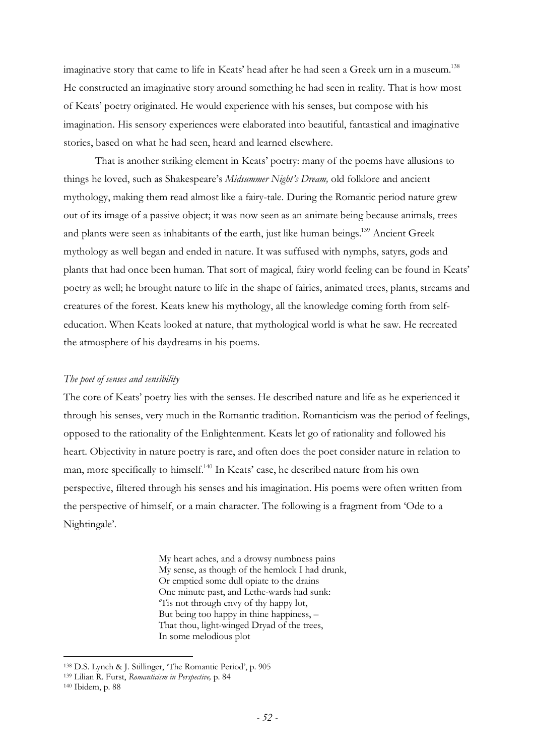imaginative story that came to life in Keats' head after he had seen a Greek urn in a museum.<sup>138</sup> He constructed an imaginative story around something he had seen in reality. That is how most of Keats' poetry originated. He would experience with his senses, but compose with his imagination. His sensory experiences were elaborated into beautiful, fantastical and imaginative stories, based on what he had seen, heard and learned elsewhere.

That is another striking element in Keats' poetry: many of the poems have allusions to things he loved, such as Shakespeare's *Midsummer Night's Dream,* old folklore and ancient mythology, making them read almost like a fairy-tale. During the Romantic period nature grew out of its image of a passive object; it was now seen as an animate being because animals, trees and plants were seen as inhabitants of the earth, just like human beings.<sup>139</sup> Ancient Greek mythology as well began and ended in nature. It was suffused with nymphs, satyrs, gods and plants that had once been human. That sort of magical, fairy world feeling can be found in Keats' poetry as well; he brought nature to life in the shape of fairies, animated trees, plants, streams and creatures of the forest. Keats knew his mythology, all the knowledge coming forth from selfeducation. When Keats looked at nature, that mythological world is what he saw. He recreated the atmosphere of his daydreams in his poems.

### *The poet of senses and sensibility*

The core of Keats' poetry lies with the senses. He described nature and life as he experienced it through his senses, very much in the Romantic tradition. Romanticism was the period of feelings, opposed to the rationality of the Enlightenment. Keats let go of rationality and followed his heart. Objectivity in nature poetry is rare, and often does the poet consider nature in relation to man, more specifically to himself.<sup>140</sup> In Keats' case, he described nature from his own perspective, filtered through his senses and his imagination. His poems were often written from the perspective of himself, or a main character. The following is a fragment from 'Ode to a Nightingale'.

> My heart aches, and a drowsy numbness pains My sense, as though of the hemlock I had drunk, Or emptied some dull opiate to the drains One minute past, and Lethe-wards had sunk: 'Tis not through envy of thy happy lot, But being too happy in thine happiness, – That thou, light-winged Dryad of the trees, In some melodious plot

<sup>138</sup> D.S. Lynch & J. Stillinger, 'The Romantic Period', p. 905

<sup>139</sup> Lilian R. Furst, *Romanticism in Perspective,* p. 84

<sup>140</sup> Ibidem, p. 88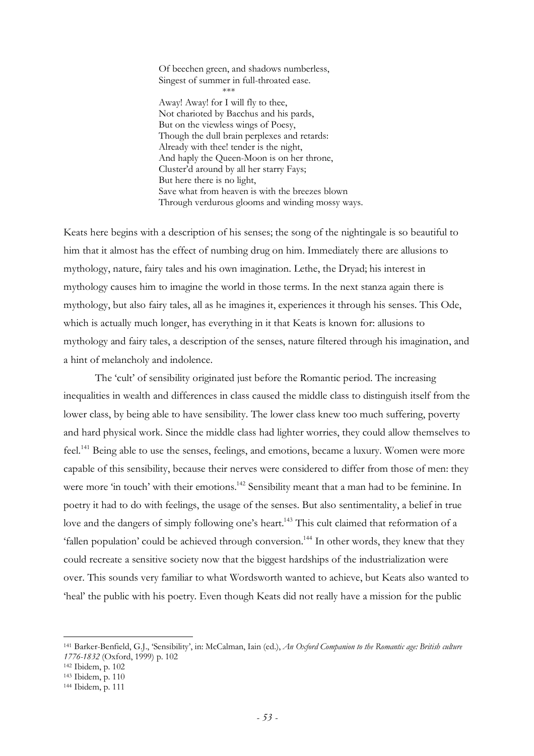Of beechen green, and shadows numberless, Singest of summer in full-throated ease. \*\*\* Away! Away! for I will fly to thee, Not charioted by Bacchus and his pards, But on the viewless wings of Poesy, Though the dull brain perplexes and retards: Already with thee! tender is the night, And haply the Queen-Moon is on her throne, Cluster'd around by all her starry Fays; But here there is no light, Save what from heaven is with the breezes blown Through verdurous glooms and winding mossy ways.

Keats here begins with a description of his senses; the song of the nightingale is so beautiful to him that it almost has the effect of numbing drug on him. Immediately there are allusions to mythology, nature, fairy tales and his own imagination. Lethe, the Dryad; his interest in mythology causes him to imagine the world in those terms. In the next stanza again there is mythology, but also fairy tales, all as he imagines it, experiences it through his senses. This Ode, which is actually much longer, has everything in it that Keats is known for: allusions to mythology and fairy tales, a description of the senses, nature filtered through his imagination, and a hint of melancholy and indolence.

The 'cult' of sensibility originated just before the Romantic period. The increasing inequalities in wealth and differences in class caused the middle class to distinguish itself from the lower class, by being able to have sensibility. The lower class knew too much suffering, poverty and hard physical work. Since the middle class had lighter worries, they could allow themselves to feel.<sup>141</sup> Being able to use the senses, feelings, and emotions, became a luxury. Women were more capable of this sensibility, because their nerves were considered to differ from those of men: they were more 'in touch' with their emotions.<sup>142</sup> Sensibility meant that a man had to be feminine. In poetry it had to do with feelings, the usage of the senses. But also sentimentality, a belief in true love and the dangers of simply following one's heart.<sup>143</sup> This cult claimed that reformation of a 'fallen population' could be achieved through conversion.<sup>144</sup> In other words, they knew that they could recreate a sensitive society now that the biggest hardships of the industrialization were over. This sounds very familiar to what Wordsworth wanted to achieve, but Keats also wanted to 'heal' the public with his poetry. Even though Keats did not really have a mission for the public

<sup>141</sup> Barker-Benfield, G.J., 'Sensibility', in: McCalman, Iain (ed.), *An Oxford Companion to the Romantic age: British culture 1776-1832* (Oxford, 1999) p. 102

<sup>142</sup> Ibidem, p. 102

<sup>143</sup> Ibidem, p. 110

<sup>144</sup> Ibidem, p. 111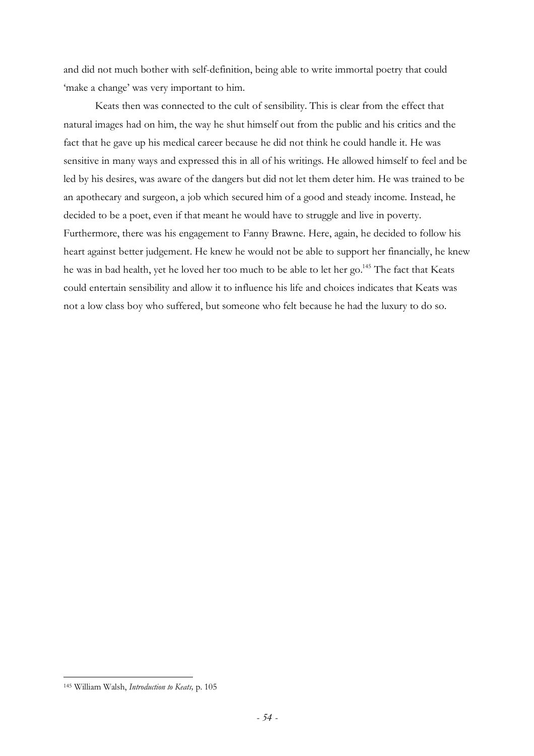and did not much bother with self-definition, being able to write immortal poetry that could 'make a change' was very important to him.

Keats then was connected to the cult of sensibility. This is clear from the effect that natural images had on him, the way he shut himself out from the public and his critics and the fact that he gave up his medical career because he did not think he could handle it. He was sensitive in many ways and expressed this in all of his writings. He allowed himself to feel and be led by his desires, was aware of the dangers but did not let them deter him. He was trained to be an apothecary and surgeon, a job which secured him of a good and steady income. Instead, he decided to be a poet, even if that meant he would have to struggle and live in poverty. Furthermore, there was his engagement to Fanny Brawne. Here, again, he decided to follow his heart against better judgement. He knew he would not be able to support her financially, he knew he was in bad health, yet he loved her too much to be able to let her go.<sup>145</sup> The fact that Keats could entertain sensibility and allow it to influence his life and choices indicates that Keats was not a low class boy who suffered, but someone who felt because he had the luxury to do so.

<sup>145</sup> William Walsh, *Introduction to Keats,* p. 105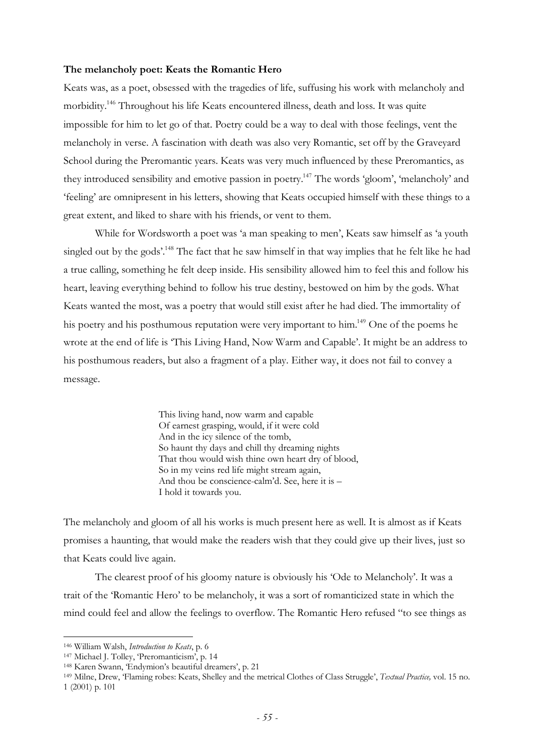#### **The melancholy poet: Keats the Romantic Hero**

Keats was, as a poet, obsessed with the tragedies of life, suffusing his work with melancholy and morbidity.<sup>146</sup> Throughout his life Keats encountered illness, death and loss. It was quite impossible for him to let go of that. Poetry could be a way to deal with those feelings, vent the melancholy in verse. A fascination with death was also very Romantic, set off by the Graveyard School during the Preromantic years. Keats was very much influenced by these Preromantics, as they introduced sensibility and emotive passion in poetry.<sup>147</sup> The words 'gloom', 'melancholy' and 'feeling' are omnipresent in his letters, showing that Keats occupied himself with these things to a great extent, and liked to share with his friends, or vent to them.

While for Wordsworth a poet was 'a man speaking to men', Keats saw himself as 'a youth singled out by the gods'.<sup>148</sup> The fact that he saw himself in that way implies that he felt like he had a true calling, something he felt deep inside. His sensibility allowed him to feel this and follow his heart, leaving everything behind to follow his true destiny, bestowed on him by the gods. What Keats wanted the most, was a poetry that would still exist after he had died. The immortality of his poetry and his posthumous reputation were very important to him.<sup>149</sup> One of the poems he wrote at the end of life is 'This Living Hand, Now Warm and Capable'. It might be an address to his posthumous readers, but also a fragment of a play. Either way, it does not fail to convey a message.

> This living hand, now warm and capable Of earnest grasping, would, if it were cold And in the icy silence of the tomb, So haunt thy days and chill thy dreaming nights That thou would wish thine own heart dry of blood, So in my veins red life might stream again, And thou be conscience-calm'd. See, here it is – I hold it towards you.

The melancholy and gloom of all his works is much present here as well. It is almost as if Keats promises a haunting, that would make the readers wish that they could give up their lives, just so that Keats could live again.

The clearest proof of his gloomy nature is obviously his 'Ode to Melancholy'. It was a trait of the 'Romantic Hero' to be melancholy, it was a sort of romanticized state in which the mind could feel and allow the feelings to overflow. The Romantic Hero refused "to see things as

<sup>146</sup> William Walsh, *Introduction to Keats*, p. 6

<sup>147</sup> Michael J. Tolley, 'Preromanticism', p. 14

<sup>148</sup> Karen Swann, 'Endymion's beautiful dreamers', p. 21

<sup>149</sup> Milne, Drew, 'Flaming robes: Keats, Shelley and the metrical Clothes of Class Struggle', *Textual Practice,* vol. 15 no. 1 (2001) p. 101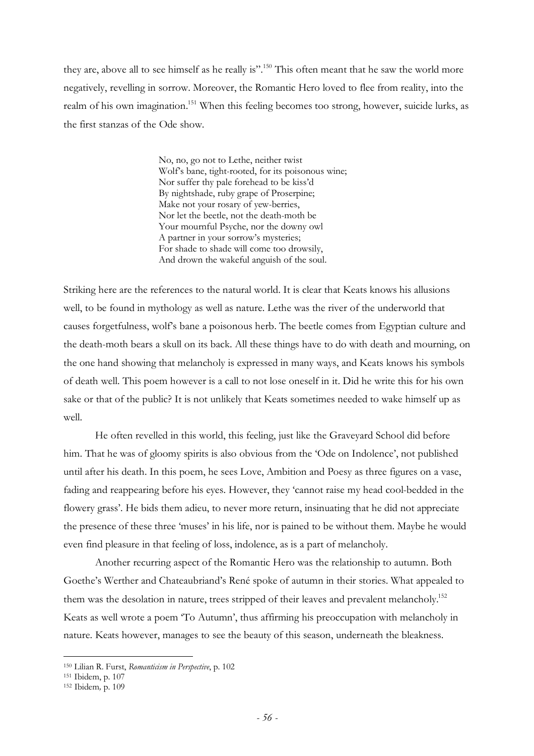they are, above all to see himself as he really is".<sup>150</sup> This often meant that he saw the world more negatively, revelling in sorrow. Moreover, the Romantic Hero loved to flee from reality, into the realm of his own imagination.<sup>151</sup> When this feeling becomes too strong, however, suicide lurks, as the first stanzas of the Ode show.

> No, no, go not to Lethe, neither twist Wolf's bane, tight-rooted, for its poisonous wine; Nor suffer thy pale forehead to be kiss'd By nightshade, ruby grape of Proserpine; Make not your rosary of yew-berries, Nor let the beetle, not the death-moth be Your mournful Psyche, nor the downy owl A partner in your sorrow's mysteries; For shade to shade will come too drowsily, And drown the wakeful anguish of the soul.

Striking here are the references to the natural world. It is clear that Keats knows his allusions well, to be found in mythology as well as nature. Lethe was the river of the underworld that causes forgetfulness, wolf's bane a poisonous herb. The beetle comes from Egyptian culture and the death-moth bears a skull on its back. All these things have to do with death and mourning, on the one hand showing that melancholy is expressed in many ways, and Keats knows his symbols of death well. This poem however is a call to not lose oneself in it. Did he write this for his own sake or that of the public? It is not unlikely that Keats sometimes needed to wake himself up as well.

He often revelled in this world, this feeling, just like the Graveyard School did before him. That he was of gloomy spirits is also obvious from the 'Ode on Indolence', not published until after his death. In this poem, he sees Love, Ambition and Poesy as three figures on a vase, fading and reappearing before his eyes. However, they 'cannot raise my head cool-bedded in the flowery grass'. He bids them adieu, to never more return, insinuating that he did not appreciate the presence of these three 'muses' in his life, nor is pained to be without them. Maybe he would even find pleasure in that feeling of loss, indolence, as is a part of melancholy.

Another recurring aspect of the Romantic Hero was the relationship to autumn. Both Goethe's Werther and Chateaubriand's René spoke of autumn in their stories. What appealed to them was the desolation in nature, trees stripped of their leaves and prevalent melancholy.<sup>152</sup> Keats as well wrote a poem 'To Autumn', thus affirming his preoccupation with melancholy in nature. Keats however, manages to see the beauty of this season, underneath the bleakness.

<sup>150</sup> Lilian R. Furst, *Romanticism in Perspective*, p. 102

<sup>151</sup> Ibidem, p. 107

<sup>152</sup> Ibidem*,* p. 109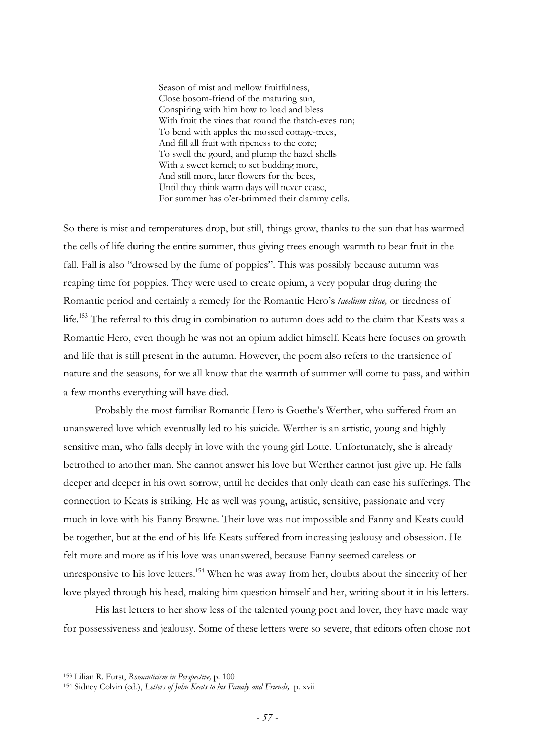Season of mist and mellow fruitfulness, Close bosom-friend of the maturing sun, Conspiring with him how to load and bless With fruit the vines that round the thatch-eves run; To bend with apples the mossed cottage-trees, And fill all fruit with ripeness to the core; To swell the gourd, and plump the hazel shells With a sweet kernel; to set budding more, And still more, later flowers for the bees, Until they think warm days will never cease, For summer has o'er-brimmed their clammy cells.

So there is mist and temperatures drop, but still, things grow, thanks to the sun that has warmed the cells of life during the entire summer, thus giving trees enough warmth to bear fruit in the fall. Fall is also "drowsed by the fume of poppies". This was possibly because autumn was reaping time for poppies. They were used to create opium, a very popular drug during the Romantic period and certainly a remedy for the Romantic Hero's *taedium vitae,* or tiredness of life.<sup>153</sup> The referral to this drug in combination to autumn does add to the claim that Keats was a Romantic Hero, even though he was not an opium addict himself. Keats here focuses on growth and life that is still present in the autumn. However, the poem also refers to the transience of nature and the seasons, for we all know that the warmth of summer will come to pass, and within a few months everything will have died.

Probably the most familiar Romantic Hero is Goethe's Werther, who suffered from an unanswered love which eventually led to his suicide. Werther is an artistic, young and highly sensitive man, who falls deeply in love with the young girl Lotte. Unfortunately, she is already betrothed to another man. She cannot answer his love but Werther cannot just give up. He falls deeper and deeper in his own sorrow, until he decides that only death can ease his sufferings. The connection to Keats is striking. He as well was young, artistic, sensitive, passionate and very much in love with his Fanny Brawne. Their love was not impossible and Fanny and Keats could be together, but at the end of his life Keats suffered from increasing jealousy and obsession. He felt more and more as if his love was unanswered, because Fanny seemed careless or unresponsive to his love letters.<sup>154</sup> When he was away from her, doubts about the sincerity of her love played through his head, making him question himself and her, writing about it in his letters.

His last letters to her show less of the talented young poet and lover, they have made way for possessiveness and jealousy. Some of these letters were so severe, that editors often chose not

<sup>153</sup> Lilian R. Furst, *Romanticism in Perspective,* p. 100

<sup>154</sup> Sidney Colvin (ed.), *Letters of John Keats to his Family and Friends,* p. xvii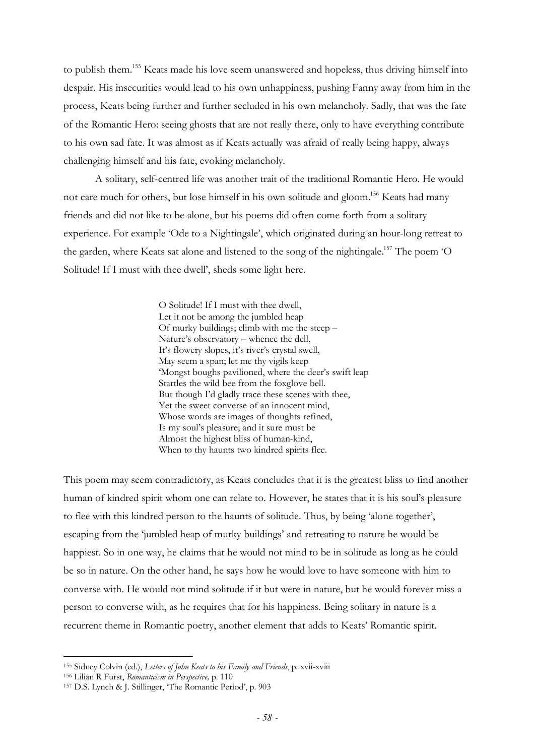to publish them.<sup>155</sup> Keats made his love seem unanswered and hopeless, thus driving himself into despair. His insecurities would lead to his own unhappiness, pushing Fanny away from him in the process, Keats being further and further secluded in his own melancholy. Sadly, that was the fate of the Romantic Hero: seeing ghosts that are not really there, only to have everything contribute to his own sad fate. It was almost as if Keats actually was afraid of really being happy, always challenging himself and his fate, evoking melancholy.

A solitary, self-centred life was another trait of the traditional Romantic Hero. He would not care much for others, but lose himself in his own solitude and gloom.<sup>156</sup> Keats had many friends and did not like to be alone, but his poems did often come forth from a solitary experience. For example 'Ode to a Nightingale', which originated during an hour-long retreat to the garden, where Keats sat alone and listened to the song of the nightingale.<sup>157</sup> The poem 'O Solitude! If I must with thee dwell', sheds some light here.

> O Solitude! If I must with thee dwell, Let it not be among the jumbled heap Of murky buildings; climb with me the steep – Nature's observatory – whence the dell, It's flowery slopes, it's river's crystal swell, May seem a span; let me thy vigils keep 'Mongst boughs pavilioned, where the deer's swift leap Startles the wild bee from the foxglove bell. But though I'd gladly trace these scenes with thee, Yet the sweet converse of an innocent mind, Whose words are images of thoughts refined, Is my soul's pleasure; and it sure must be Almost the highest bliss of human-kind, When to thy haunts two kindred spirits flee.

This poem may seem contradictory, as Keats concludes that it is the greatest bliss to find another human of kindred spirit whom one can relate to. However, he states that it is his soul's pleasure to flee with this kindred person to the haunts of solitude. Thus, by being 'alone together', escaping from the 'jumbled heap of murky buildings' and retreating to nature he would be happiest. So in one way, he claims that he would not mind to be in solitude as long as he could be so in nature. On the other hand, he says how he would love to have someone with him to converse with. He would not mind solitude if it but were in nature, but he would forever miss a person to converse with, as he requires that for his happiness. Being solitary in nature is a recurrent theme in Romantic poetry, another element that adds to Keats' Romantic spirit.

<sup>155</sup> Sidney Colvin (ed.), *Letters of John Keats to his Family and Friends*, p. xvii-xviii

<sup>156</sup> Lilian R Furst, *Romanticism in Perspective,* p. 110

<sup>157</sup> D.S. Lynch & J. Stillinger, 'The Romantic Period', p. 903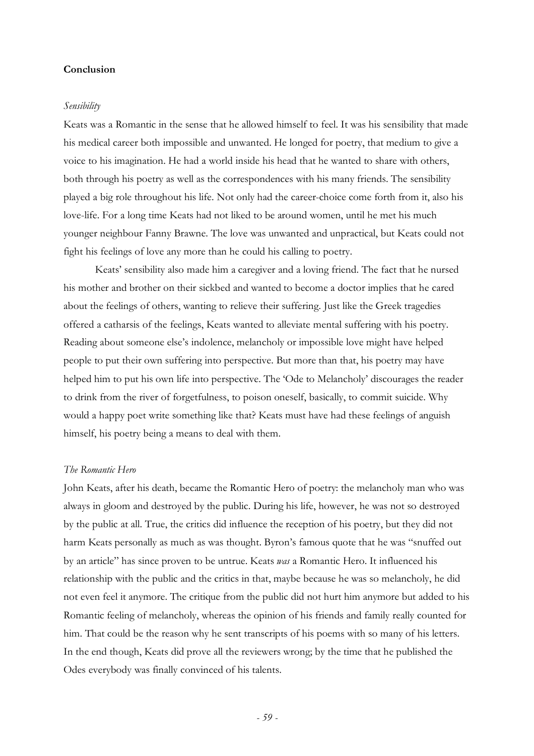## **Conclusion**

#### *Sensibility*

Keats was a Romantic in the sense that he allowed himself to feel. It was his sensibility that made his medical career both impossible and unwanted. He longed for poetry, that medium to give a voice to his imagination. He had a world inside his head that he wanted to share with others, both through his poetry as well as the correspondences with his many friends. The sensibility played a big role throughout his life. Not only had the career-choice come forth from it, also his love-life. For a long time Keats had not liked to be around women, until he met his much younger neighbour Fanny Brawne. The love was unwanted and unpractical, but Keats could not fight his feelings of love any more than he could his calling to poetry.

Keats' sensibility also made him a caregiver and a loving friend. The fact that he nursed his mother and brother on their sickbed and wanted to become a doctor implies that he cared about the feelings of others, wanting to relieve their suffering. Just like the Greek tragedies offered a catharsis of the feelings, Keats wanted to alleviate mental suffering with his poetry. Reading about someone else's indolence, melancholy or impossible love might have helped people to put their own suffering into perspective. But more than that, his poetry may have helped him to put his own life into perspective. The 'Ode to Melancholy' discourages the reader to drink from the river of forgetfulness, to poison oneself, basically, to commit suicide. Why would a happy poet write something like that? Keats must have had these feelings of anguish himself, his poetry being a means to deal with them.

#### *The Romantic Hero*

John Keats, after his death, became the Romantic Hero of poetry: the melancholy man who was always in gloom and destroyed by the public. During his life, however, he was not so destroyed by the public at all. True, the critics did influence the reception of his poetry, but they did not harm Keats personally as much as was thought. Byron's famous quote that he was "snuffed out by an article" has since proven to be untrue. Keats *was* a Romantic Hero. It influenced his relationship with the public and the critics in that, maybe because he was so melancholy, he did not even feel it anymore. The critique from the public did not hurt him anymore but added to his Romantic feeling of melancholy, whereas the opinion of his friends and family really counted for him. That could be the reason why he sent transcripts of his poems with so many of his letters. In the end though, Keats did prove all the reviewers wrong; by the time that he published the Odes everybody was finally convinced of his talents.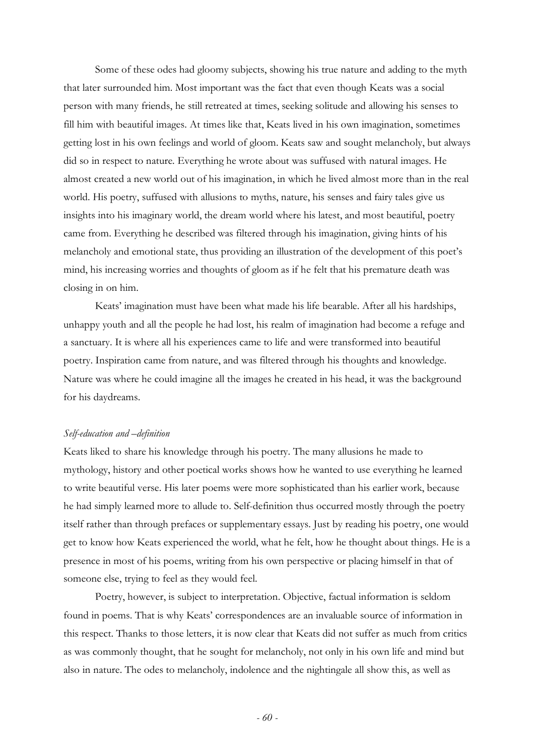Some of these odes had gloomy subjects, showing his true nature and adding to the myth that later surrounded him. Most important was the fact that even though Keats was a social person with many friends, he still retreated at times, seeking solitude and allowing his senses to fill him with beautiful images. At times like that, Keats lived in his own imagination, sometimes getting lost in his own feelings and world of gloom. Keats saw and sought melancholy, but always did so in respect to nature. Everything he wrote about was suffused with natural images. He almost created a new world out of his imagination, in which he lived almost more than in the real world. His poetry, suffused with allusions to myths, nature, his senses and fairy tales give us insights into his imaginary world, the dream world where his latest, and most beautiful, poetry came from. Everything he described was filtered through his imagination, giving hints of his melancholy and emotional state, thus providing an illustration of the development of this poet's mind, his increasing worries and thoughts of gloom as if he felt that his premature death was closing in on him.

Keats' imagination must have been what made his life bearable. After all his hardships, unhappy youth and all the people he had lost, his realm of imagination had become a refuge and a sanctuary. It is where all his experiences came to life and were transformed into beautiful poetry. Inspiration came from nature, and was filtered through his thoughts and knowledge. Nature was where he could imagine all the images he created in his head, it was the background for his daydreams.

#### *Self-education and –definition*

Keats liked to share his knowledge through his poetry. The many allusions he made to mythology, history and other poetical works shows how he wanted to use everything he learned to write beautiful verse. His later poems were more sophisticated than his earlier work, because he had simply learned more to allude to. Self-definition thus occurred mostly through the poetry itself rather than through prefaces or supplementary essays. Just by reading his poetry, one would get to know how Keats experienced the world, what he felt, how he thought about things. He is a presence in most of his poems, writing from his own perspective or placing himself in that of someone else, trying to feel as they would feel.

Poetry, however, is subject to interpretation. Objective, factual information is seldom found in poems. That is why Keats' correspondences are an invaluable source of information in this respect. Thanks to those letters, it is now clear that Keats did not suffer as much from critics as was commonly thought, that he sought for melancholy, not only in his own life and mind but also in nature. The odes to melancholy, indolence and the nightingale all show this, as well as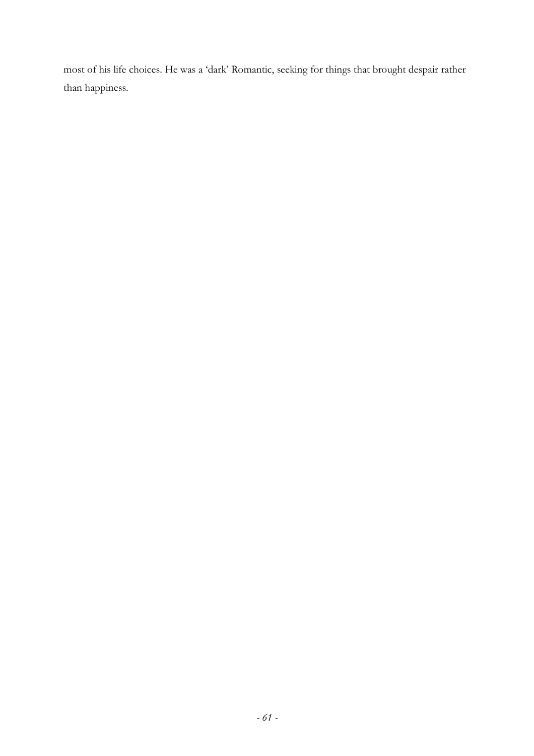most of his life choices. He was a 'dark' Romantic, seeking for things that brought despair rather than happiness.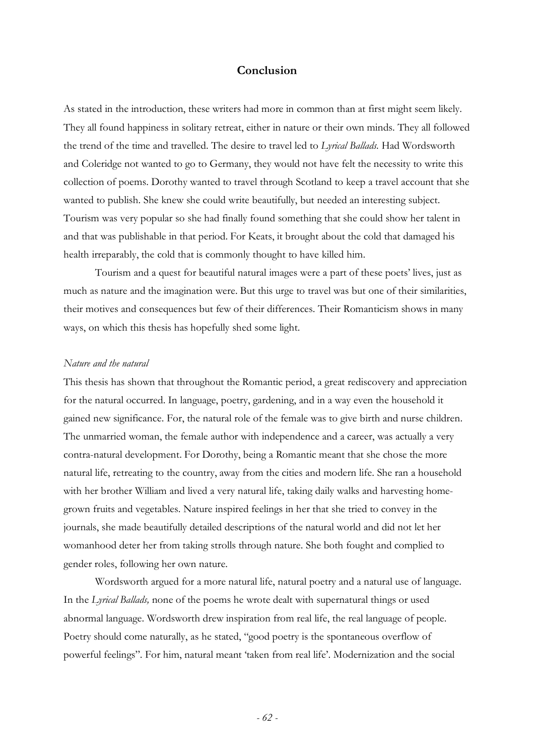## **Conclusion**

As stated in the introduction, these writers had more in common than at first might seem likely. They all found happiness in solitary retreat, either in nature or their own minds. They all followed the trend of the time and travelled. The desire to travel led to *Lyrical Ballads.* Had Wordsworth and Coleridge not wanted to go to Germany, they would not have felt the necessity to write this collection of poems. Dorothy wanted to travel through Scotland to keep a travel account that she wanted to publish. She knew she could write beautifully, but needed an interesting subject. Tourism was very popular so she had finally found something that she could show her talent in and that was publishable in that period. For Keats, it brought about the cold that damaged his health irreparably, the cold that is commonly thought to have killed him.

Tourism and a quest for beautiful natural images were a part of these poets' lives, just as much as nature and the imagination were. But this urge to travel was but one of their similarities, their motives and consequences but few of their differences. Their Romanticism shows in many ways, on which this thesis has hopefully shed some light.

## *Nature and the natural*

This thesis has shown that throughout the Romantic period, a great rediscovery and appreciation for the natural occurred. In language, poetry, gardening, and in a way even the household it gained new significance. For, the natural role of the female was to give birth and nurse children. The unmarried woman, the female author with independence and a career, was actually a very contra-natural development. For Dorothy, being a Romantic meant that she chose the more natural life, retreating to the country, away from the cities and modern life. She ran a household with her brother William and lived a very natural life, taking daily walks and harvesting homegrown fruits and vegetables. Nature inspired feelings in her that she tried to convey in the journals, she made beautifully detailed descriptions of the natural world and did not let her womanhood deter her from taking strolls through nature. She both fought and complied to gender roles, following her own nature.

Wordsworth argued for a more natural life, natural poetry and a natural use of language. In the *Lyrical Ballads,* none of the poems he wrote dealt with supernatural things or used abnormal language. Wordsworth drew inspiration from real life, the real language of people. Poetry should come naturally, as he stated, "good poetry is the spontaneous overflow of powerful feelings". For him, natural meant 'taken from real life'. Modernization and the social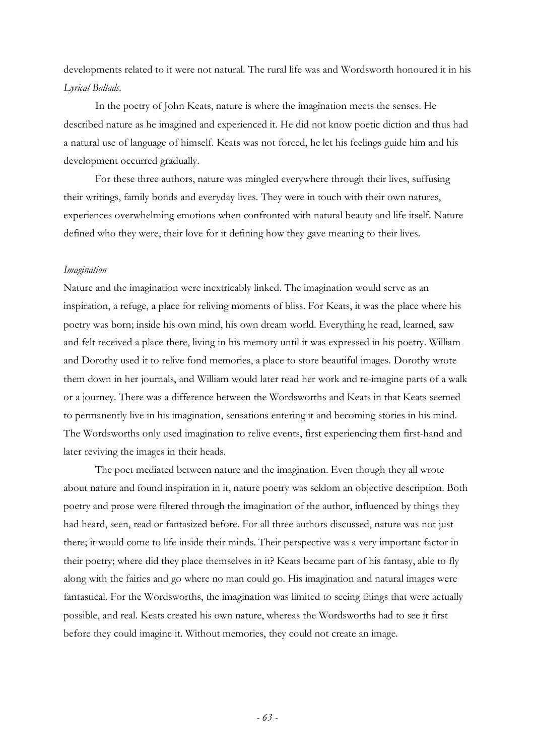developments related to it were not natural. The rural life was and Wordsworth honoured it in his *Lyrical Ballads.* 

In the poetry of John Keats, nature is where the imagination meets the senses. He described nature as he imagined and experienced it. He did not know poetic diction and thus had a natural use of language of himself. Keats was not forced, he let his feelings guide him and his development occurred gradually.

For these three authors, nature was mingled everywhere through their lives, suffusing their writings, family bonds and everyday lives. They were in touch with their own natures, experiences overwhelming emotions when confronted with natural beauty and life itself. Nature defined who they were, their love for it defining how they gave meaning to their lives.

## *Imagination*

Nature and the imagination were inextricably linked. The imagination would serve as an inspiration, a refuge, a place for reliving moments of bliss. For Keats, it was the place where his poetry was born; inside his own mind, his own dream world. Everything he read, learned, saw and felt received a place there, living in his memory until it was expressed in his poetry. William and Dorothy used it to relive fond memories, a place to store beautiful images. Dorothy wrote them down in her journals, and William would later read her work and re-imagine parts of a walk or a journey. There was a difference between the Wordsworths and Keats in that Keats seemed to permanently live in his imagination, sensations entering it and becoming stories in his mind. The Wordsworths only used imagination to relive events, first experiencing them first-hand and later reviving the images in their heads.

The poet mediated between nature and the imagination. Even though they all wrote about nature and found inspiration in it, nature poetry was seldom an objective description. Both poetry and prose were filtered through the imagination of the author, influenced by things they had heard, seen, read or fantasized before. For all three authors discussed, nature was not just there; it would come to life inside their minds. Their perspective was a very important factor in their poetry; where did they place themselves in it? Keats became part of his fantasy, able to fly along with the fairies and go where no man could go. His imagination and natural images were fantastical. For the Wordsworths, the imagination was limited to seeing things that were actually possible, and real. Keats created his own nature, whereas the Wordsworths had to see it first before they could imagine it. Without memories, they could not create an image.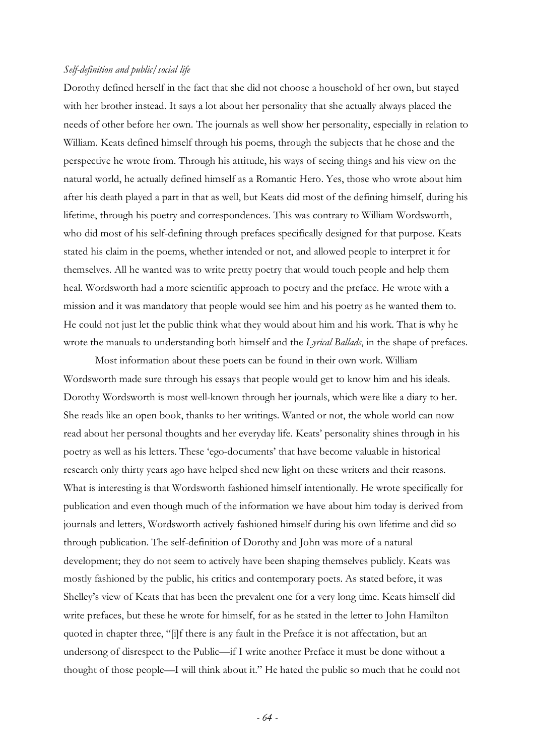#### *Self-definition and public/social life*

Dorothy defined herself in the fact that she did not choose a household of her own, but stayed with her brother instead. It says a lot about her personality that she actually always placed the needs of other before her own. The journals as well show her personality, especially in relation to William. Keats defined himself through his poems, through the subjects that he chose and the perspective he wrote from. Through his attitude, his ways of seeing things and his view on the natural world, he actually defined himself as a Romantic Hero. Yes, those who wrote about him after his death played a part in that as well, but Keats did most of the defining himself, during his lifetime, through his poetry and correspondences. This was contrary to William Wordsworth, who did most of his self-defining through prefaces specifically designed for that purpose. Keats stated his claim in the poems, whether intended or not, and allowed people to interpret it for themselves. All he wanted was to write pretty poetry that would touch people and help them heal. Wordsworth had a more scientific approach to poetry and the preface. He wrote with a mission and it was mandatory that people would see him and his poetry as he wanted them to. He could not just let the public think what they would about him and his work. That is why he wrote the manuals to understanding both himself and the *Lyrical Ballads*, in the shape of prefaces.

Most information about these poets can be found in their own work. William Wordsworth made sure through his essays that people would get to know him and his ideals. Dorothy Wordsworth is most well-known through her journals, which were like a diary to her. She reads like an open book, thanks to her writings. Wanted or not, the whole world can now read about her personal thoughts and her everyday life. Keats' personality shines through in his poetry as well as his letters. These 'ego-documents' that have become valuable in historical research only thirty years ago have helped shed new light on these writers and their reasons. What is interesting is that Wordsworth fashioned himself intentionally. He wrote specifically for publication and even though much of the information we have about him today is derived from journals and letters, Wordsworth actively fashioned himself during his own lifetime and did so through publication. The self-definition of Dorothy and John was more of a natural development; they do not seem to actively have been shaping themselves publicly. Keats was mostly fashioned by the public, his critics and contemporary poets. As stated before, it was Shelley's view of Keats that has been the prevalent one for a very long time. Keats himself did write prefaces, but these he wrote for himself, for as he stated in the letter to John Hamilton quoted in chapter three, "[i]f there is any fault in the Preface it is not affectation, but an undersong of disrespect to the Public—if I write another Preface it must be done without a thought of those people—I will think about it." He hated the public so much that he could not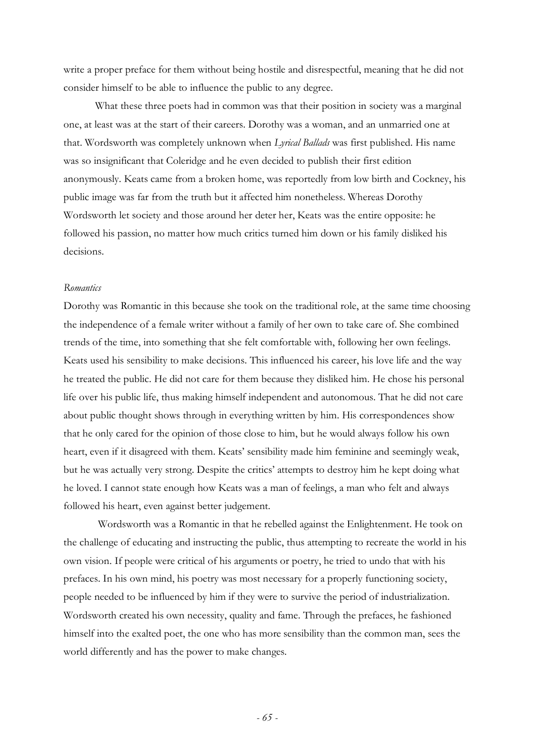write a proper preface for them without being hostile and disrespectful, meaning that he did not consider himself to be able to influence the public to any degree.

What these three poets had in common was that their position in society was a marginal one, at least was at the start of their careers. Dorothy was a woman, and an unmarried one at that. Wordsworth was completely unknown when *Lyrical Ballads* was first published. His name was so insignificant that Coleridge and he even decided to publish their first edition anonymously. Keats came from a broken home, was reportedly from low birth and Cockney, his public image was far from the truth but it affected him nonetheless. Whereas Dorothy Wordsworth let society and those around her deter her, Keats was the entire opposite: he followed his passion, no matter how much critics turned him down or his family disliked his decisions.

#### *Romantics*

Dorothy was Romantic in this because she took on the traditional role, at the same time choosing the independence of a female writer without a family of her own to take care of. She combined trends of the time, into something that she felt comfortable with, following her own feelings. Keats used his sensibility to make decisions. This influenced his career, his love life and the way he treated the public. He did not care for them because they disliked him. He chose his personal life over his public life, thus making himself independent and autonomous. That he did not care about public thought shows through in everything written by him. His correspondences show that he only cared for the opinion of those close to him, but he would always follow his own heart, even if it disagreed with them. Keats' sensibility made him feminine and seemingly weak, but he was actually very strong. Despite the critics' attempts to destroy him he kept doing what he loved. I cannot state enough how Keats was a man of feelings, a man who felt and always followed his heart, even against better judgement.

Wordsworth was a Romantic in that he rebelled against the Enlightenment. He took on the challenge of educating and instructing the public, thus attempting to recreate the world in his own vision. If people were critical of his arguments or poetry, he tried to undo that with his prefaces. In his own mind, his poetry was most necessary for a properly functioning society, people needed to be influenced by him if they were to survive the period of industrialization. Wordsworth created his own necessity, quality and fame. Through the prefaces, he fashioned himself into the exalted poet, the one who has more sensibility than the common man, sees the world differently and has the power to make changes.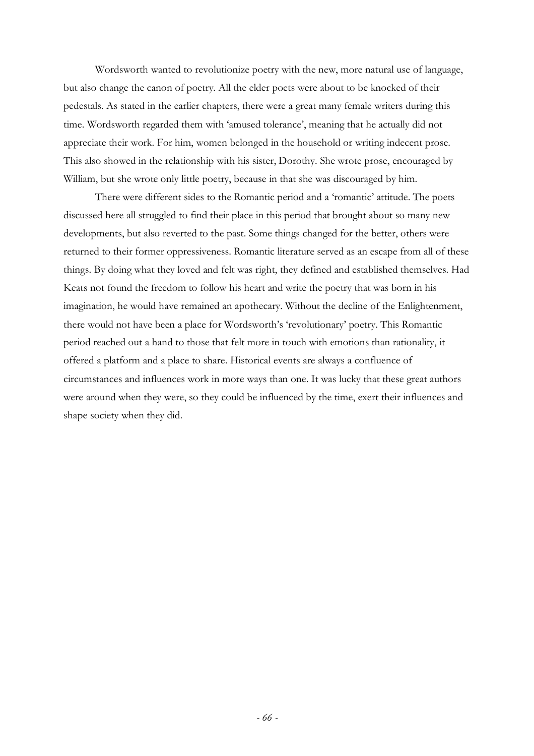Wordsworth wanted to revolutionize poetry with the new, more natural use of language, but also change the canon of poetry. All the elder poets were about to be knocked of their pedestals. As stated in the earlier chapters, there were a great many female writers during this time. Wordsworth regarded them with 'amused tolerance', meaning that he actually did not appreciate their work. For him, women belonged in the household or writing indecent prose. This also showed in the relationship with his sister, Dorothy. She wrote prose, encouraged by William, but she wrote only little poetry, because in that she was discouraged by him.

There were different sides to the Romantic period and a 'romantic' attitude. The poets discussed here all struggled to find their place in this period that brought about so many new developments, but also reverted to the past. Some things changed for the better, others were returned to their former oppressiveness. Romantic literature served as an escape from all of these things. By doing what they loved and felt was right, they defined and established themselves. Had Keats not found the freedom to follow his heart and write the poetry that was born in his imagination, he would have remained an apothecary. Without the decline of the Enlightenment, there would not have been a place for Wordsworth's 'revolutionary' poetry. This Romantic period reached out a hand to those that felt more in touch with emotions than rationality, it offered a platform and a place to share. Historical events are always a confluence of circumstances and influences work in more ways than one. It was lucky that these great authors were around when they were, so they could be influenced by the time, exert their influences and shape society when they did.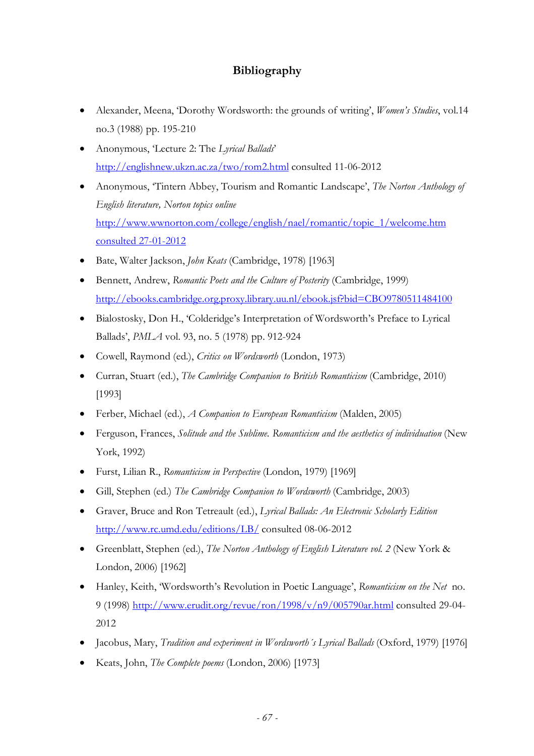## **Bibliography**

- Alexander, Meena, 'Dorothy Wordsworth: the grounds of writing', *Women's Studies*, vol.14 no.3 (1988) pp. 195-210
- Anonymous, 'Lecture 2: The *Lyrical Ballads*' http://englishnew.ukzn.ac.za/two/rom2.html consulted 11-06-2012
- Anonymous, 'Tintern Abbey, Tourism and Romantic Landscape', *The Norton Anthology of English literature, Norton topics online* http://www.wwnorton.com/college/english/nael/romantic/topic\_1/welcome.htm consulted 27-01-2012
- Bate, Walter Jackson, *John Keats* (Cambridge, 1978) [1963]
- Bennett, Andrew, *Romantic Poets and the Culture of Posterity* (Cambridge, 1999) http://ebooks.cambridge.org.proxy.library.uu.nl/ebook.jsf?bid=CBO9780511484100
- Bialostosky, Don H., 'Colderidge's Interpretation of Wordsworth's Preface to Lyrical Ballads', *PMLA* vol. 93, no. 5 (1978) pp. 912-924
- Cowell, Raymond (ed.), *Critics on Wordsworth* (London, 1973)
- Curran, Stuart (ed.), *The Cambridge Companion to British Romanticism* (Cambridge, 2010) [1993]
- Ferber, Michael (ed.), *A Companion to European Romanticism* (Malden, 2005)
- Ferguson, Frances, *Solitude and the Sublime. Romanticism and the aesthetics of individuation* (New York, 1992)
- Furst, Lilian R., *Romanticism in Perspective* (London, 1979) [1969]
- Gill, Stephen (ed.) *The Cambridge Companion to Wordsworth* (Cambridge, 2003)
- Graver, Bruce and Ron Tetreault (ed.), *Lyrical Ballads: An Electronic Scholarly Edition*  http://www.rc.umd.edu/editions/LB/ consulted 08-06-2012
- Greenblatt, Stephen (ed.), *The Norton Anthology of English Literature vol. 2* (New York & London, 2006) [1962]
- Hanley, Keith, 'Wordsworth's Revolution in Poetic Language', *Romanticism on the Net* no. 9 (1998) http://www.erudit.org/revue/ron/1998/v/n9/005790ar.html consulted 29-04- 2012
- Jacobus, Mary, *Tradition and experiment in Wordsworth´s Lyrical Ballads* (Oxford, 1979) [1976]
- Keats, John, *The Complete poems* (London, 2006) [1973]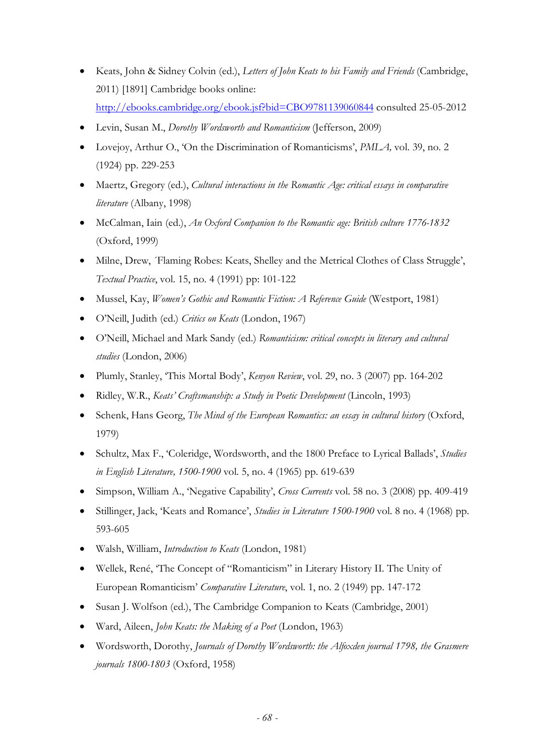- Keats, John & Sidney Colvin (ed.), *Letters of John Keats to his Family and Friends* (Cambridge, 2011) [1891] Cambridge books online: http://ebooks.cambridge.org/ebook.jsf?bid=CBO9781139060844 consulted 25-05-2012
- Levin, Susan M., *Dorothy Wordsworth and Romanticism* (Jefferson, 2009)
- Lovejoy, Arthur O., 'On the Discrimination of Romanticisms', *PMLA,* vol. 39, no. 2 (1924) pp. 229-253
- Maertz, Gregory (ed.), *Cultural interactions in the Romantic Age: critical essays in comparative literature* (Albany, 1998)
- McCalman, Iain (ed.), *An Oxford Companion to the Romantic age: British culture 1776-1832* (Oxford, 1999)
- Milne, Drew, ´Flaming Robes: Keats, Shelley and the Metrical Clothes of Class Struggle', *Textual Practice*, vol. 15, no. 4 (1991) pp: 101-122
- Mussel, Kay, *Women's Gothic and Romantic Fiction: A Reference Guide* (Westport, 1981)
- O'Neill, Judith (ed.) *Critics on Keats* (London, 1967)
- O'Neill, Michael and Mark Sandy (ed.) *Romanticism: critical concepts in literary and cultural studies* (London, 2006)
- Plumly, Stanley, 'This Mortal Body', *Kenyon Review*, vol. 29, no. 3 (2007) pp. 164-202
- Ridley, W.R., *Keats' Craftsmanship: a Study in Poetic Development* (Lincoln, 1993)
- Schenk, Hans Georg, *The Mind of the European Romantics: an essay in cultural history* (Oxford, 1979)
- Schultz, Max F., 'Coleridge, Wordsworth, and the 1800 Preface to Lyrical Ballads', *Studies in English Literature, 1500-1900* vol. 5, no. 4 (1965) pp. 619-639
- Simpson, William A., 'Negative Capability', *Cross Currents* vol. 58 no. 3 (2008) pp. 409-419
- Stillinger, Jack, 'Keats and Romance', *Studies in Literature 1500-1900* vol. 8 no. 4 (1968) pp. 593-605
- Walsh, William, *Introduction to Keats* (London, 1981)
- Wellek, René, 'The Concept of "Romanticism" in Literary History II. The Unity of European Romanticism' *Comparative Literature*, vol. 1, no. 2 (1949) pp. 147-172
- Susan J. Wolfson (ed.), The Cambridge Companion to Keats (Cambridge, 2001)
- Ward, Aileen, *John Keats: the Making of a Poet* (London, 1963)
- Wordsworth, Dorothy, *Journals of Dorothy Wordsworth: the Alfoxden journal 1798, the Grasmere journals 1800-1803* (Oxford, 1958)